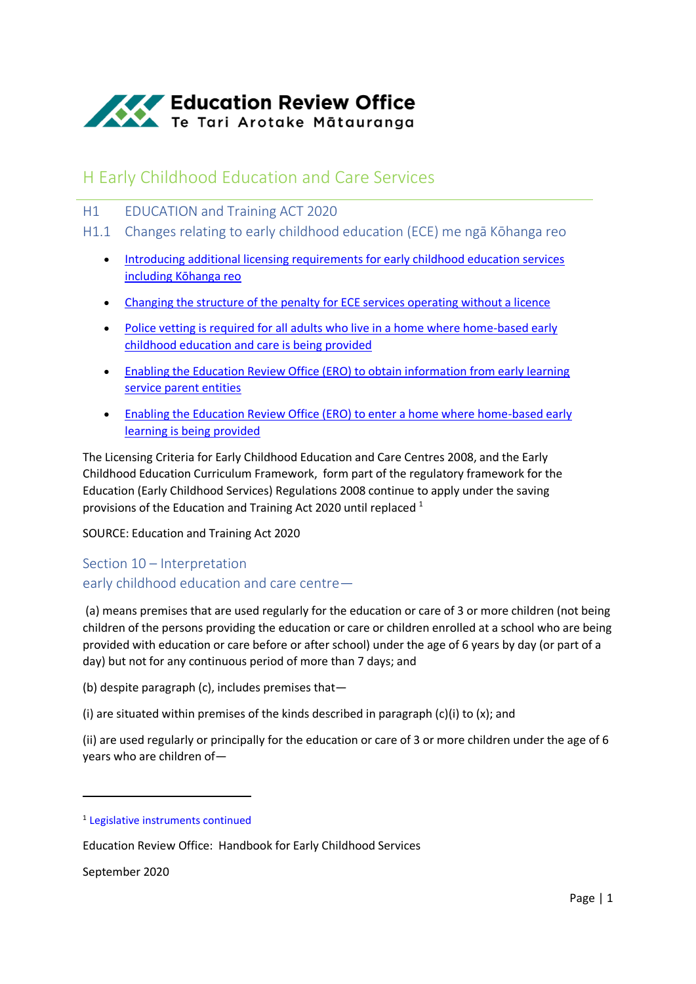

# H Early Childhood Education and Care Services

- H1 EDUCATION and Training ACT 2020
- H1.1 Changes relating to early childhood education (ECE) me ngā Kōhanga reo
	- [Introducing additional licensing requirements for early childhood education services](https://www.education.govt.nz/our-work/legislation/education-and-training-act-2020/changes-relating-to-early-childhood-education-ece-me-nga-kohanga-reo/#Introducing)  [including Kōhanga reo](https://www.education.govt.nz/our-work/legislation/education-and-training-act-2020/changes-relating-to-early-childhood-education-ece-me-nga-kohanga-reo/#Introducing)
	- [Changing the structure of the penalty for ECE services operating without a licence](https://www.education.govt.nz/our-work/legislation/education-and-training-act-2020/changes-relating-to-early-childhood-education-ece-me-nga-kohanga-reo/#Changing)
	- Police vetting is required for [all adults who live in a home where home-based early](https://www.education.govt.nz/our-work/legislation/education-and-training-act-2020/changes-relating-to-early-childhood-education-ece-me-nga-kohanga-reo/#Police)  [childhood education and care is being provided](https://www.education.govt.nz/our-work/legislation/education-and-training-act-2020/changes-relating-to-early-childhood-education-ece-me-nga-kohanga-reo/#Police)
	- [Enabling the Education Review Office \(ERO\) to obtain information from early learning](https://www.education.govt.nz/our-work/legislation/education-and-training-act-2020/changes-relating-to-early-childhood-education-ece-me-nga-kohanga-reo/#obtaininformation)  [service parent entities](https://www.education.govt.nz/our-work/legislation/education-and-training-act-2020/changes-relating-to-early-childhood-education-ece-me-nga-kohanga-reo/#obtaininformation)
	- [Enabling the Education Review Office \(ERO\) to enter a home where home-based early](https://www.education.govt.nz/our-work/legislation/education-and-training-act-2020/changes-relating-to-early-childhood-education-ece-me-nga-kohanga-reo/#enterahome)  [learning is being provided](https://www.education.govt.nz/our-work/legislation/education-and-training-act-2020/changes-relating-to-early-childhood-education-ece-me-nga-kohanga-reo/#enterahome)

The Licensing Criteria for Early Childhood Education and Care Centres 2008, and the Early Childhood Education Curriculum Framework, form part of the regulatory framework for the Education (Early Childhood Services) Regulations 2008 continue to apply under the saving provisions of the Education and Training Act 2020 until replaced <sup>1</sup>

SOURCE: Education and Training Act 2020

# Section 10 – Interpretation early childhood education and care centre—

(a) means premises that are used regularly for the education or care of 3 or more children (not being children of the persons providing the education or care or children enrolled at a school who are being provided with education or care before or after school) under the age of 6 years by day (or part of a day) but not for any continuous period of more than 7 days; and

(b) despite paragraph (c), includes premises that—

(i) are situated within premises of the kinds described in paragraph  $(c)(i)$  to  $(x)$ ; and

(ii) are used regularly or principally for the education or care of 3 or more children under the age of 6 years who are children of—

September 2020

**.** 

<sup>&</sup>lt;sup>1</sup> [Legislative instruments continued](http://www.legislation.govt.nz/act/public/2020/0038/latest/link.aspx?search=ta_act_E_ac%40ainf%40anif_an%40bn%40rn_25_a&p=1&id=LMS348574)

Education Review Office: Handbook for Early Childhood Services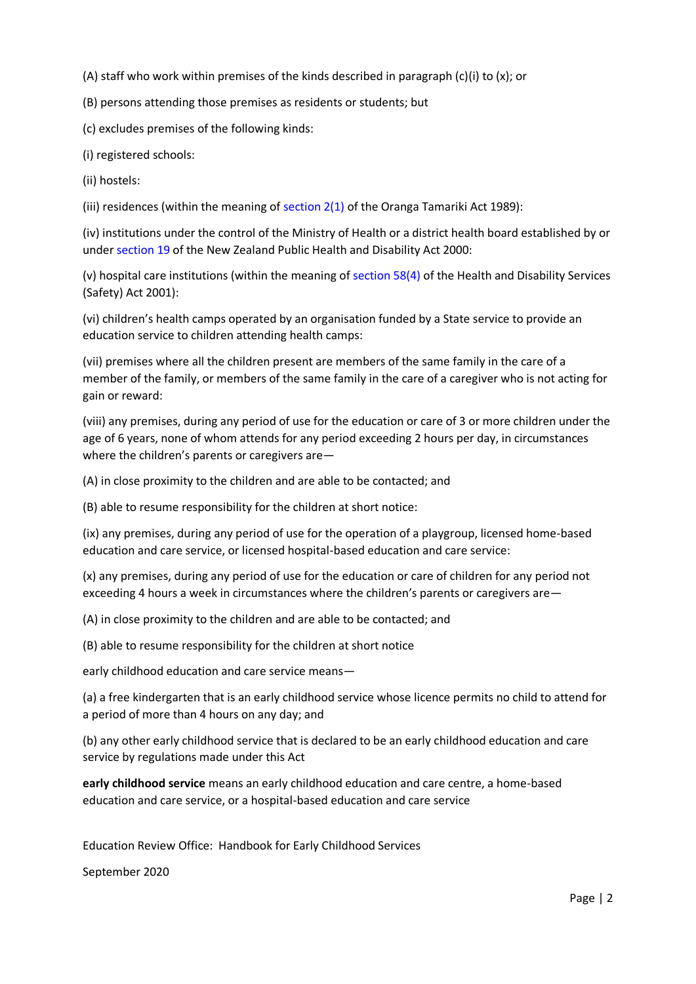(A) staff who work within premises of the kinds described in paragraph (c)(i) to  $(x)$ ; or

(B) persons attending those premises as residents or students; but

(c) excludes premises of the following kinds:

(i) registered schools:

(ii) hostels:

(iii) residences (within the meaning of section  $2(1)$  of the Oranga Tamariki Act 1989):

(iv) institutions under the control of the Ministry of Health or a district health board established by or under [section 19](http://www.legislation.govt.nz/act/public/2020/0038/latest/link.aspx?search=ta_act_E_ac%40ainf%40anif_an%40bn%40rn_25_a&p=1&id=DLM80802#DLM80802) of the New Zealand Public Health and Disability Act 2000:

(v) hospital care institutions (within the meaning of [section 58\(4\)](http://www.legislation.govt.nz/act/public/2020/0038/latest/link.aspx?search=ta_act_E_ac%40ainf%40anif_an%40bn%40rn_25_a&p=1&id=DLM120905#DLM120905) of the Health and Disability Services (Safety) Act 2001):

(vi) children's health camps operated by an organisation funded by a State service to provide an education service to children attending health camps:

(vii) premises where all the children present are members of the same family in the care of a member of the family, or members of the same family in the care of a caregiver who is not acting for gain or reward:

(viii) any premises, during any period of use for the education or care of 3 or more children under the age of 6 years, none of whom attends for any period exceeding 2 hours per day, in circumstances where the children's parents or caregivers are—

(A) in close proximity to the children and are able to be contacted; and

(B) able to resume responsibility for the children at short notice:

(ix) any premises, during any period of use for the operation of a playgroup, licensed home-based education and care service, or licensed hospital-based education and care service:

(x) any premises, during any period of use for the education or care of children for any period not exceeding 4 hours a week in circumstances where the children's parents or caregivers are—

(A) in close proximity to the children and are able to be contacted; and

(B) able to resume responsibility for the children at short notice

early childhood education and care service means—

(a) a free kindergarten that is an early childhood service whose licence permits no child to attend for a period of more than 4 hours on any day; and

(b) any other early childhood service that is declared to be an early childhood education and care service by regulations made under this Act

**early childhood service** means an early childhood education and care centre, a home-based education and care service, or a hospital-based education and care service

Education Review Office: Handbook for Early Childhood Services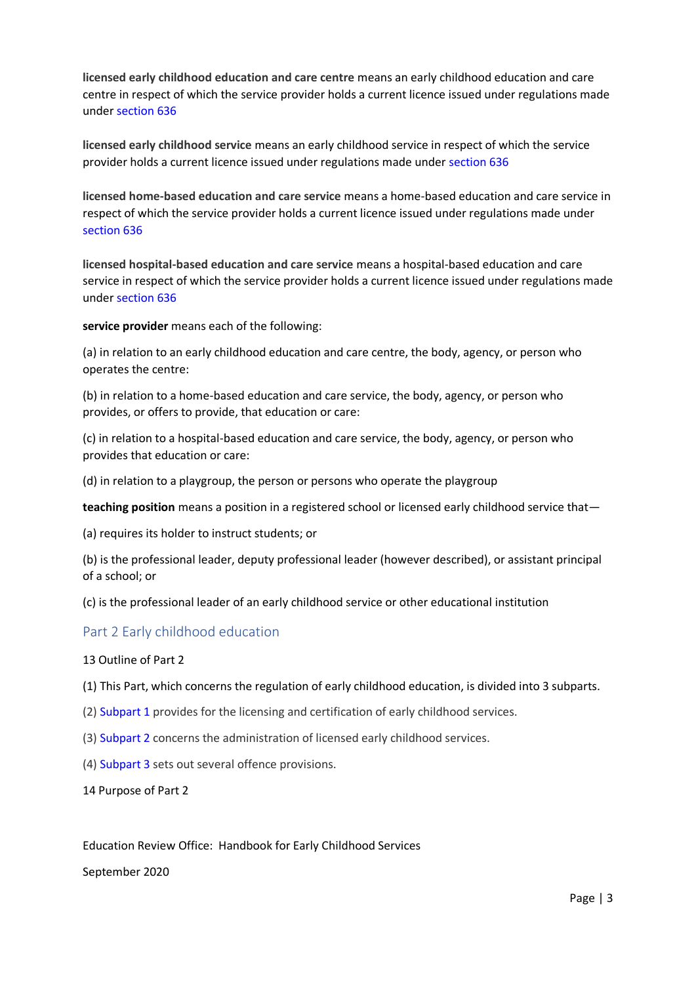**licensed early childhood education and care centre** means an early childhood education and care centre in respect of which the service provider holds a current licence issued under regulations made under [section 636](http://www.legislation.govt.nz/act/public/2020/0038/latest/whole.html?search=ta_act_E_ac%40ainf%40anif_an%40bn%40rn_25_a&p=1#LMS171321)

**licensed early childhood service** means an early childhood service in respect of which the service provider holds a current licence issued under regulations made under [section 636](http://www.legislation.govt.nz/act/public/2020/0038/latest/whole.html?search=ta_act_E_ac%40ainf%40anif_an%40bn%40rn_25_a&p=1#LMS171321)

**licensed home-based education and care service** means a home-based education and care service in respect of which the service provider holds a current licence issued under regulations made under [section 636](http://www.legislation.govt.nz/act/public/2020/0038/latest/whole.html?search=ta_act_E_ac%40ainf%40anif_an%40bn%40rn_25_a&p=1#LMS171321)

**licensed hospital-based education and care service** means a hospital-based education and care service in respect of which the service provider holds a current licence issued under regulations made under [section 636](http://www.legislation.govt.nz/act/public/2020/0038/latest/whole.html?search=ta_act_E_ac%40ainf%40anif_an%40bn%40rn_25_a&p=1#LMS171321)

**service provider** means each of the following:

(a) in relation to an early childhood education and care centre, the body, agency, or person who operates the centre:

(b) in relation to a home-based education and care service, the body, agency, or person who provides, or offers to provide, that education or care:

(c) in relation to a hospital-based education and care service, the body, agency, or person who provides that education or care:

(d) in relation to a playgroup, the person or persons who operate the playgroup

**teaching position** means a position in a registered school or licensed early childhood service that—

(a) requires its holder to instruct students; or

(b) is the professional leader, deputy professional leader (however described), or assistant principal of a school; or

(c) is the professional leader of an early childhood service or other educational institution

### Part 2 Early childhood education

13 Outline of Part 2

(1) This Part, which concerns the regulation of early childhood education, is divided into 3 subparts.

- (2[\) Subpart 1](http://www.legislation.govt.nz/act/public/2020/0038/latest/whole.html?search=ta_act_E_ac%40ainf%40anif_an%40bn%40rn_25_a&p=1#LMS255336) provides for the licensing and certification of early childhood services.
- (3[\) Subpart 2](http://www.legislation.govt.nz/act/public/2020/0038/latest/whole.html?search=ta_act_E_ac%40ainf%40anif_an%40bn%40rn_25_a&p=1#LMS257116) concerns the administration of licensed early childhood services.
- (4[\) Subpart 3](http://www.legislation.govt.nz/act/public/2020/0038/latest/whole.html?search=ta_act_E_ac%40ainf%40anif_an%40bn%40rn_25_a&p=1#LMS255906) sets out several offence provisions.

14 Purpose of Part 2

Education Review Office: Handbook for Early Childhood Services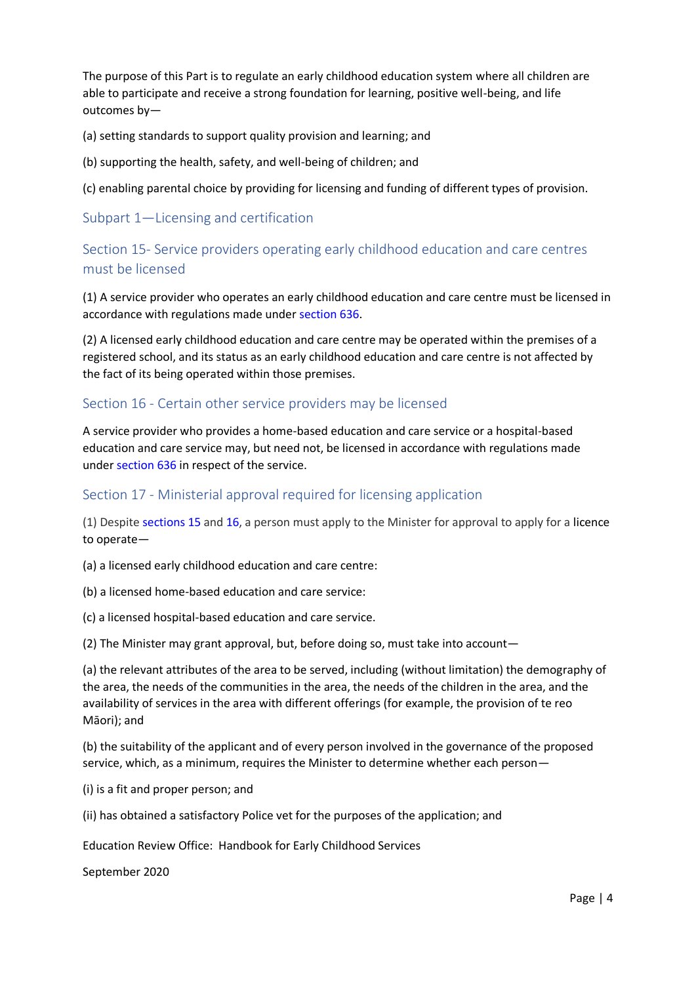The purpose of this Part is to regulate an early childhood education system where all children are able to participate and receive a strong foundation for learning, positive well-being, and life outcomes by—

(a) setting standards to support quality provision and learning; and

(b) supporting the health, safety, and well-being of children; and

(c) enabling parental choice by providing for licensing and funding of different types of provision.

# Subpart 1—Licensing and certification

# Section 15- Service providers operating early childhood education and care centres must be licensed

(1) A service provider who operates an early childhood education and care centre must be licensed in accordance with regulations made under [section 636.](http://www.legislation.govt.nz/act/public/2020/0038/latest/whole.html?search=ta_act_E_ac%40ainf%40anif_an%40bn%40rn_25_a&p=1#LMS171321)

(2) A licensed early childhood education and care centre may be operated within the premises of a registered school, and its status as an early childhood education and care centre is not affected by the fact of its being operated within those premises.

# Section 16 - Certain other service providers may be licensed

A service provider who provides a home-based education and care service or a hospital-based education and care service may, but need not, be licensed in accordance with regulations made under [section 636](http://www.legislation.govt.nz/act/public/2020/0038/latest/whole.html?search=ta_act_E_ac%40ainf%40anif_an%40bn%40rn_25_a&p=1#LMS171321) in respect of the service.

# Section 17 - Ministerial approval required for licensing application

(1) Despite [sections 15](http://www.legislation.govt.nz/act/public/2020/0038/latest/whole.html?search=ta_act_E_ac%40ainf%40anif_an%40bn%40rn_25_a&p=1#LMS171341) an[d 16,](http://www.legislation.govt.nz/act/public/2020/0038/latest/whole.html?search=ta_act_E_ac%40ainf%40anif_an%40bn%40rn_25_a&p=1#LMS171320) a person must apply to the Minister for approval to apply for a licence to operate—

(a) a licensed early childhood education and care centre:

(b) a licensed home-based education and care service:

(c) a licensed hospital-based education and care service.

(2) The Minister may grant approval, but, before doing so, must take into account—

(a) the relevant attributes of the area to be served, including (without limitation) the demography of the area, the needs of the communities in the area, the needs of the children in the area, and the availability of services in the area with different offerings (for example, the provision of te reo Māori); and

(b) the suitability of the applicant and of every person involved in the governance of the proposed service, which, as a minimum, requires the Minister to determine whether each person—

(i) is a fit and proper person; and

(ii) has obtained a satisfactory Police vet for the purposes of the application; and

Education Review Office: Handbook for Early Childhood Services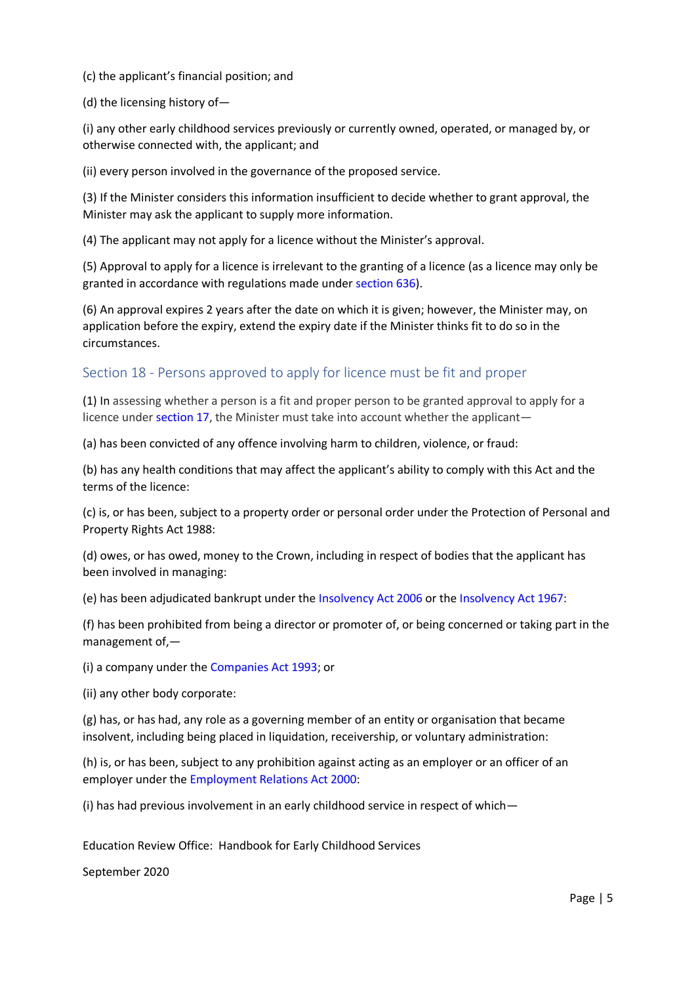(c) the applicant's financial position; and

(d) the licensing history of—

(i) any other early childhood services previously or currently owned, operated, or managed by, or otherwise connected with, the applicant; and

(ii) every person involved in the governance of the proposed service.

(3) If the Minister considers this information insufficient to decide whether to grant approval, the Minister may ask the applicant to supply more information.

(4) The applicant may not apply for a licence without the Minister's approval.

(5) Approval to apply for a licence is irrelevant to the granting of a licence (as a licence may only be granted in accordance with regulations made under [section 636\)](http://www.legislation.govt.nz/act/public/2020/0038/latest/whole.html?search=ta_act_E_ac%40ainf%40anif_an%40bn%40rn_25_a&p=1#LMS171321).

(6) An approval expires 2 years after the date on which it is given; however, the Minister may, on application before the expiry, extend the expiry date if the Minister thinks fit to do so in the circumstances.

# Section 18 - Persons approved to apply for licence must be fit and proper

(1) In assessing whether a person is a fit and proper person to be granted approval to apply for a licence unde[r section 17,](http://www.legislation.govt.nz/act/public/2020/0038/latest/whole.html?search=ta_act_E_ac%40ainf%40anif_an%40bn%40rn_25_a&p=1#LMS274559) the Minister must take into account whether the applicant—

(a) has been convicted of any offence involving harm to children, violence, or fraud:

(b) has any health conditions that may affect the applicant's ability to comply with this Act and the terms of the licence:

(c) is, or has been, subject to a property order or personal order under the Protection of Personal and Property Rights Act 1988:

(d) owes, or has owed, money to the Crown, including in respect of bodies that the applicant has been involved in managing:

(e) has been adjudicated bankrupt under th[e Insolvency Act 2006](http://www.legislation.govt.nz/act/public/2020/0038/latest/link.aspx?search=ta_act_E_ac%40ainf%40anif_an%40bn%40rn_25_a&p=1&id=DLM385298) or the [Insolvency Act 1967:](http://www.legislation.govt.nz/act/public/2020/0038/latest/link.aspx?search=ta_act_E_ac%40ainf%40anif_an%40bn%40rn_25_a&p=1&id=DLM382333)

(f) has been prohibited from being a director or promoter of, or being concerned or taking part in the management of,—

(i) a company under the [Companies Act 1993;](http://www.legislation.govt.nz/act/public/2020/0038/latest/link.aspx?search=ta_act_E_ac%40ainf%40anif_an%40bn%40rn_25_a&p=1&id=DLM319569) or

(ii) any other body corporate:

(g) has, or has had, any role as a governing member of an entity or organisation that became insolvent, including being placed in liquidation, receivership, or voluntary administration:

(h) is, or has been, subject to any prohibition against acting as an employer or an officer of an employer under th[e Employment Relations Act 2000:](http://www.legislation.govt.nz/act/public/2020/0038/latest/link.aspx?search=ta_act_E_ac%40ainf%40anif_an%40bn%40rn_25_a&p=1&id=DLM58316)

(i) has had previous involvement in an early childhood service in respect of which—

Education Review Office: Handbook for Early Childhood Services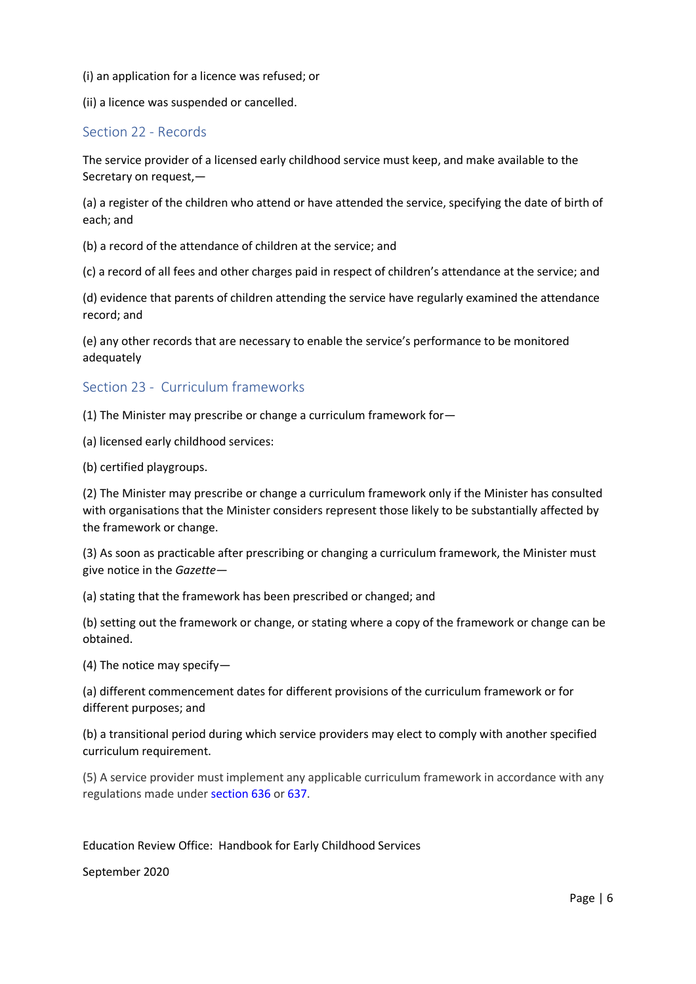(i) an application for a licence was refused; or

(ii) a licence was suspended or cancelled.

# Section 22 - Records

The service provider of a licensed early childhood service must keep, and make available to the Secretary on request,—

(a) a register of the children who attend or have attended the service, specifying the date of birth of each; and

(b) a record of the attendance of children at the service; and

(c) a record of all fees and other charges paid in respect of children's attendance at the service; and

(d) evidence that parents of children attending the service have regularly examined the attendance record; and

(e) any other records that are necessary to enable the service's performance to be monitored adequately

# Section 23 - Curriculum frameworks

(1) The Minister may prescribe or change a curriculum framework for—

(a) licensed early childhood services:

(b) certified playgroups.

(2) The Minister may prescribe or change a curriculum framework only if the Minister has consulted with organisations that the Minister considers represent those likely to be substantially affected by the framework or change.

(3) As soon as practicable after prescribing or changing a curriculum framework, the Minister must give notice in the *Gazette*—

(a) stating that the framework has been prescribed or changed; and

(b) setting out the framework or change, or stating where a copy of the framework or change can be obtained.

(4) The notice may specify—

(a) different commencement dates for different provisions of the curriculum framework or for different purposes; and

(b) a transitional period during which service providers may elect to comply with another specified curriculum requirement.

(5) A service provider must implement any applicable curriculum framework in accordance with any regulations made unde[r section 636](http://www.legislation.govt.nz/act/public/2020/0038/latest/whole.html?search=ta_act_E_ac%40ainf%40anif_an%40bn%40rn_25_a&p=1#LMS171321) or [637.](http://www.legislation.govt.nz/act/public/2020/0038/latest/whole.html?search=ta_act_E_ac%40ainf%40anif_an%40bn%40rn_25_a&p=1#LMS171328)

Education Review Office: Handbook for Early Childhood Services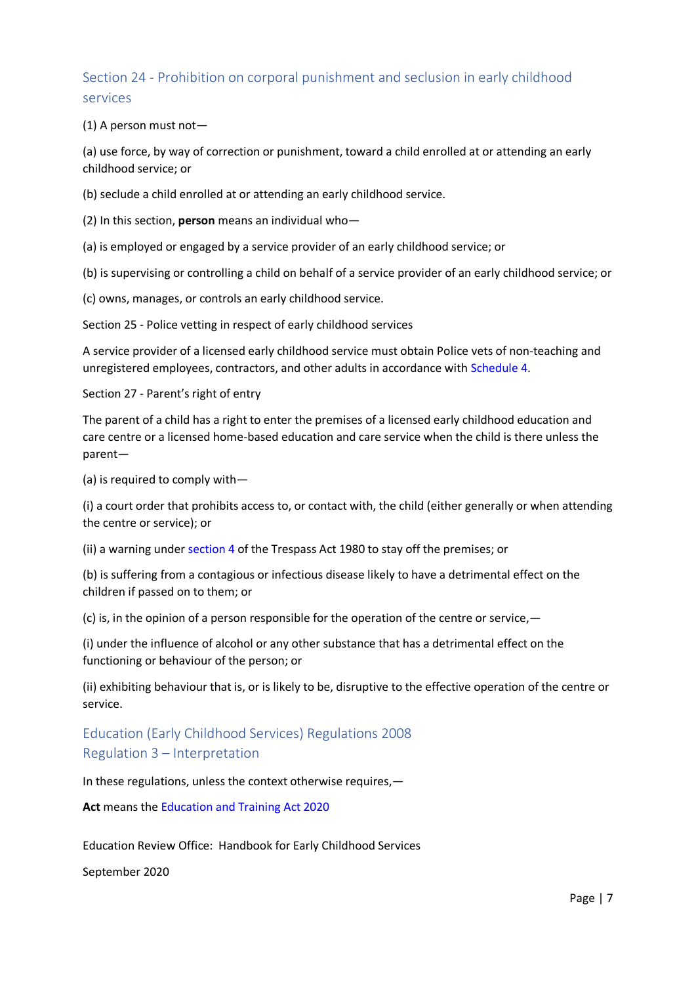# Section 24 - Prohibition on corporal punishment and seclusion in early childhood services

(1) A person must not—

(a) use force, by way of correction or punishment, toward a child enrolled at or attending an early childhood service; or

(b) seclude a child enrolled at or attending an early childhood service.

(2) In this section, **person** means an individual who—

(a) is employed or engaged by a service provider of an early childhood service; or

(b) is supervising or controlling a child on behalf of a service provider of an early childhood service; or

(c) owns, manages, or controls an early childhood service.

Section 25 - Police vetting in respect of early childhood services

A service provider of a licensed early childhood service must obtain Police vets of non-teaching and unregistered employees, contractors, and other adults in accordance with [Schedule 4.](http://www.legislation.govt.nz/act/public/2020/0038/latest/whole.html?search=ta_act_E_ac%40ainf%40anif_an%40bn%40rn_25_a&p=1#LMS176165)

Section 27 - Parent's right of entry

The parent of a child has a right to enter the premises of a licensed early childhood education and care centre or a licensed home-based education and care service when the child is there unless the parent—

(a) is required to comply with—

(i) a court order that prohibits access to, or contact with, the child (either generally or when attending the centre or service); or

(ii) a warning under [section 4](http://www.legislation.govt.nz/act/public/2020/0038/latest/link.aspx?search=ta_act_E_ac%40ainf%40anif_an%40bn%40rn_25_a&p=1&id=DLM36944#DLM36944) of the Trespass Act 1980 to stay off the premises; or

(b) is suffering from a contagious or infectious disease likely to have a detrimental effect on the children if passed on to them; or

(c) is, in the opinion of a person responsible for the operation of the centre or service,  $-$ 

(i) under the influence of alcohol or any other substance that has a detrimental effect on the functioning or behaviour of the person; or

(ii) exhibiting behaviour that is, or is likely to be, disruptive to the effective operation of the centre or service.

# Education (Early Childhood Services) Regulations 2008 Regulation 3 – Interpretation

In these regulations, unless the context otherwise requires,—

**Act** means the [Education and Training Act 2020](http://www.legislation.govt.nz/regulation/public/2008/0204/latest/link.aspx?search=ta_regulation_E_rc%40rinf%40rnif_an%40bn%40rn_25_a&p=1&id=LMS170674)

Education Review Office: Handbook for Early Childhood Services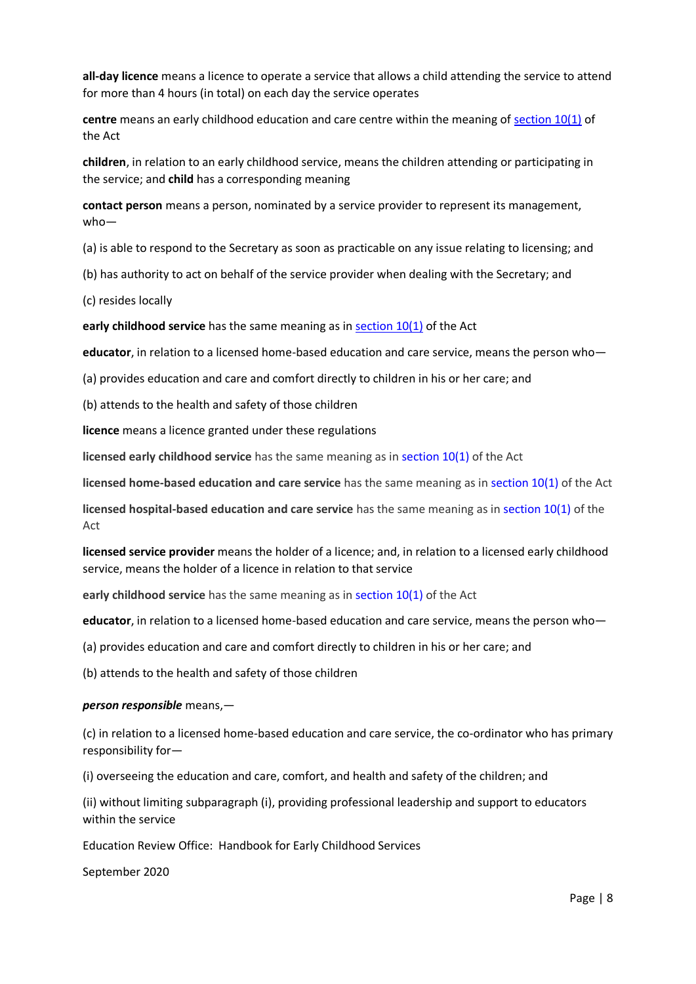**all-day licence** means a licence to operate a service that allows a child attending the service to attend for more than 4 hours (in total) on each day the service operates

**centre** means an early childhood education and care centre within the meaning of [section 10\(1\)](http://www.legislation.govt.nz/regulation/public/2008/0204/latest/link.aspx?search=ta_regulation_E_rc%40rinf%40rnif_an%40bn%40rn_25_a&p=1&id=LMS171311#LMS171311) of the Act

**children**, in relation to an early childhood service, means the children attending or participating in the service; and **child** has a corresponding meaning

**contact person** means a person, nominated by a service provider to represent its management, who—

(a) is able to respond to the Secretary as soon as practicable on any issue relating to licensing; and

(b) has authority to act on behalf of the service provider when dealing with the Secretary; and

(c) resides locally

**early childhood service** has the same meaning as in [section 10\(1\)](http://www.legislation.govt.nz/regulation/public/2008/0204/latest/link.aspx?search=ta_regulation_E_rc%40rinf%40rnif_an%40bn%40rn_25_a&p=1&id=LMS171311#LMS171311) of the Act

**educator**, in relation to a licensed home-based education and care service, means the person who—

(a) provides education and care and comfort directly to children in his or her care; and

(b) attends to the health and safety of those children

**licence** means a licence granted under these regulations

**licensed early childhood service** has the same meaning as in [section 10\(1\)](http://www.legislation.govt.nz/regulation/public/2008/0204/latest/link.aspx?search=ta_regulation_E_rc%40rinf%40rnif_an%40bn%40rn_25_a&p=1&id=LMS171311#LMS171311) of the Act

**licensed home-based education and care service** has the same meaning as in [section 10\(1\)](http://www.legislation.govt.nz/regulation/public/2008/0204/latest/link.aspx?search=ta_regulation_E_rc%40rinf%40rnif_an%40bn%40rn_25_a&p=1&id=LMS171311#LMS171311) of the Act

**licensed hospital-based education and care service** has the same meaning as i[n section 10\(1\)](http://www.legislation.govt.nz/regulation/public/2008/0204/latest/link.aspx?search=ta_regulation_E_rc%40rinf%40rnif_an%40bn%40rn_25_a&p=1&id=LMS171311#LMS171311) of the Act

**licensed service provider** means the holder of a licence; and, in relation to a licensed early childhood service, means the holder of a licence in relation to that service

**early childhood service** has the same meaning as in [section 10\(1\)](http://www.legislation.govt.nz/regulation/public/2008/0204/latest/link.aspx?search=ta_regulation_E_rc%40rinf%40rnif_an%40bn%40rn_25_a&p=1&id=LMS171311#LMS171311) of the Act

**educator**, in relation to a licensed home-based education and care service, means the person who—

(a) provides education and care and comfort directly to children in his or her care; and

(b) attends to the health and safety of those children

#### *person responsible* means,—

(c) in relation to a licensed home-based education and care service, the co-ordinator who has primary responsibility for—

(i) overseeing the education and care, comfort, and health and safety of the children; and

(ii) without limiting subparagraph (i), providing professional leadership and support to educators within the service

Education Review Office: Handbook for Early Childhood Services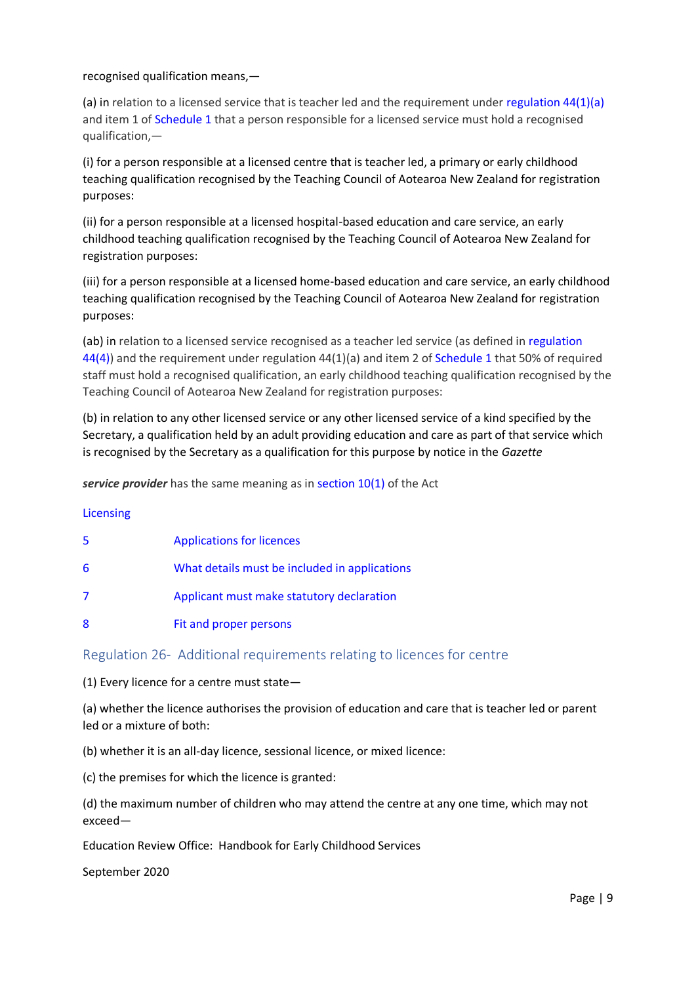### recognised qualification means,—

(a) in relation to a licensed service that is teacher led and the requirement under [regulation 44\(1\)\(a\)](http://www.legislation.govt.nz/regulation/public/2008/0204/latest/whole.html?search=ta_regulation_E_rc%40rinf%40rnif_an%40bn%40rn_25_a&p=1#DLM1412611) and item 1 o[f Schedule 1](http://www.legislation.govt.nz/regulation/public/2008/0204/latest/whole.html?search=ta_regulation_E_rc%40rinf%40rnif_an%40bn%40rn_25_a&p=1#DLM1412635) that a person responsible for a licensed service must hold a recognised qualification,—

(i) for a person responsible at a licensed centre that is teacher led, a primary or early childhood teaching qualification recognised by the Teaching Council of Aotearoa New Zealand for registration purposes:

(ii) for a person responsible at a licensed hospital-based education and care service, an early childhood teaching qualification recognised by the Teaching Council of Aotearoa New Zealand for registration purposes:

(iii) for a person responsible at a licensed home-based education and care service, an early childhood teaching qualification recognised by the Teaching Council of Aotearoa New Zealand for registration purposes:

(ab) in relation to a licensed service recognised as a teacher led service (as defined in [regulation](http://www.legislation.govt.nz/regulation/public/2008/0204/latest/whole.html?search=ta_regulation_E_rc%40rinf%40rnif_an%40bn%40rn_25_a&p=1#DLM1412611)  [44\(4\)\)](http://www.legislation.govt.nz/regulation/public/2008/0204/latest/whole.html?search=ta_regulation_E_rc%40rinf%40rnif_an%40bn%40rn_25_a&p=1#DLM1412611) and the requirement under regulation 44(1)(a) and item 2 of [Schedule 1](http://www.legislation.govt.nz/regulation/public/2008/0204/latest/whole.html?search=ta_regulation_E_rc%40rinf%40rnif_an%40bn%40rn_25_a&p=1#DLM1412635) that 50% of required staff must hold a recognised qualification, an early childhood teaching qualification recognised by the Teaching Council of Aotearoa New Zealand for registration purposes:

(b) in relation to any other licensed service or any other licensed service of a kind specified by the Secretary, a qualification held by an adult providing education and care as part of that service which is recognised by the Secretary as a qualification for this purpose by notice in the *Gazette*

**service provider** has the same meaning as i[n section 10\(1\)](http://www.legislation.govt.nz/regulation/public/2008/0204/latest/link.aspx?search=ta_regulation_E_rc%40rinf%40rnif_an%40bn%40rn_25_a&p=1&id=LMS171311#LMS171311) of the Act

### [Licensing](http://www.legislation.govt.nz/regulation/public/2008/0204/latest/link.aspx?search=ta_regulation_E_rc%40rinf%40rnif_an%40bn%40rn_25_a&p=1&id=DLM1412557)

| 5 | <b>Applications for licences</b>              |
|---|-----------------------------------------------|
| 6 | What details must be included in applications |
| 7 | Applicant must make statutory declaration     |
| 8 | Fit and proper persons                        |

## Regulation 26- Additional requirements relating to licences for centre

(1) Every licence for a centre must state—

(a) whether the licence authorises the provision of education and care that is teacher led or parent led or a mixture of both:

(b) whether it is an all-day licence, sessional licence, or mixed licence:

(c) the premises for which the licence is granted:

(d) the maximum number of children who may attend the centre at any one time, which may not exceed—

Education Review Office: Handbook for Early Childhood Services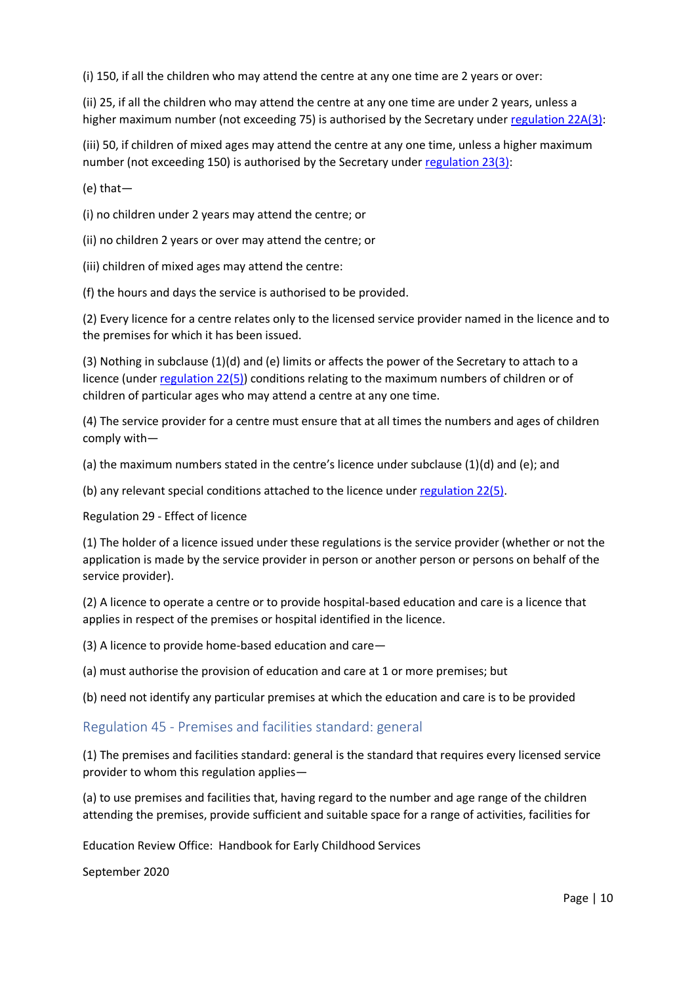(i) 150, if all the children who may attend the centre at any one time are 2 years or over:

(ii) 25, if all the children who may attend the centre at any one time are under 2 years, unless a higher maximum number (not exceeding 75) is authorised by the Secretary under [regulation 22A\(3\):](http://www.legislation.govt.nz/regulation/public/2008/0204/latest/whole.html?search=ta_regulation_E_rc%40rinf%40rnif_an%40bn%40rn_25_a&p=1#DLM3902717)

(iii) 50, if children of mixed ages may attend the centre at any one time, unless a higher maximum number (not exceeding 150) is authorised by the Secretary under [regulation 23\(3\):](http://www.legislation.govt.nz/regulation/public/2008/0204/latest/whole.html?search=ta_regulation_E_rc%40rinf%40rnif_an%40bn%40rn_25_a&p=1#DLM1412584)

(e) that—

(i) no children under 2 years may attend the centre; or

(ii) no children 2 years or over may attend the centre; or

(iii) children of mixed ages may attend the centre:

(f) the hours and days the service is authorised to be provided.

(2) Every licence for a centre relates only to the licensed service provider named in the licence and to the premises for which it has been issued.

(3) Nothing in subclause (1)(d) and (e) limits or affects the power of the Secretary to attach to a licence (under [regulation 22\(5\)\)](http://www.legislation.govt.nz/regulation/public/2008/0204/latest/whole.html?search=ta_regulation_E_rc%40rinf%40rnif_an%40bn%40rn_25_a&p=1#DLM1412583) conditions relating to the maximum numbers of children or of children of particular ages who may attend a centre at any one time.

(4) The service provider for a centre must ensure that at all times the numbers and ages of children comply with—

(a) the maximum numbers stated in the centre's licence under subclause (1)(d) and (e); and

(b) any relevant special conditions attached to the licence under [regulation 22\(5\).](http://www.legislation.govt.nz/regulation/public/2008/0204/latest/whole.html?search=ta_regulation_E_rc%40rinf%40rnif_an%40bn%40rn_25_a&p=1#DLM1412583)

Regulation 29 - Effect of licence

(1) The holder of a licence issued under these regulations is the service provider (whether or not the application is made by the service provider in person or another person or persons on behalf of the service provider).

(2) A licence to operate a centre or to provide hospital-based education and care is a licence that applies in respect of the premises or hospital identified in the licence.

(3) A licence to provide home-based education and care—

(a) must authorise the provision of education and care at 1 or more premises; but

(b) need not identify any particular premises at which the education and care is to be provided

## Regulation 45 - Premises and facilities standard: general

(1) The premises and facilities standard: general is the standard that requires every licensed service provider to whom this regulation applies—

(a) to use premises and facilities that, having regard to the number and age range of the children attending the premises, provide sufficient and suitable space for a range of activities, facilities for

Education Review Office: Handbook for Early Childhood Services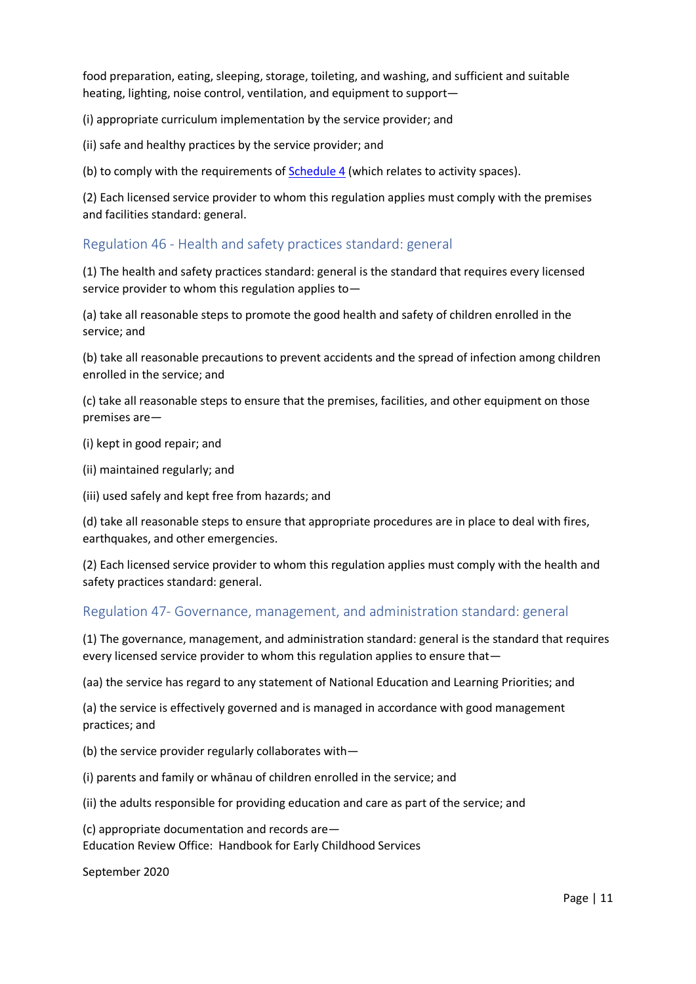food preparation, eating, sleeping, storage, toileting, and washing, and sufficient and suitable heating, lighting, noise control, ventilation, and equipment to support—

(i) appropriate curriculum implementation by the service provider; and

(ii) safe and healthy practices by the service provider; and

(b) to comply with the requirements of **Schedule 4** (which relates to activity spaces).

(2) Each licensed service provider to whom this regulation applies must comply with the premises and facilities standard: general.

### Regulation 46 - Health and safety practices standard: general

(1) The health and safety practices standard: general is the standard that requires every licensed service provider to whom this regulation applies to—

(a) take all reasonable steps to promote the good health and safety of children enrolled in the service; and

(b) take all reasonable precautions to prevent accidents and the spread of infection among children enrolled in the service; and

(c) take all reasonable steps to ensure that the premises, facilities, and other equipment on those premises are—

(i) kept in good repair; and

(ii) maintained regularly; and

(iii) used safely and kept free from hazards; and

(d) take all reasonable steps to ensure that appropriate procedures are in place to deal with fires, earthquakes, and other emergencies.

(2) Each licensed service provider to whom this regulation applies must comply with the health and safety practices standard: general.

### Regulation 47- Governance, management, and administration standard: general

(1) The governance, management, and administration standard: general is the standard that requires every licensed service provider to whom this regulation applies to ensure that—

(aa) the service has regard to any statement of National Education and Learning Priorities; and

(a) the service is effectively governed and is managed in accordance with good management practices; and

(b) the service provider regularly collaborates with—

(i) parents and family or whānau of children enrolled in the service; and

(ii) the adults responsible for providing education and care as part of the service; and

Education Review Office: Handbook for Early Childhood Services (c) appropriate documentation and records are—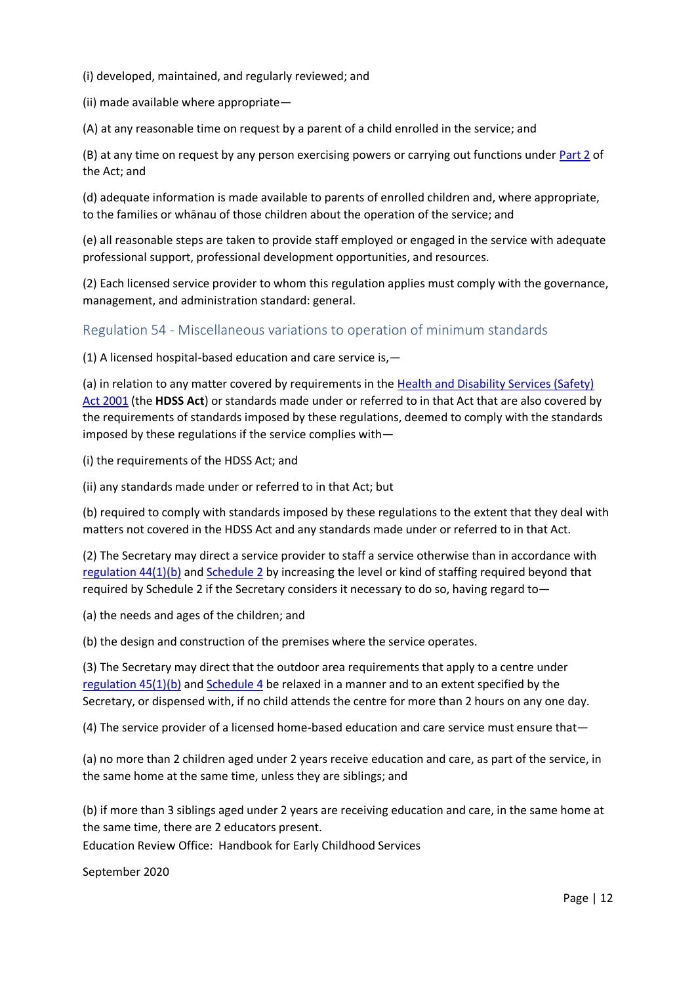(i) developed, maintained, and regularly reviewed; and

(ii) made available where appropriate—

(A) at any reasonable time on request by a parent of a child enrolled in the service; and

(B) at any time on request by any person exercising powers or carrying out functions under [Part 2](http://www.legislation.govt.nz/regulation/public/2008/0204/latest/link.aspx?search=ta_regulation_E_rc%40rinf%40rnif_an%40bn%40rn_25_a&p=1&id=LMS171362#LMS171362) of the Act; and

(d) adequate information is made available to parents of enrolled children and, where appropriate, to the families or whānau of those children about the operation of the service; and

(e) all reasonable steps are taken to provide staff employed or engaged in the service with adequate professional support, professional development opportunities, and resources.

(2) Each licensed service provider to whom this regulation applies must comply with the governance, management, and administration standard: general.

## Regulation 54 - Miscellaneous variations to operation of minimum standards

(1) A licensed hospital-based education and care service is,—

(a) in relation to any matter covered by requirements in the [Health and Disability Services \(Safety\)](http://www.legislation.govt.nz/regulation/public/2008/0204/latest/link.aspx?search=ta_regulation_E_rc%40rinf%40rnif_an%40bn%40rn_25_a&p=1&id=DLM119974)  [Act 2001](http://www.legislation.govt.nz/regulation/public/2008/0204/latest/link.aspx?search=ta_regulation_E_rc%40rinf%40rnif_an%40bn%40rn_25_a&p=1&id=DLM119974) (the **HDSS Act**) or standards made under or referred to in that Act that are also covered by the requirements of standards imposed by these regulations, deemed to comply with the standards imposed by these regulations if the service complies with—

(i) the requirements of the HDSS Act; and

(ii) any standards made under or referred to in that Act; but

(b) required to comply with standards imposed by these regulations to the extent that they deal with matters not covered in the HDSS Act and any standards made under or referred to in that Act.

(2) The Secretary may direct a service provider to staff a service otherwise than in accordance with [regulation 44\(1\)\(b\)](http://www.legislation.govt.nz/regulation/public/2008/0204/latest/whole.html?search=ta_regulation_E_rc%40rinf%40rnif_an%40bn%40rn_25_a&p=1#DLM1412611) an[d Schedule 2](http://www.legislation.govt.nz/regulation/public/2008/0204/latest/whole.html?search=ta_regulation_E_rc%40rinf%40rnif_an%40bn%40rn_25_a&p=1#DLM1412637) by increasing the level or kind of staffing required beyond that required by Schedule 2 if the Secretary considers it necessary to do so, having regard to—

(a) the needs and ages of the children; and

(b) the design and construction of the premises where the service operates.

(3) The Secretary may direct that the outdoor area requirements that apply to a centre under [regulation 45\(1\)\(b\)](http://www.legislation.govt.nz/regulation/public/2008/0204/latest/whole.html?search=ta_regulation_E_rc%40rinf%40rnif_an%40bn%40rn_25_a&p=1#DLM1412618) an[d Schedule 4](http://www.legislation.govt.nz/regulation/public/2008/0204/latest/whole.html?search=ta_regulation_E_rc%40rinf%40rnif_an%40bn%40rn_25_a&p=1#DLM1412645) be relaxed in a manner and to an extent specified by the Secretary, or dispensed with, if no child attends the centre for more than 2 hours on any one day.

(4) The service provider of a licensed home-based education and care service must ensure that—

(a) no more than 2 children aged under 2 years receive education and care, as part of the service, in the same home at the same time, unless they are siblings; and

(b) if more than 3 siblings aged under 2 years are receiving education and care, in the same home at the same time, there are 2 educators present.

Education Review Office: Handbook for Early Childhood Services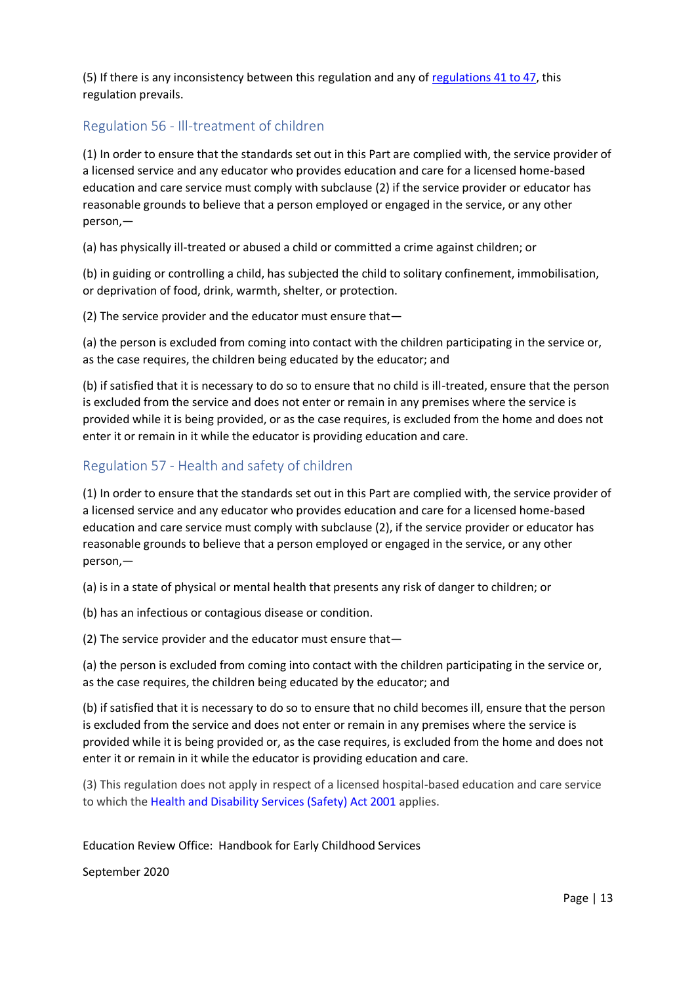(5) If there is any inconsistency between this regulation and any o[f regulations 41 to 47,](http://www.legislation.govt.nz/regulation/public/2008/0204/latest/whole.html?search=ta_regulation_E_rc%40rinf%40rnif_an%40bn%40rn_25_a&p=1#DLM1412606) this regulation prevails.

# Regulation 56 - Ill-treatment of children

(1) In order to ensure that the standards set out in this Part are complied with, the service provider of a licensed service and any educator who provides education and care for a licensed home-based education and care service must comply with subclause (2) if the service provider or educator has reasonable grounds to believe that a person employed or engaged in the service, or any other person,—

(a) has physically ill-treated or abused a child or committed a crime against children; or

(b) in guiding or controlling a child, has subjected the child to solitary confinement, immobilisation, or deprivation of food, drink, warmth, shelter, or protection.

(2) The service provider and the educator must ensure that—

(a) the person is excluded from coming into contact with the children participating in the service or, as the case requires, the children being educated by the educator; and

(b) if satisfied that it is necessary to do so to ensure that no child is ill-treated, ensure that the person is excluded from the service and does not enter or remain in any premises where the service is provided while it is being provided, or as the case requires, is excluded from the home and does not enter it or remain in it while the educator is providing education and care.

### Regulation 57 - Health and safety of children

(1) In order to ensure that the standards set out in this Part are complied with, the service provider of a licensed service and any educator who provides education and care for a licensed home-based education and care service must comply with subclause (2), if the service provider or educator has reasonable grounds to believe that a person employed or engaged in the service, or any other person,—

(a) is in a state of physical or mental health that presents any risk of danger to children; or

(b) has an infectious or contagious disease or condition.

(2) The service provider and the educator must ensure that—

(a) the person is excluded from coming into contact with the children participating in the service or, as the case requires, the children being educated by the educator; and

(b) if satisfied that it is necessary to do so to ensure that no child becomes ill, ensure that the person is excluded from the service and does not enter or remain in any premises where the service is provided while it is being provided or, as the case requires, is excluded from the home and does not enter it or remain in it while the educator is providing education and care.

(3) This regulation does not apply in respect of a licensed hospital-based education and care service to which the [Health and Disability Services \(Safety\) Act 2001](http://www.legislation.govt.nz/regulation/public/2008/0204/latest/link.aspx?search=ta_regulation_E_rc%40rinf%40rnif_an%40bn%40rn_25_a&p=1&id=DLM119974) applies.

Education Review Office: Handbook for Early Childhood Services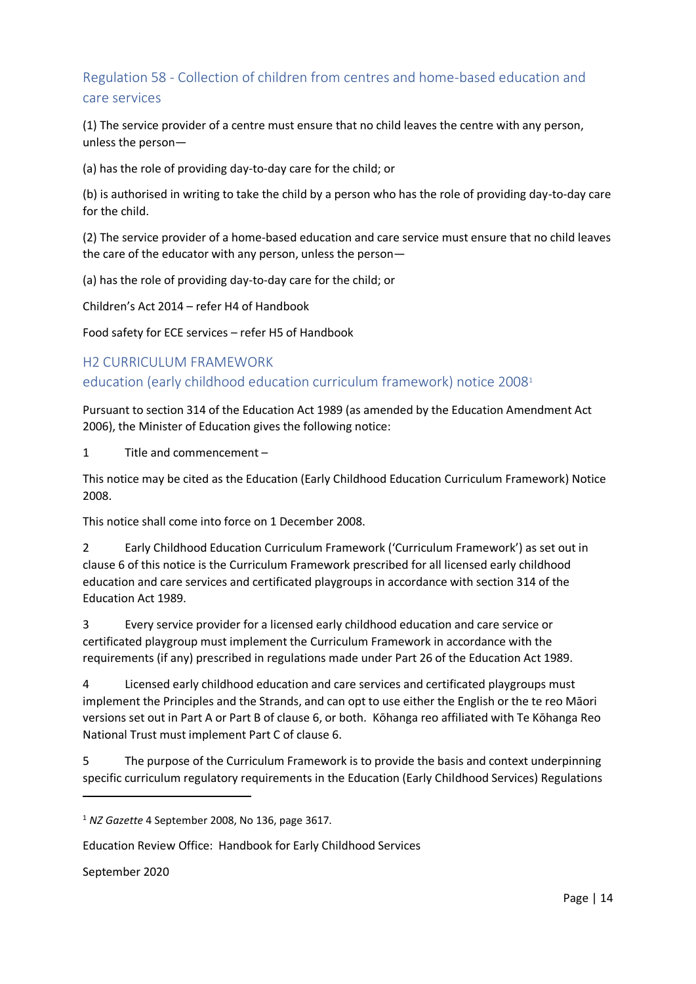# Regulation 58 - Collection of children from centres and home-based education and care services

(1) The service provider of a centre must ensure that no child leaves the centre with any person, unless the person—

(a) has the role of providing day-to-day care for the child; or

(b) is authorised in writing to take the child by a person who has the role of providing day-to-day care for the child.

(2) The service provider of a home-based education and care service must ensure that no child leaves the care of the educator with any person, unless the person—

(a) has the role of providing day-to-day care for the child; or

Children's Act 2014 – refer H4 of Handbook

Food safety for ECE services – refer H5 of Handbook

# H2 CURRICULUM FRAMEWORK

# education (early childhood education curriculum framework) notice 2008<sup>1</sup>

Pursuant to section 314 of the Education Act 1989 (as amended by the Education Amendment Act 2006), the Minister of Education gives the following notice:

1 Title and commencement –

This notice may be cited as the Education (Early Childhood Education Curriculum Framework) Notice 2008.

This notice shall come into force on 1 December 2008.

2 Early Childhood Education Curriculum Framework ('Curriculum Framework') as set out in clause 6 of this notice is the Curriculum Framework prescribed for all licensed early childhood education and care services and certificated playgroups in accordance with section 314 of the Education Act 1989.

3 Every service provider for a licensed early childhood education and care service or certificated playgroup must implement the Curriculum Framework in accordance with the requirements (if any) prescribed in regulations made under Part 26 of the Education Act 1989.

4 Licensed early childhood education and care services and certificated playgroups must implement the Principles and the Strands, and can opt to use either the English or the te reo Māori versions set out in Part A or Part B of clause 6, or both. Kōhanga reo affiliated with Te Kōhanga Reo National Trust must implement Part C of clause 6.

5 The purpose of the Curriculum Framework is to provide the basis and context underpinning specific curriculum regulatory requirements in the Education (Early Childhood Services) Regulations

September 2020

**.** 

<sup>1</sup> *NZ Gazette* 4 September 2008, No 136, page 3617.

Education Review Office: Handbook for Early Childhood Services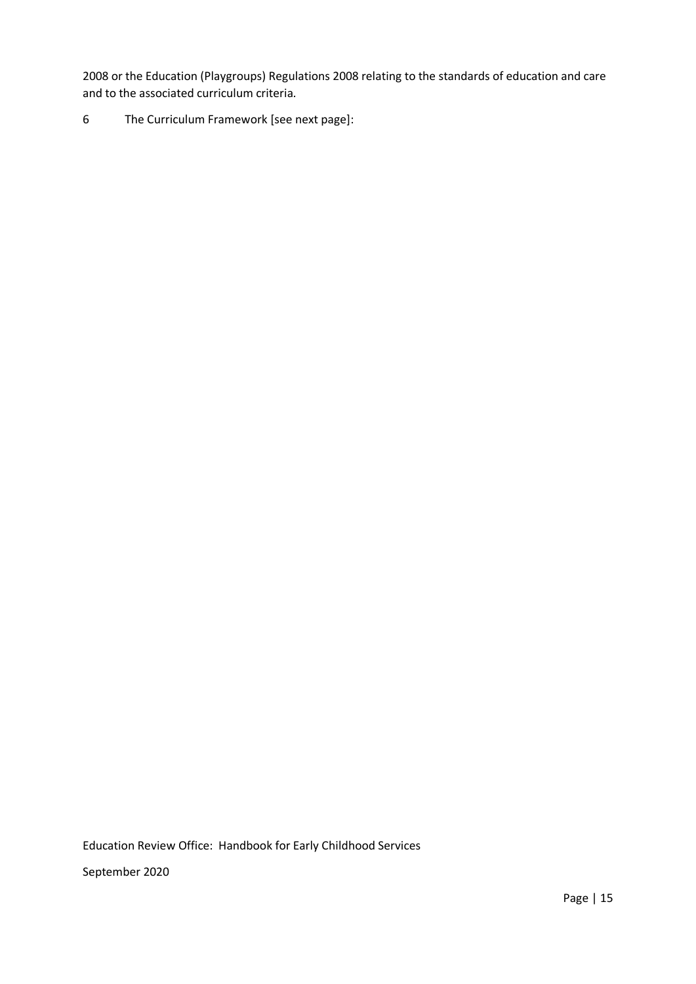2008 or the Education (Playgroups) Regulations 2008 relating to the standards of education and care and to the associated curriculum criteria*.*

6 The Curriculum Framework [see next page]:

Education Review Office: Handbook for Early Childhood Services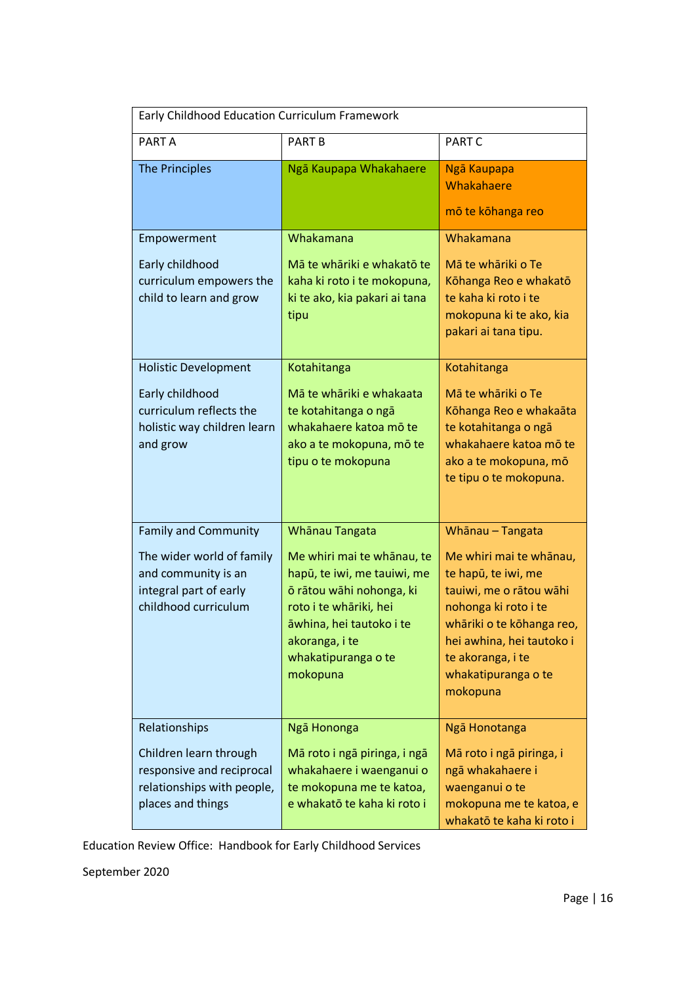| Early Childhood Education Curriculum Framework                                                                                    |                                                                                                                                                                                                                    |                                                                                                                                                                                                                                         |  |  |  |
|-----------------------------------------------------------------------------------------------------------------------------------|--------------------------------------------------------------------------------------------------------------------------------------------------------------------------------------------------------------------|-----------------------------------------------------------------------------------------------------------------------------------------------------------------------------------------------------------------------------------------|--|--|--|
| PART A                                                                                                                            | <b>PART B</b>                                                                                                                                                                                                      | <b>PART C</b>                                                                                                                                                                                                                           |  |  |  |
| <b>The Principles</b>                                                                                                             | Ngā Kaupapa Whakahaere                                                                                                                                                                                             | Ngā Kaupapa<br>Whakahaere<br>mō te kōhanga reo                                                                                                                                                                                          |  |  |  |
| Empowerment                                                                                                                       | Whakamana                                                                                                                                                                                                          | Whakamana                                                                                                                                                                                                                               |  |  |  |
| Early childhood<br>curriculum empowers the<br>child to learn and grow                                                             | Mā te whāriki e whakatō te<br>kaha ki roto i te mokopuna,<br>ki te ako, kia pakari ai tana<br>tipu                                                                                                                 | Mā te whāriki o Te<br>Kōhanga Reo e whakatō<br>te kaha ki roto i te<br>mokopuna ki te ako, kia<br>pakari ai tana tipu.                                                                                                                  |  |  |  |
| <b>Holistic Development</b><br>Early childhood<br>curriculum reflects the<br>holistic way children learn<br>and grow              | Kotahitanga<br>Mā te whāriki e whakaata<br>te kotahitanga o ngā<br>whakahaere katoa mō te<br>ako a te mokopuna, mō te<br>tipu o te mokopuna                                                                        | Kotahitanga<br>Mā te whāriki o Te<br>Kōhanga Reo e whakaāta<br>te kotahitanga o ngā<br>whakahaere katoa mō te<br>ako a te mokopuna, mō<br>te tipu o te mokopuna.                                                                        |  |  |  |
| <b>Family and Community</b><br>The wider world of family<br>and community is an<br>integral part of early<br>childhood curriculum | Whanau Tangata<br>Me whiri mai te whānau, te<br>hapū, te iwi, me tauiwi, me<br>ō rātou wāhi nohonga, ki<br>roto i te whāriki, hei<br>āwhina, hei tautoko i te<br>akoranga, i te<br>whakatipuranga o te<br>mokopuna | Whānau - Tangata<br>Me whiri mai te whānau,<br>te hapū, te iwi, me<br>tauiwi, me o rātou wāhi<br>nohonga ki roto i te<br>whāriki o te kōhanga reo,<br>hei awhina, hei tautoko i<br>te akoranga, i te<br>whakatipuranga o te<br>mokopuna |  |  |  |
| Relationships<br>Children learn through<br>responsive and reciprocal<br>relationships with people,<br>places and things           | Ngā Hononga<br>Mā roto i ngā piringa, i ngā<br>whakahaere i waenganui o<br>te mokopuna me te katoa,<br>e whakatō te kaha ki roto i                                                                                 | Ngā Honotanga<br>Mā roto i ngā piringa, i<br>ngā whakahaere i<br>waenganui o te<br>mokopuna me te katoa, e<br>whakatō te kaha ki roto i                                                                                                 |  |  |  |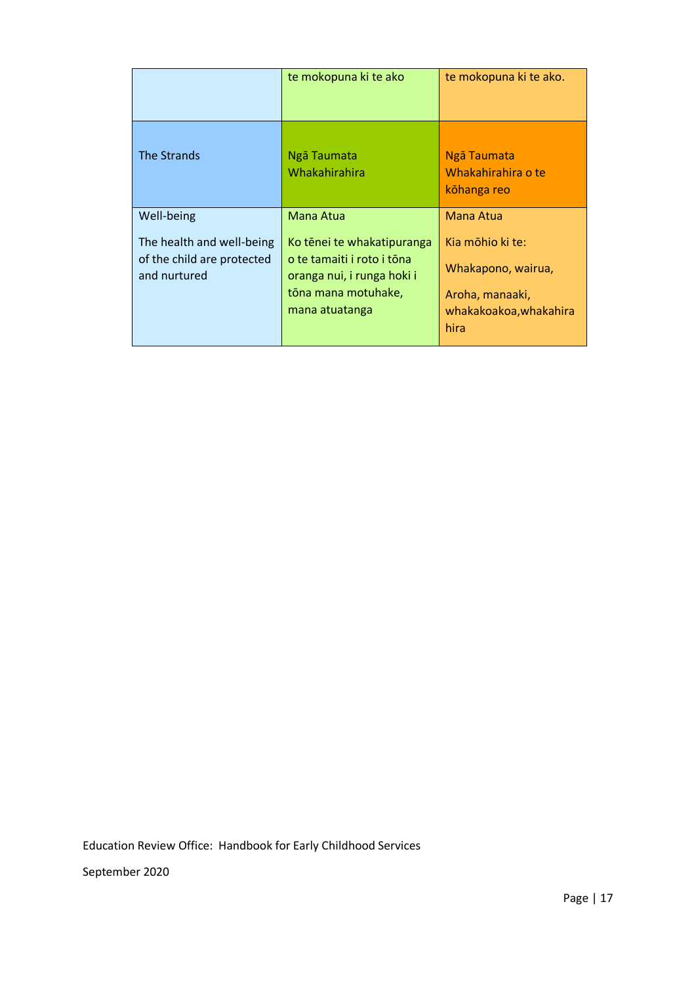|                                            | te mokopuna ki te ako                                                                             | te mokopuna ki te ako.                                                  |
|--------------------------------------------|---------------------------------------------------------------------------------------------------|-------------------------------------------------------------------------|
| The Strands                                | Ngā Taumata<br>Whakahirahira                                                                      | Ngā Taumata<br>Whakahirahira o te<br>kōhanga reo                        |
| Well-being                                 | Mana Atua                                                                                         | Mana Atua                                                               |
| The health and well-being                  | Ko tēnei te whakatipuranga                                                                        | Kia mōhio ki te:                                                        |
| of the child are protected<br>and nurtured | o te tamaiti i roto i tōna<br>oranga nui, i runga hoki i<br>tōna mana motuhake,<br>mana atuatanga | Whakapono, wairua,<br>Aroha, manaaki,<br>whakakoakoa, whakahira<br>hira |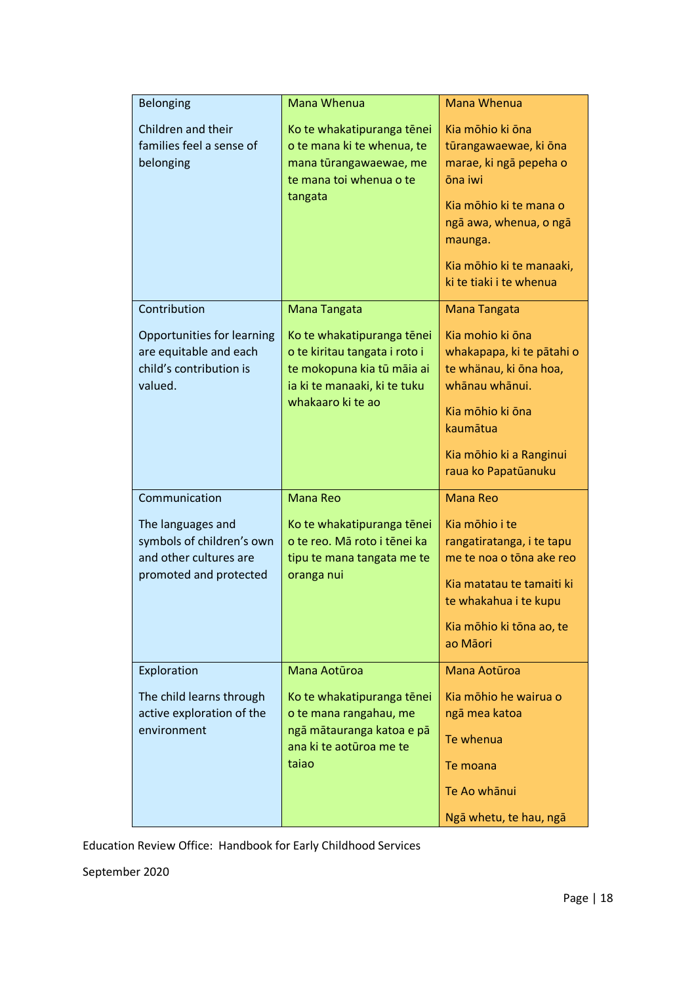| <b>Belonging</b>                                                                                                    | Mana Whenua                                                                                                                                                    | <b>Mana Whenua</b>                                                                                                                                                                                   |
|---------------------------------------------------------------------------------------------------------------------|----------------------------------------------------------------------------------------------------------------------------------------------------------------|------------------------------------------------------------------------------------------------------------------------------------------------------------------------------------------------------|
| Children and their<br>families feel a sense of<br>belonging                                                         | Ko te whakatipuranga tēnei<br>o te mana ki te whenua, te<br>mana tūrangawaewae, me<br>te mana toi whenua o te<br>tangata                                       | Kia mōhio ki ōna<br>tūrangawaewae, ki ōna<br>marae, ki ngā pepeha o<br>ōna iwi<br>Kia mōhio ki te mana o<br>ngā awa, whenua, o ngā<br>maunga.<br>Kia mōhio ki te manaaki,<br>ki te tiaki i te whenua |
| Contribution<br>Opportunities for learning<br>are equitable and each<br>child's contribution is<br>valued.          | Mana Tangata<br>Ko te whakatipuranga tēnei<br>o te kiritau tangata i roto i<br>te mokopuna kia tū māia ai<br>ia ki te manaaki, ki te tuku<br>whakaaro ki te ao | <b>Mana Tangata</b><br>Kia mohio ki ōna<br>whakapapa, ki te pātahi o<br>te whänau, ki ōna hoa,<br>whānau whānui.<br>Kia mōhio ki ōna<br>kaumātua<br>Kia mōhio ki a Ranginui<br>raua ko Papatūanuku   |
| Communication<br>The languages and<br>symbols of children's own<br>and other cultures are<br>promoted and protected | <b>Mana Reo</b><br>Ko te whakatipuranga tēnei<br>o te reo. Mā roto i tēnei ka<br>tipu te mana tangata me te<br>oranga nui                                      | <b>Mana Reo</b><br>Kia mōhio i te<br>rangatiratanga, i te tapu<br>me te noa o tōna ake reo<br>Kia matatau te tamaiti ki<br>te whakahua i te kupu<br>Kia mōhio ki tōna ao, te<br>ao Māori             |
| Exploration<br>The child learns through<br>active exploration of the<br>environment                                 | Mana Aotūroa<br>Ko te whakatipuranga tēnei<br>o te mana rangahau, me<br>ngā mātauranga katoa e pā<br>ana ki te aotūroa me te<br>taiao                          | Mana Aotūroa<br>Kia mōhio he wairua o<br>ngā mea katoa<br>Te whenua<br>Te moana<br>Te Ao whānui<br>Ngā whetu, te hau, ngā                                                                            |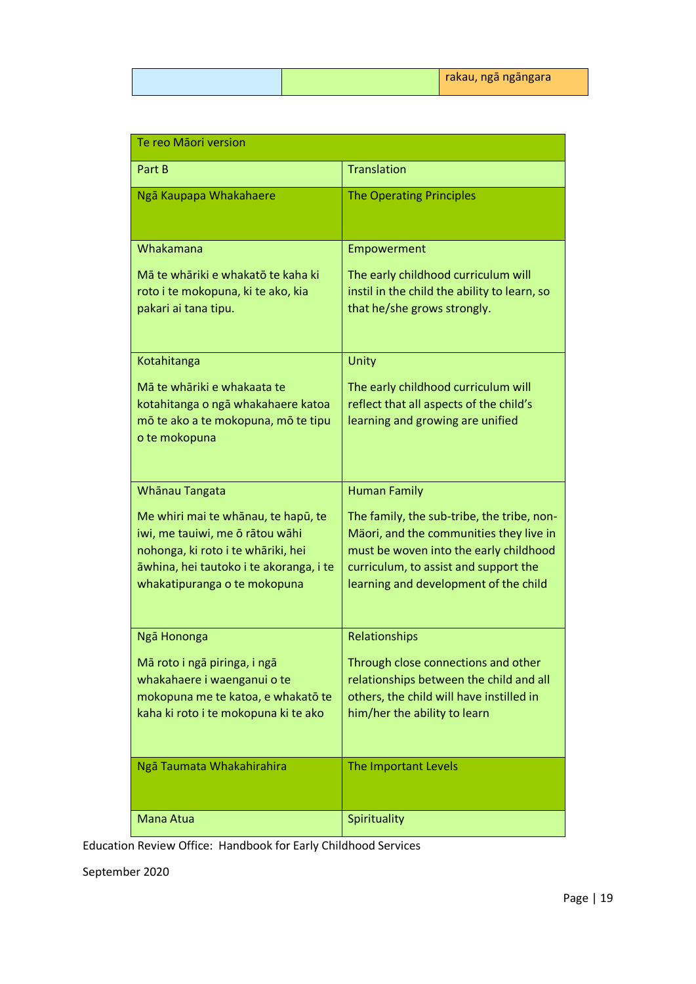| Te reo Māori version                                                                                                                                                                    |                                                                                                                                                                                                                   |
|-----------------------------------------------------------------------------------------------------------------------------------------------------------------------------------------|-------------------------------------------------------------------------------------------------------------------------------------------------------------------------------------------------------------------|
| Part B                                                                                                                                                                                  | <b>Translation</b>                                                                                                                                                                                                |
| Ngā Kaupapa Whakahaere                                                                                                                                                                  | <b>The Operating Principles</b>                                                                                                                                                                                   |
| Whakamana                                                                                                                                                                               | Empowerment                                                                                                                                                                                                       |
| Mā te whāriki e whakatō te kaha ki<br>roto i te mokopuna, ki te ako, kia<br>pakari ai tana tipu.                                                                                        | The early childhood curriculum will<br>instil in the child the ability to learn, so<br>that he/she grows strongly.                                                                                                |
| Kotahitanga                                                                                                                                                                             | Unity                                                                                                                                                                                                             |
| Mā te whāriki e whakaata te<br>kotahitanga o ngā whakahaere katoa<br>mō te ako a te mokopuna, mō te tipu<br>o te mokopuna                                                               | The early childhood curriculum will<br>reflect that all aspects of the child's<br>learning and growing are unified                                                                                                |
| Whanau Tangata                                                                                                                                                                          | <b>Human Family</b>                                                                                                                                                                                               |
| Me whiri mai te whānau, te hapū, te<br>iwi, me tauiwi, me ō rātou wāhi<br>nohonga, ki roto i te whāriki, hei<br>āwhina, hei tautoko i te akoranga, i te<br>whakatipuranga o te mokopuna | The family, the sub-tribe, the tribe, non-<br>Mäori, and the communities they live in<br>must be woven into the early childhood<br>curriculum, to assist and support the<br>learning and development of the child |
| Ngā Hononga                                                                                                                                                                             | Relationships                                                                                                                                                                                                     |
| Mā roto i ngā piringa, i ngā<br>whakahaere i waenganui o te<br>mokopuna me te katoa, e whakatō te<br>kaha ki roto i te mokopuna ki te ako                                               | Through close connections and other<br>relationships between the child and all<br>others, the child will have instilled in<br>him/her the ability to learn                                                        |
| Ngā Taumata Whakahirahira                                                                                                                                                               | The Important Levels                                                                                                                                                                                              |
| Mana Atua                                                                                                                                                                               | Spirituality                                                                                                                                                                                                      |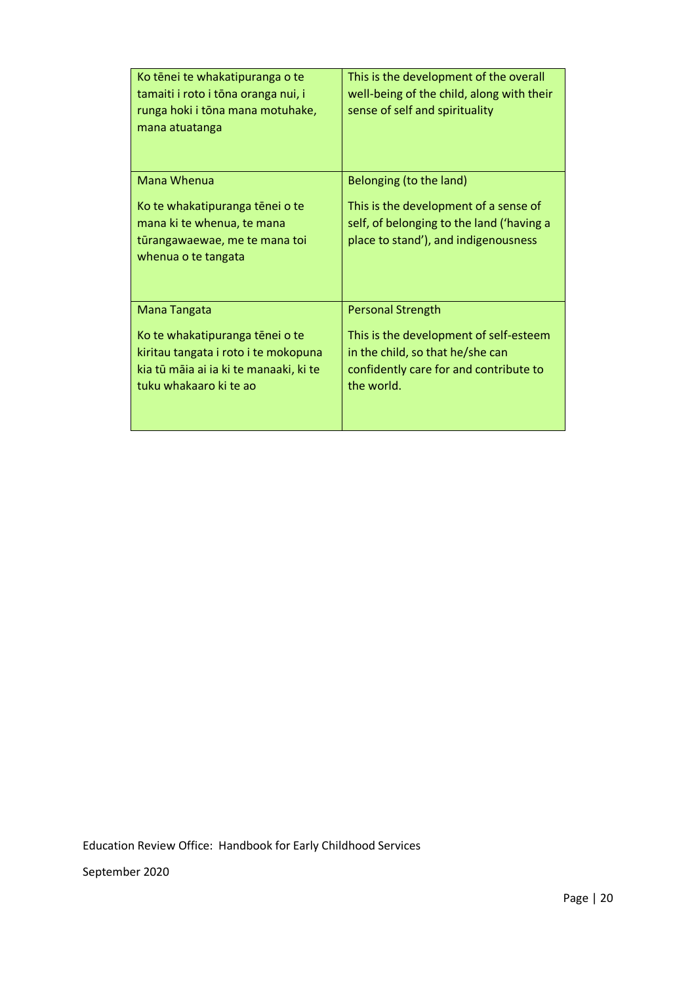| Ko tēnei te whakatipuranga o te<br>tamaiti i roto i tōna oranga nui, i<br>runga hoki i tōna mana motuhake,<br>mana atuatanga                | This is the development of the overall<br>well-being of the child, along with their<br>sense of self and spirituality              |
|---------------------------------------------------------------------------------------------------------------------------------------------|------------------------------------------------------------------------------------------------------------------------------------|
| Mana Whenua                                                                                                                                 | Belonging (to the land)                                                                                                            |
| Ko te whakatipuranga tēnei o te<br>mana ki te whenua, te mana<br>tūrangawaewae, me te mana toi<br>whenua o te tangata                       | This is the development of a sense of<br>self, of belonging to the land ('having a<br>place to stand'), and indigenousness         |
| Mana Tangata                                                                                                                                | <b>Personal Strength</b>                                                                                                           |
| Ko te whakatipuranga tēnei o te<br>kiritau tangata i roto i te mokopuna<br>kia tū māia ai ia ki te manaaki, ki te<br>tuku whakaaro ki te ao | This is the development of self-esteem<br>in the child, so that he/she can<br>confidently care for and contribute to<br>the world. |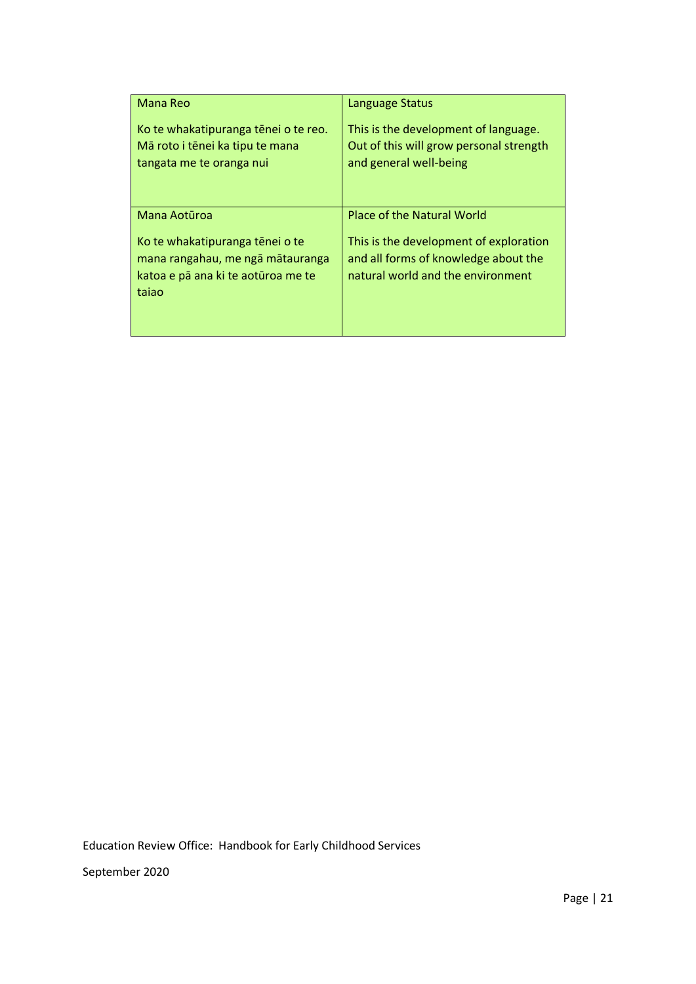| <b>Mana Reo</b>                                                                                                    | <b>Language Status</b>                                                                                              |
|--------------------------------------------------------------------------------------------------------------------|---------------------------------------------------------------------------------------------------------------------|
| Ko te whakatipuranga tēnei o te reo.<br>Mā roto i tēnei ka tipu te mana<br>tangata me te oranga nui                | This is the development of language.<br>Out of this will grow personal strength<br>and general well-being           |
| Mana Aotūroa                                                                                                       | Place of the Natural World                                                                                          |
| Ko te whakatipuranga tēnei o te<br>mana rangahau, me ngā mātauranga<br>katoa e pā ana ki te aotūroa me te<br>tajao | This is the development of exploration<br>and all forms of knowledge about the<br>natural world and the environment |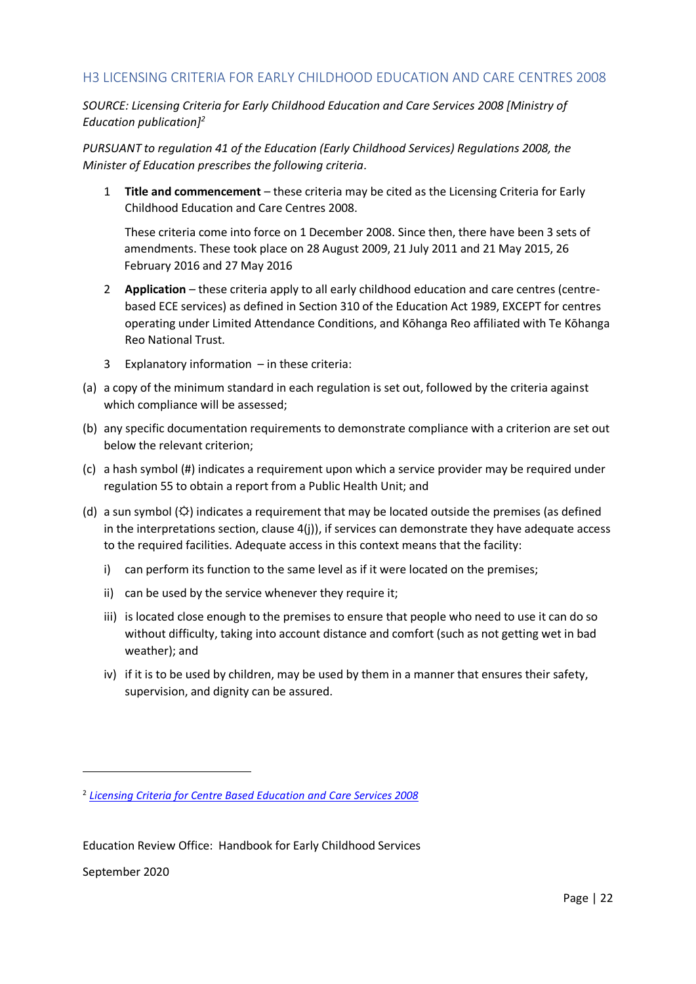# H3 LICENSING CRITERIA FOR EARLY CHILDHOOD EDUCATION AND CARE CENTRES 2008

*SOURCE: Licensing Criteria for Early Childhood Education and Care Services 2008 [Ministry of Education publication]<sup>2</sup>*

*PURSUANT to regulation 41 of the Education (Early Childhood Services) Regulations 2008, the Minister of Education prescribes the following criteria.*

1 **Title and commencement** – these criteria may be cited as the Licensing Criteria for Early Childhood Education and Care Centres 2008.

These criteria come into force on 1 December 2008. Since then, there have been 3 sets of amendments. These took place on 28 August 2009, 21 July 2011 and 21 May 2015, 26 February 2016 and 27 May 2016

- 2 **Application** these criteria apply to all early childhood education and care centres (centrebased ECE services) as defined in Section 310 of the Education Act 1989, EXCEPT for centres operating under Limited Attendance Conditions, and Kōhanga Reo affiliated with Te Kōhanga Reo National Trust.
- 3 Explanatory information in these criteria:
- (a) a copy of the minimum standard in each regulation is set out, followed by the criteria against which compliance will be assessed;
- (b) any specific documentation requirements to demonstrate compliance with a criterion are set out below the relevant criterion;
- (c) a hash symbol (#) indicates a requirement upon which a service provider may be required under regulation 55 to obtain a report from a Public Health Unit; and
- (d) a sun symbol ( $\circledcirc$ ) indicates a requirement that may be located outside the premises (as defined in the interpretations section, clause 4(j)), if services can demonstrate they have adequate access to the required facilities. Adequate access in this context means that the facility:
	- i) can perform its function to the same level as if it were located on the premises;
	- ii) can be used by the service whenever they require it;
	- iii) is located close enough to the premises to ensure that people who need to use it can do so without difficulty, taking into account distance and comfort (such as not getting wet in bad weather); and
	- iv) if it is to be used by children, may be used by them in a manner that ensures their safety, supervision, and dignity can be assured.

September 2020

-

<sup>2</sup> *[Licensing Criteria for Centre Based Education and Care Services 2008](http://www.education.govt.nz/assets/Documents/Early-Childhood/Licensing-criteria/Centre-based-ECE-services/CentreBased2008LicensingCriteriaECECareCentresBookletUpdatedMay2016.pdf)*

Education Review Office: Handbook for Early Childhood Services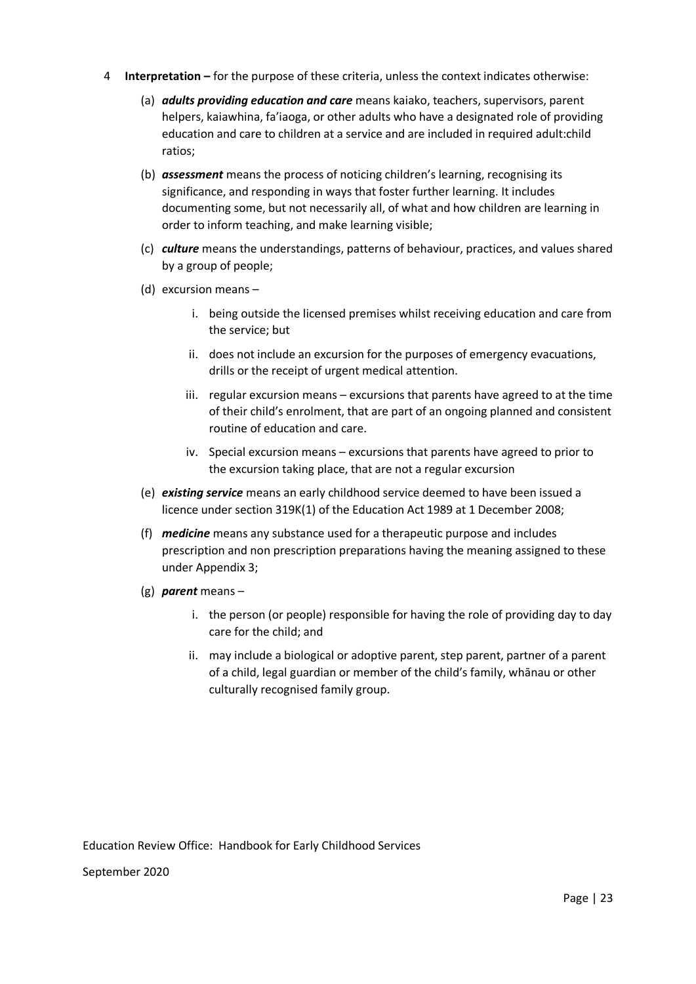- 4 **Interpretation –** for the purpose of these criteria, unless the context indicates otherwise:
	- (a) *adults providing education and care* means kaiako, teachers, supervisors, parent helpers, kaiawhina, fa'iaoga, or other adults who have a designated role of providing education and care to children at a service and are included in required adult:child ratios;
	- (b) *assessment* means the process of noticing children's learning, recognising its significance, and responding in ways that foster further learning. It includes documenting some, but not necessarily all, of what and how children are learning in order to inform teaching, and make learning visible;
	- (c) *culture* means the understandings, patterns of behaviour, practices, and values shared by a group of people;
	- (d) excursion means
		- i. being outside the licensed premises whilst receiving education and care from the service; but
		- ii. does not include an excursion for the purposes of emergency evacuations, drills or the receipt of urgent medical attention.
		- iii. regular excursion means excursions that parents have agreed to at the time of their child's enrolment, that are part of an ongoing planned and consistent routine of education and care.
		- iv. Special excursion means excursions that parents have agreed to prior to the excursion taking place, that are not a regular excursion
	- (e) *existing service* means an early childhood service deemed to have been issued a licence under section 319K(1) of the Education Act 1989 at 1 December 2008;
	- (f) *medicine* means any substance used for a therapeutic purpose and includes prescription and non prescription preparations having the meaning assigned to these under Appendix 3;
	- (g) *parent* means
		- i. the person (or people) responsible for having the role of providing day to day care for the child; and
		- ii. may include a biological or adoptive parent, step parent, partner of a parent of a child, legal guardian or member of the child's family, whānau or other culturally recognised family group.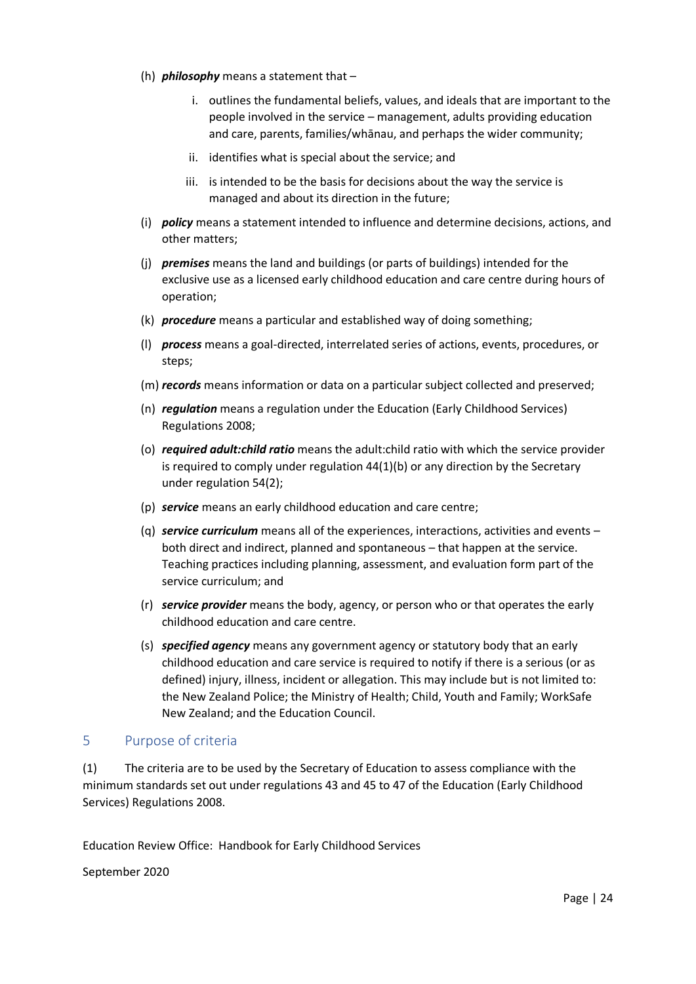- (h) *philosophy* means a statement that
	- i. outlines the fundamental beliefs, values, and ideals that are important to the people involved in the service – management, adults providing education and care, parents, families/whānau, and perhaps the wider community;
	- ii. identifies what is special about the service; and
	- iii. is intended to be the basis for decisions about the way the service is managed and about its direction in the future;
- (i) *policy* means a statement intended to influence and determine decisions, actions, and other matters;
- (j) *premises* means the land and buildings (or parts of buildings) intended for the exclusive use as a licensed early childhood education and care centre during hours of operation;
- (k) *procedure* means a particular and established way of doing something;
- (l) *process* means a goal-directed, interrelated series of actions, events, procedures, or steps;
- (m) *records* means information or data on a particular subject collected and preserved;
- (n) *regulation* means a regulation under the Education (Early Childhood Services) Regulations 2008;
- (o) *required adult:child ratio* means the adult:child ratio with which the service provider is required to comply under regulation 44(1)(b) or any direction by the Secretary under regulation 54(2);
- (p) *service* means an early childhood education and care centre;
- (q) *service curriculum* means all of the experiences, interactions, activities and events both direct and indirect, planned and spontaneous – that happen at the service. Teaching practices including planning, assessment, and evaluation form part of the service curriculum; and
- (r) *service provider* means the body, agency, or person who or that operates the early childhood education and care centre.
- (s) *specified agency* means any government agency or statutory body that an early childhood education and care service is required to notify if there is a serious (or as defined) injury, illness, incident or allegation. This may include but is not limited to: the New Zealand Police; the Ministry of Health; Child, Youth and Family; WorkSafe New Zealand; and the Education Council.

## 5 Purpose of criteria

(1) The criteria are to be used by the Secretary of Education to assess compliance with the minimum standards set out under regulations 43 and 45 to 47 of the Education (Early Childhood Services) Regulations 2008.

Education Review Office: Handbook for Early Childhood Services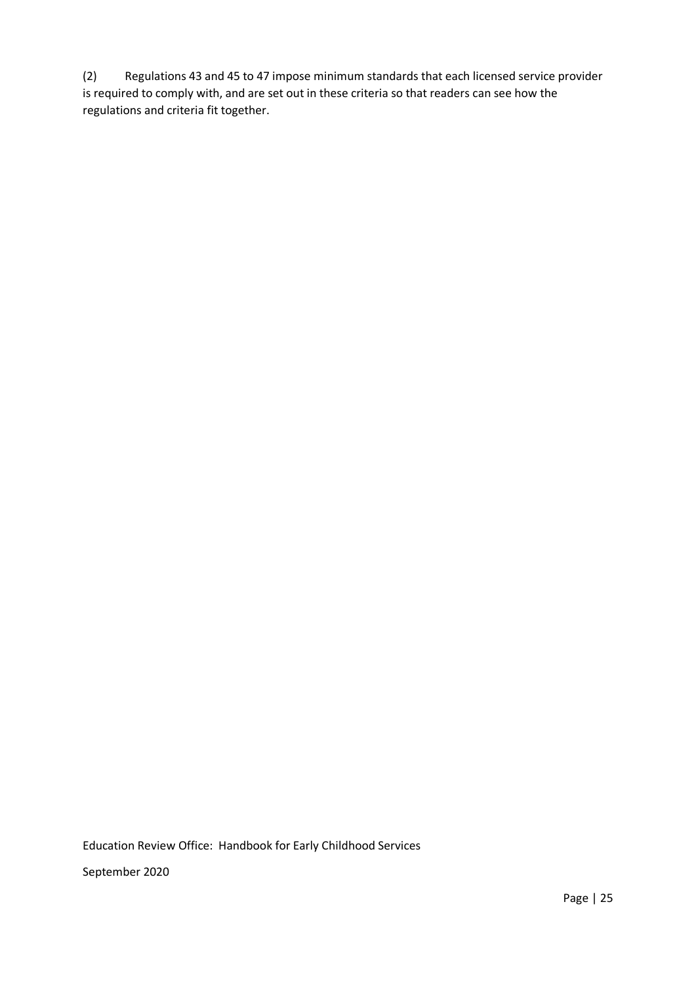(2) Regulations 43 and 45 to 47 impose minimum standards that each licensed service provider is required to comply with, and are set out in these criteria so that readers can see how the regulations and criteria fit together.

Education Review Office: Handbook for Early Childhood Services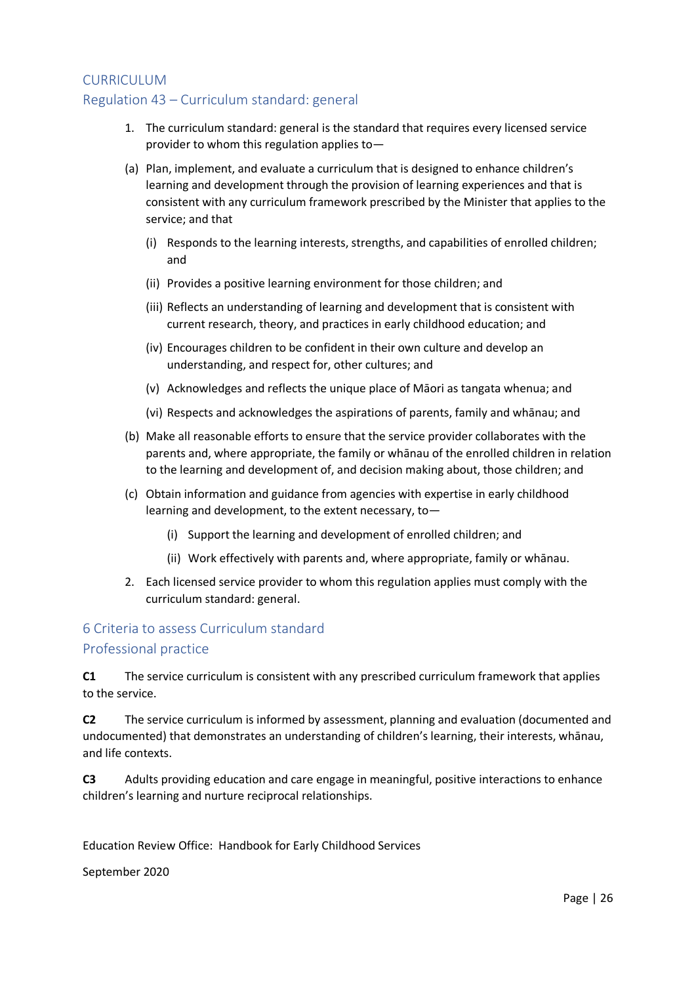# CURRICULUM Regulation 43 – Curriculum standard: general

- 1. The curriculum standard: general is the standard that requires every licensed service provider to whom this regulation applies to—
- (a) Plan, implement, and evaluate a curriculum that is designed to enhance children's learning and development through the provision of learning experiences and that is consistent with any curriculum framework prescribed by the Minister that applies to the service; and that
	- (i) Responds to the learning interests, strengths, and capabilities of enrolled children; and
	- (ii) Provides a positive learning environment for those children; and
	- (iii) Reflects an understanding of learning and development that is consistent with current research, theory, and practices in early childhood education; and
	- (iv) Encourages children to be confident in their own culture and develop an understanding, and respect for, other cultures; and
	- (v) Acknowledges and reflects the unique place of Māori as tangata whenua; and
	- (vi) Respects and acknowledges the aspirations of parents, family and whānau; and
- (b) Make all reasonable efforts to ensure that the service provider collaborates with the parents and, where appropriate, the family or whānau of the enrolled children in relation to the learning and development of, and decision making about, those children; and
- (c) Obtain information and guidance from agencies with expertise in early childhood learning and development, to the extent necessary, to—
	- (i) Support the learning and development of enrolled children; and
	- (ii) Work effectively with parents and, where appropriate, family or whānau.
- 2. Each licensed service provider to whom this regulation applies must comply with the curriculum standard: general.

## 6 Criteria to assess Curriculum standard

## Professional practice

**C1** The service curriculum is consistent with any prescribed curriculum framework that applies to the service.

**C2** The service curriculum is informed by assessment, planning and evaluation (documented and undocumented) that demonstrates an understanding of children's learning, their interests, whānau, and life contexts.

**C3** Adults providing education and care engage in meaningful, positive interactions to enhance children's learning and nurture reciprocal relationships.

Education Review Office: Handbook for Early Childhood Services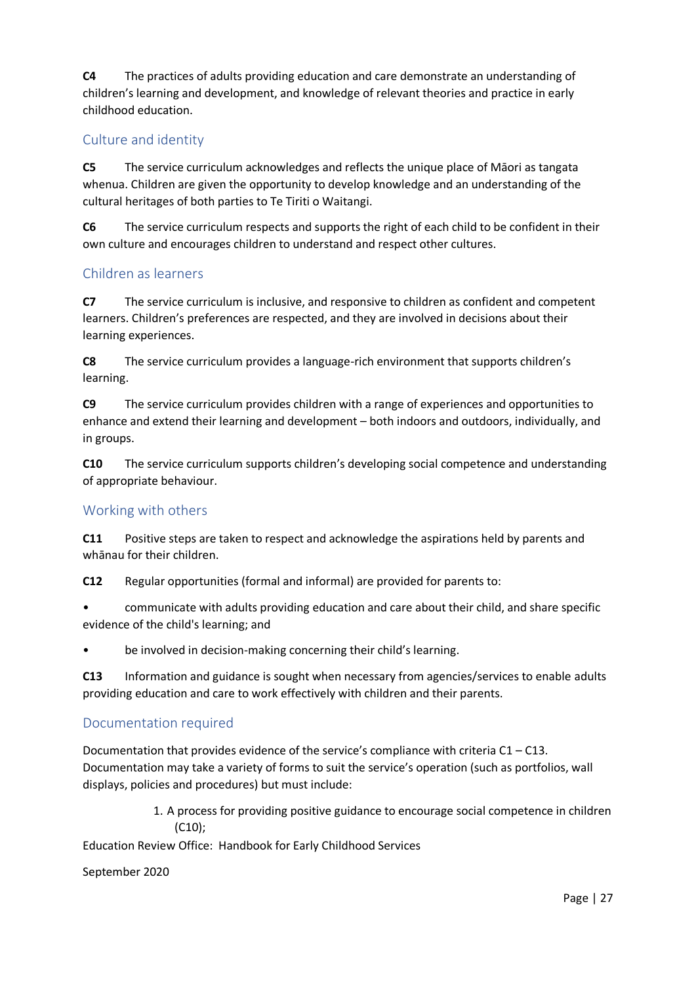**C4** The practices of adults providing education and care demonstrate an understanding of children's learning and development, and knowledge of relevant theories and practice in early childhood education.

# Culture and identity

**C5** The service curriculum acknowledges and reflects the unique place of Māori as tangata whenua. Children are given the opportunity to develop knowledge and an understanding of the cultural heritages of both parties to Te Tiriti o Waitangi.

**C6** The service curriculum respects and supports the right of each child to be confident in their own culture and encourages children to understand and respect other cultures.

# Children as learners

**C7** The service curriculum is inclusive, and responsive to children as confident and competent learners. Children's preferences are respected, and they are involved in decisions about their learning experiences.

**C8** The service curriculum provides a language-rich environment that supports children's learning.

**C9** The service curriculum provides children with a range of experiences and opportunities to enhance and extend their learning and development – both indoors and outdoors, individually, and in groups.

**C10** The service curriculum supports children's developing social competence and understanding of appropriate behaviour.

## Working with others

**C11** Positive steps are taken to respect and acknowledge the aspirations held by parents and whānau for their children.

**C12** Regular opportunities (formal and informal) are provided for parents to:

• communicate with adults providing education and care about their child, and share specific evidence of the child's learning; and

• be involved in decision-making concerning their child's learning.

**C13** Information and guidance is sought when necessary from agencies/services to enable adults providing education and care to work effectively with children and their parents.

## Documentation required

Documentation that provides evidence of the service's compliance with criteria  $C1 - C13$ . Documentation may take a variety of forms to suit the service's operation (such as portfolios, wall displays, policies and procedures) but must include:

> 1. A process for providing positive guidance to encourage social competence in children (C10);

Education Review Office: Handbook for Early Childhood Services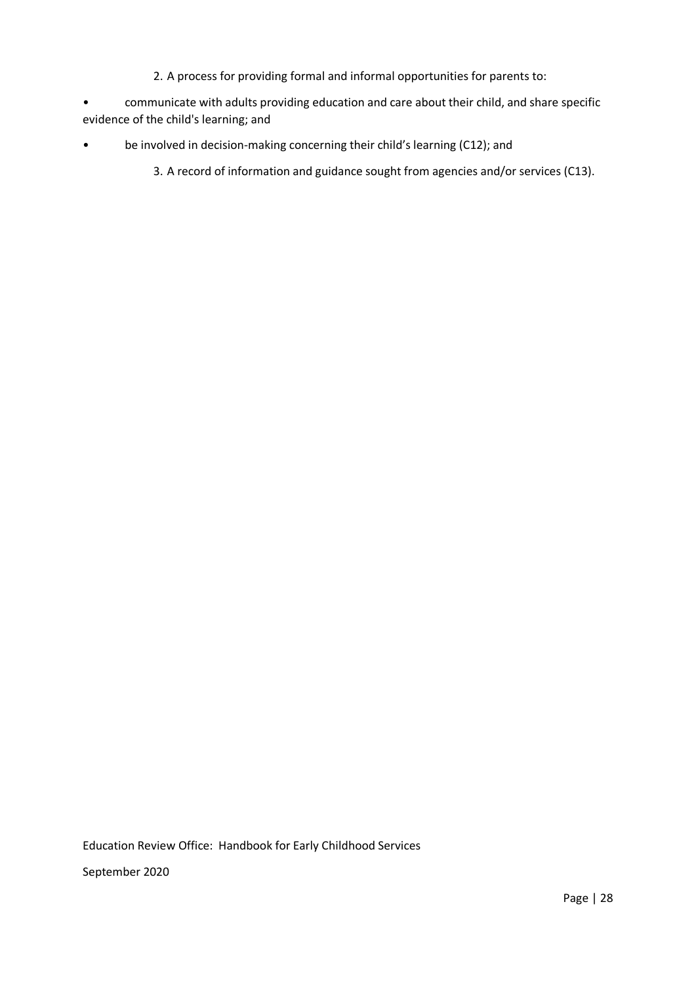- 2. A process for providing formal and informal opportunities for parents to:
- communicate with adults providing education and care about their child, and share specific evidence of the child's learning; and
- be involved in decision-making concerning their child's learning (C12); and
	- 3. A record of information and guidance sought from agencies and/or services (C13).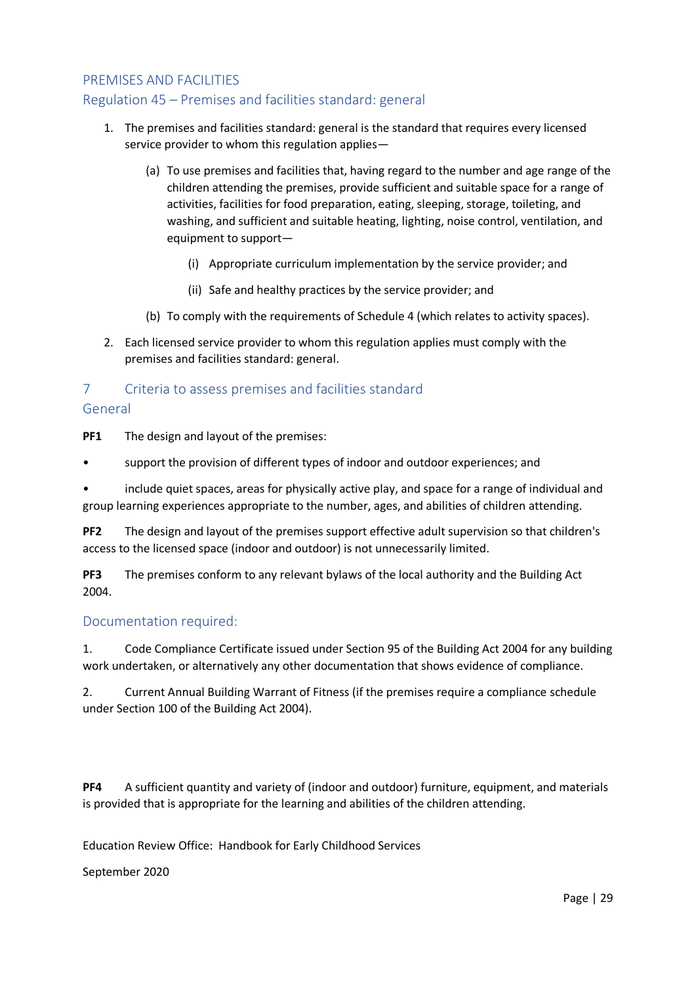# PREMISES AND FACILITIES

# Regulation 45 – Premises and facilities standard: general

- 1. The premises and facilities standard: general is the standard that requires every licensed service provider to whom this regulation applies—
	- (a) To use premises and facilities that, having regard to the number and age range of the children attending the premises, provide sufficient and suitable space for a range of activities, facilities for food preparation, eating, sleeping, storage, toileting, and washing, and sufficient and suitable heating, lighting, noise control, ventilation, and equipment to support—
		- (i) Appropriate curriculum implementation by the service provider; and
		- (ii) Safe and healthy practices by the service provider; and
	- (b) To comply with the requirements of Schedule 4 (which relates to activity spaces).
- 2. Each licensed service provider to whom this regulation applies must comply with the premises and facilities standard: general.

# 7 Criteria to assess premises and facilities standard General

**PF1** The design and layout of the premises:

support the provision of different types of indoor and outdoor experiences; and

• include quiet spaces, areas for physically active play, and space for a range of individual and group learning experiences appropriate to the number, ages, and abilities of children attending.

**PF2** The design and layout of the premises support effective adult supervision so that children's access to the licensed space (indoor and outdoor) is not unnecessarily limited.

**PF3** The premises conform to any relevant bylaws of the local authority and the Building Act 2004.

## Documentation required:

1. Code Compliance Certificate issued under Section 95 of the Building Act 2004 for any building work undertaken, or alternatively any other documentation that shows evidence of compliance.

2. Current Annual Building Warrant of Fitness (if the premises require a compliance schedule under Section 100 of the Building Act 2004).

**PF4** A sufficient quantity and variety of (indoor and outdoor) furniture, equipment, and materials is provided that is appropriate for the learning and abilities of the children attending.

Education Review Office: Handbook for Early Childhood Services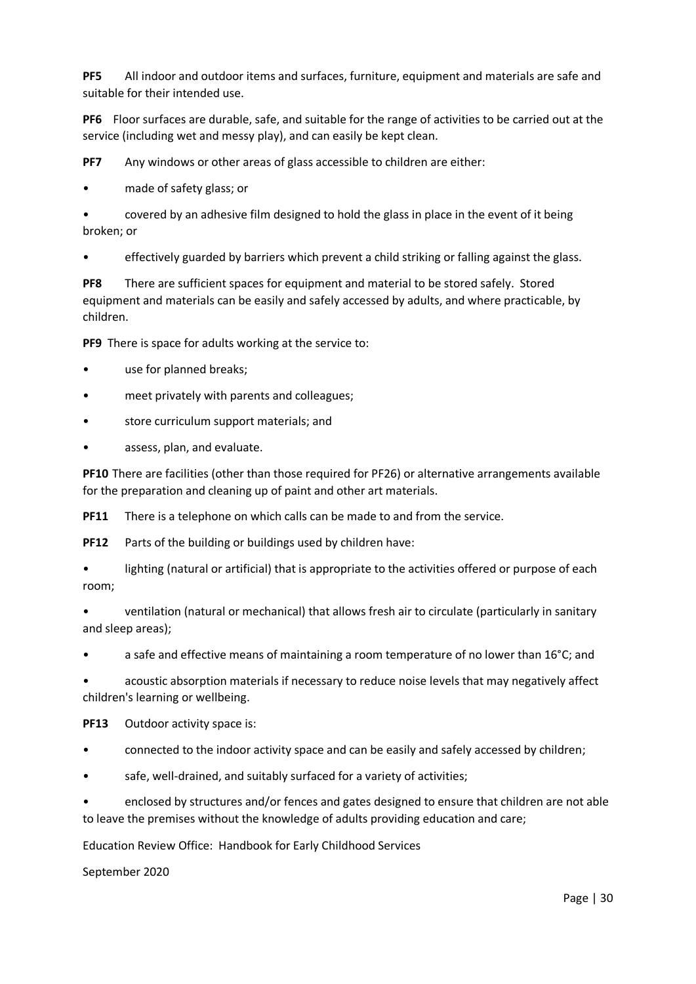**PF5** All indoor and outdoor items and surfaces, furniture, equipment and materials are safe and suitable for their intended use.

**PF6** Floor surfaces are durable, safe, and suitable for the range of activities to be carried out at the service (including wet and messy play), and can easily be kept clean.

**PF7** Any windows or other areas of glass accessible to children are either:

• made of safety glass; or

• covered by an adhesive film designed to hold the glass in place in the event of it being broken; or

• effectively guarded by barriers which prevent a child striking or falling against the glass.

**PF8** There are sufficient spaces for equipment and material to be stored safely. Stored equipment and materials can be easily and safely accessed by adults, and where practicable, by children.

**PF9** There is space for adults working at the service to:

- use for planned breaks;
- meet privately with parents and colleagues;
- store curriculum support materials; and
- assess, plan, and evaluate.

**PF10** There are facilities (other than those required for PF26) or alternative arrangements available for the preparation and cleaning up of paint and other art materials.

**PF11** There is a telephone on which calls can be made to and from the service.

**PF12** Parts of the building or buildings used by children have:

lighting (natural or artificial) that is appropriate to the activities offered or purpose of each room;

• ventilation (natural or mechanical) that allows fresh air to circulate (particularly in sanitary and sleep areas);

• a safe and effective means of maintaining a room temperature of no lower than 16°C; and

• acoustic absorption materials if necessary to reduce noise levels that may negatively affect children's learning or wellbeing.

**PF13** Outdoor activity space is:

- connected to the indoor activity space and can be easily and safely accessed by children;
- safe, well-drained, and suitably surfaced for a variety of activities;

• enclosed by structures and/or fences and gates designed to ensure that children are not able to leave the premises without the knowledge of adults providing education and care;

Education Review Office: Handbook for Early Childhood Services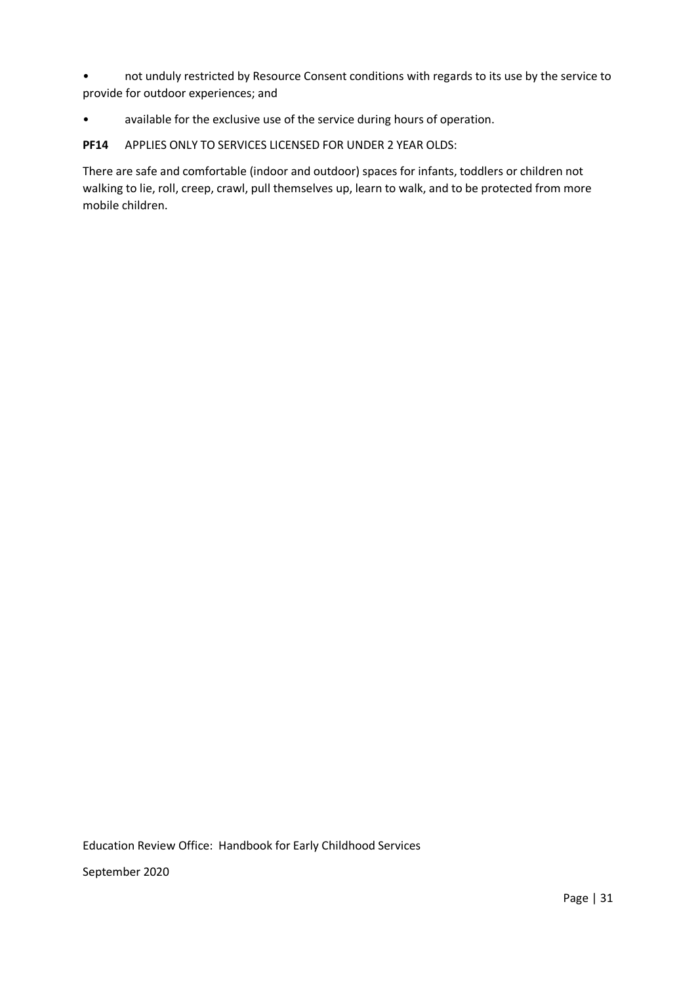• not unduly restricted by Resource Consent conditions with regards to its use by the service to provide for outdoor experiences; and

• available for the exclusive use of the service during hours of operation.

**PF14** APPLIES ONLY TO SERVICES LICENSED FOR UNDER 2 YEAR OLDS:

There are safe and comfortable (indoor and outdoor) spaces for infants, toddlers or children not walking to lie, roll, creep, crawl, pull themselves up, learn to walk, and to be protected from more mobile children.

Education Review Office: Handbook for Early Childhood Services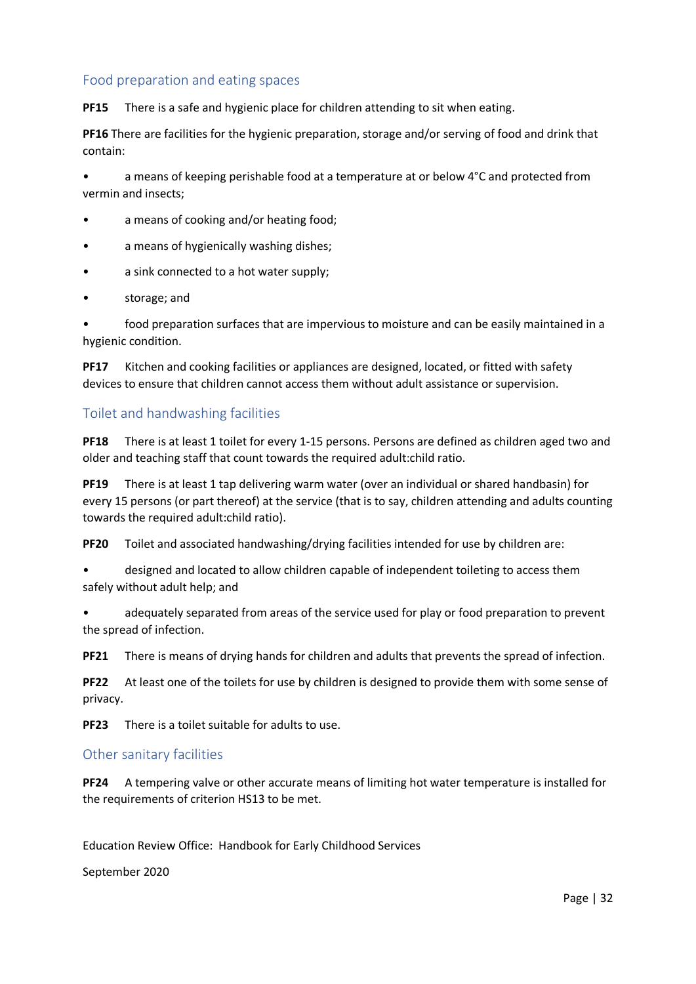# Food preparation and eating spaces

**PF15** There is a safe and hygienic place for children attending to sit when eating.

**PF16** There are facilities for the hygienic preparation, storage and/or serving of food and drink that contain:

• a means of keeping perishable food at a temperature at or below 4°C and protected from vermin and insects;

- a means of cooking and/or heating food;
- a means of hygienically washing dishes;
- a sink connected to a hot water supply;
- storage; and

• food preparation surfaces that are impervious to moisture and can be easily maintained in a hygienic condition.

**PF17** Kitchen and cooking facilities or appliances are designed, located, or fitted with safety devices to ensure that children cannot access them without adult assistance or supervision.

## Toilet and handwashing facilities

**PF18** There is at least 1 toilet for every 1-15 persons. Persons are defined as children aged two and older and teaching staff that count towards the required adult:child ratio.

**PF19** There is at least 1 tap delivering warm water (over an individual or shared handbasin) for every 15 persons (or part thereof) at the service (that is to say, children attending and adults counting towards the required adult:child ratio).

**PF20** Toilet and associated handwashing/drying facilities intended for use by children are:

• designed and located to allow children capable of independent toileting to access them safely without adult help; and

• adequately separated from areas of the service used for play or food preparation to prevent the spread of infection.

**PF21** There is means of drying hands for children and adults that prevents the spread of infection.

**PF22** At least one of the toilets for use by children is designed to provide them with some sense of privacy.

**PF23** There is a toilet suitable for adults to use.

## Other sanitary facilities

**PF24** A tempering valve or other accurate means of limiting hot water temperature is installed for the requirements of criterion HS13 to be met.

Education Review Office: Handbook for Early Childhood Services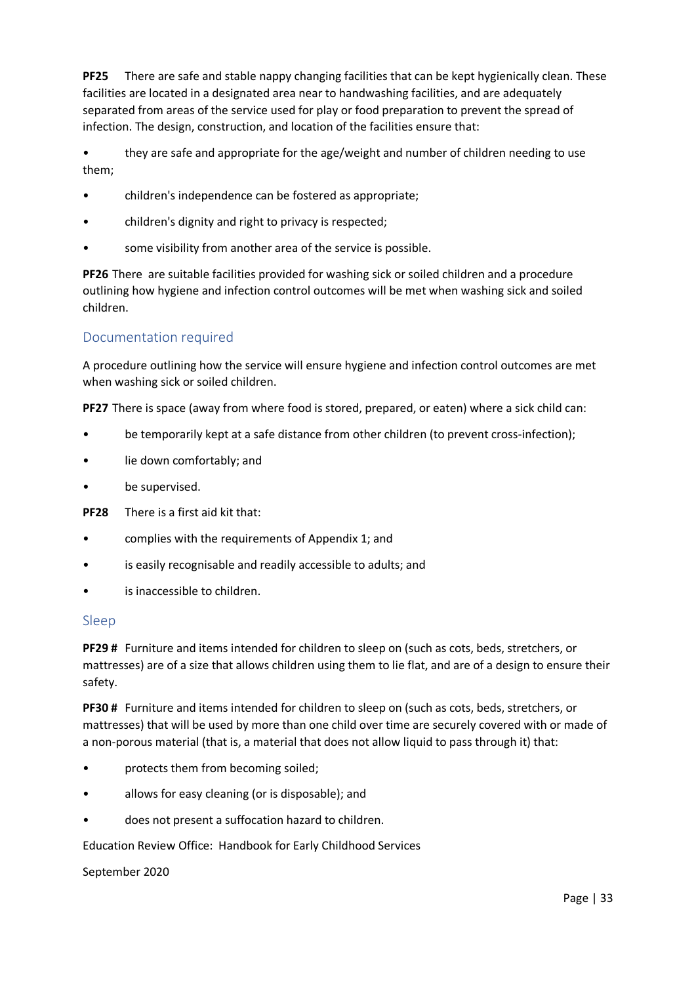**PF25** There are safe and stable nappy changing facilities that can be kept hygienically clean. These facilities are located in a designated area near to handwashing facilities, and are adequately separated from areas of the service used for play or food preparation to prevent the spread of infection. The design, construction, and location of the facilities ensure that:

• they are safe and appropriate for the age/weight and number of children needing to use them;

- children's independence can be fostered as appropriate;
- children's dignity and right to privacy is respected;
- some visibility from another area of the service is possible.

**PF26** There are suitable facilities provided for washing sick or soiled children and a procedure outlining how hygiene and infection control outcomes will be met when washing sick and soiled children.

## Documentation required

A procedure outlining how the service will ensure hygiene and infection control outcomes are met when washing sick or soiled children.

**PF27** There is space (away from where food is stored, prepared, or eaten) where a sick child can:

- be temporarily kept at a safe distance from other children (to prevent cross-infection);
- lie down comfortably; and
- be supervised.

**PF28** There is a first aid kit that:

- complies with the requirements of Appendix 1; and
- is easily recognisable and readily accessible to adults; and
- is inaccessible to children.

### Sleep

**PF29 #** Furniture and items intended for children to sleep on (such as cots, beds, stretchers, or mattresses) are of a size that allows children using them to lie flat, and are of a design to ensure their safety.

**PF30 #** Furniture and items intended for children to sleep on (such as cots, beds, stretchers, or mattresses) that will be used by more than one child over time are securely covered with or made of a non-porous material (that is, a material that does not allow liquid to pass through it) that:

- protects them from becoming soiled;
- allows for easy cleaning (or is disposable); and
- does not present a suffocation hazard to children.

Education Review Office: Handbook for Early Childhood Services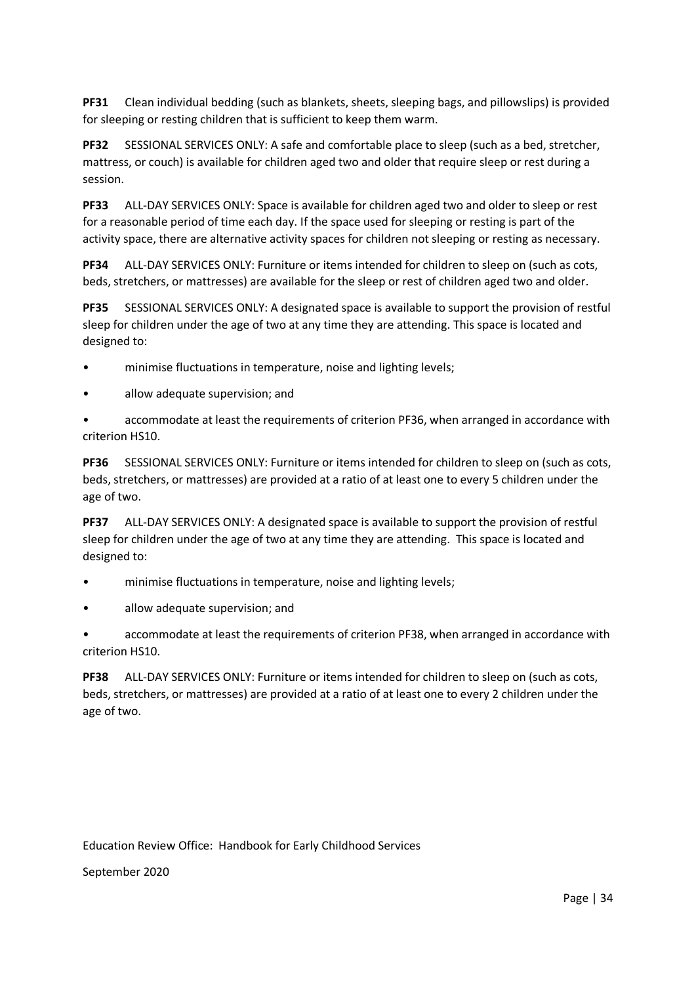**PF31** Clean individual bedding (such as blankets, sheets, sleeping bags, and pillowslips) is provided for sleeping or resting children that is sufficient to keep them warm.

**PF32** SESSIONAL SERVICES ONLY: A safe and comfortable place to sleep (such as a bed, stretcher, mattress, or couch) is available for children aged two and older that require sleep or rest during a session.

**PF33** ALL-DAY SERVICES ONLY: Space is available for children aged two and older to sleep or rest for a reasonable period of time each day. If the space used for sleeping or resting is part of the activity space, there are alternative activity spaces for children not sleeping or resting as necessary.

**PF34** ALL-DAY SERVICES ONLY: Furniture or items intended for children to sleep on (such as cots, beds, stretchers, or mattresses) are available for the sleep or rest of children aged two and older.

**PF35** SESSIONAL SERVICES ONLY: A designated space is available to support the provision of restful sleep for children under the age of two at any time they are attending. This space is located and designed to:

- minimise fluctuations in temperature, noise and lighting levels;
- allow adequate supervision; and

• accommodate at least the requirements of criterion PF36, when arranged in accordance with criterion HS10.

**PF36** SESSIONAL SERVICES ONLY: Furniture or items intended for children to sleep on (such as cots, beds, stretchers, or mattresses) are provided at a ratio of at least one to every 5 children under the age of two.

**PF37** ALL-DAY SERVICES ONLY: A designated space is available to support the provision of restful sleep for children under the age of two at any time they are attending. This space is located and designed to:

- minimise fluctuations in temperature, noise and lighting levels;
- allow adequate supervision; and

• accommodate at least the requirements of criterion PF38, when arranged in accordance with criterion HS10.

**PF38** ALL-DAY SERVICES ONLY: Furniture or items intended for children to sleep on (such as cots, beds, stretchers, or mattresses) are provided at a ratio of at least one to every 2 children under the age of two.

Education Review Office: Handbook for Early Childhood Services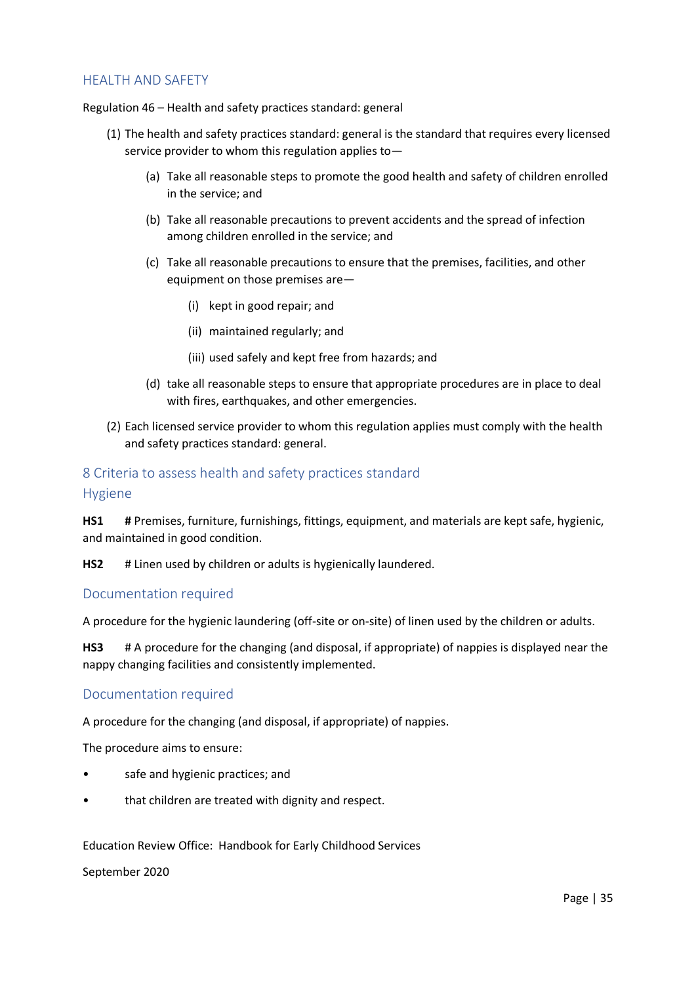# HEALTH AND SAFETY

Regulation 46 – Health and safety practices standard: general

- (1) The health and safety practices standard: general is the standard that requires every licensed service provider to whom this regulation applies to—
	- (a) Take all reasonable steps to promote the good health and safety of children enrolled in the service; and
	- (b) Take all reasonable precautions to prevent accidents and the spread of infection among children enrolled in the service; and
	- (c) Take all reasonable precautions to ensure that the premises, facilities, and other equipment on those premises are—
		- (i) kept in good repair; and
		- (ii) maintained regularly; and
		- (iii) used safely and kept free from hazards; and
	- (d) take all reasonable steps to ensure that appropriate procedures are in place to deal with fires, earthquakes, and other emergencies.
- (2) Each licensed service provider to whom this regulation applies must comply with the health and safety practices standard: general.

# 8 Criteria to assess health and safety practices standard Hygiene

**HS1 #** Premises, furniture, furnishings, fittings, equipment, and materials are kept safe, hygienic, and maintained in good condition.

**HS2** # Linen used by children or adults is hygienically laundered.

### Documentation required

A procedure for the hygienic laundering (off-site or on-site) of linen used by the children or adults.

**HS3** # A procedure for the changing (and disposal, if appropriate) of nappies is displayed near the nappy changing facilities and consistently implemented.

## Documentation required

A procedure for the changing (and disposal, if appropriate) of nappies.

The procedure aims to ensure:

- safe and hygienic practices; and
- that children are treated with dignity and respect.

Education Review Office: Handbook for Early Childhood Services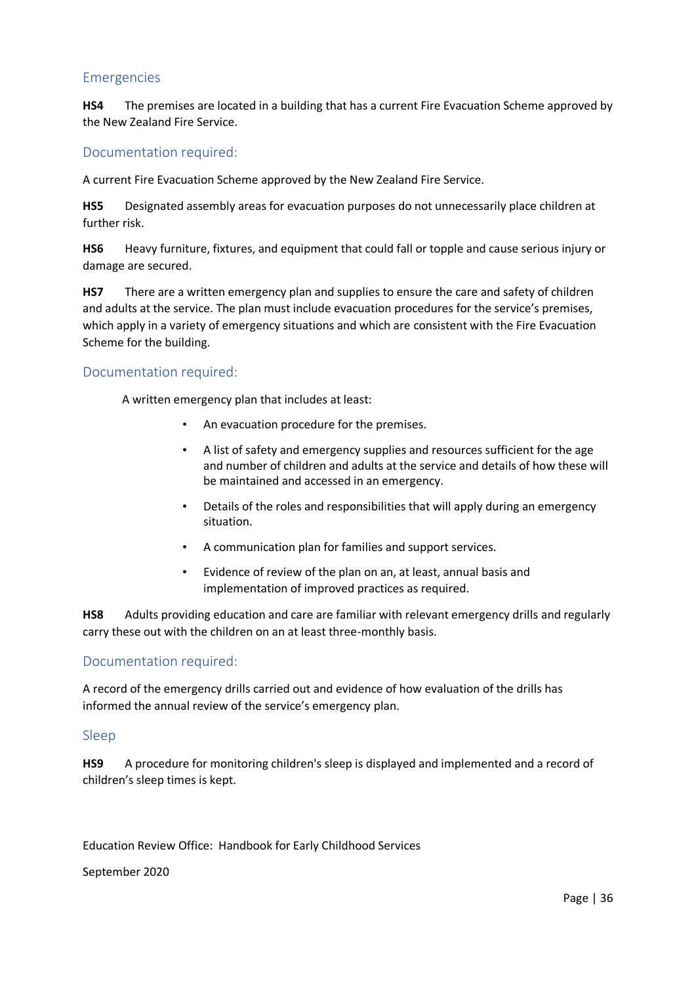### Emergencies

**HS4** The premises are located in a building that has a current Fire Evacuation Scheme approved by the New Zealand Fire Service.

### Documentation required:

A current Fire Evacuation Scheme approved by the New Zealand Fire Service.

**HS5** Designated assembly areas for evacuation purposes do not unnecessarily place children at further risk.

**HS6** Heavy furniture, fixtures, and equipment that could fall or topple and cause serious injury or damage are secured.

**HS7** There are a written emergency plan and supplies to ensure the care and safety of children and adults at the service. The plan must include evacuation procedures for the service's premises, which apply in a variety of emergency situations and which are consistent with the Fire Evacuation Scheme for the building.

### Documentation required:

A written emergency plan that includes at least:

- An evacuation procedure for the premises.
- A list of safety and emergency supplies and resources sufficient for the age and number of children and adults at the service and details of how these will be maintained and accessed in an emergency.
- Details of the roles and responsibilities that will apply during an emergency situation.
- A communication plan for families and support services.
- Evidence of review of the plan on an, at least, annual basis and implementation of improved practices as required.

**HS8** Adults providing education and care are familiar with relevant emergency drills and regularly carry these out with the children on an at least three-monthly basis.

## Documentation required:

A record of the emergency drills carried out and evidence of how evaluation of the drills has informed the annual review of the service's emergency plan.

### Sleep

**HS9** A procedure for monitoring children's sleep is displayed and implemented and a record of children's sleep times is kept.

Education Review Office: Handbook for Early Childhood Services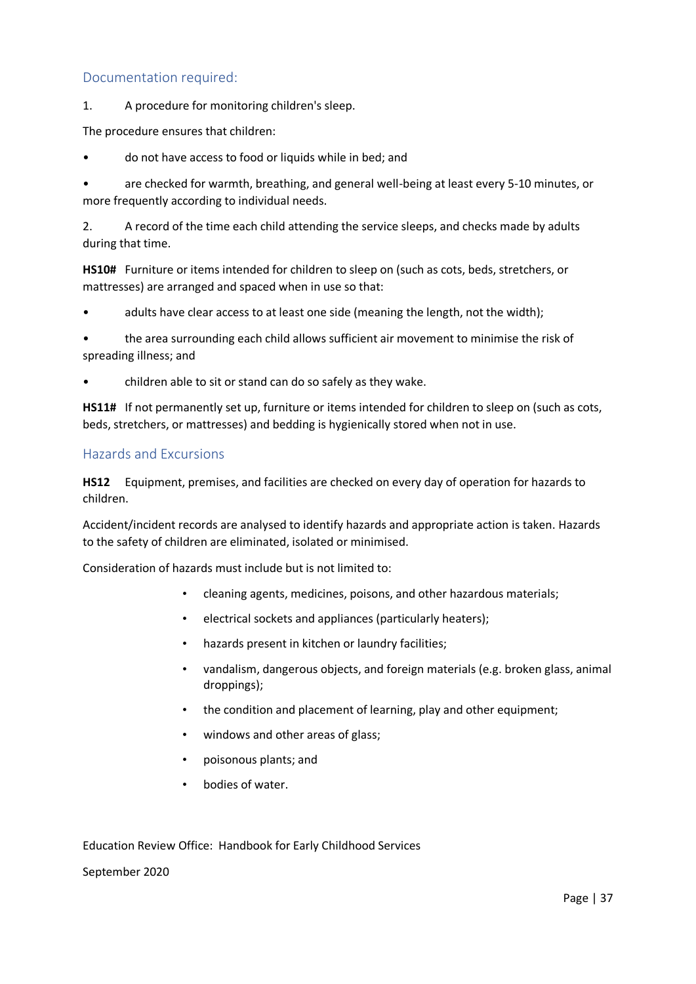1. A procedure for monitoring children's sleep.

The procedure ensures that children:

• do not have access to food or liquids while in bed; and

• are checked for warmth, breathing, and general well-being at least every 5-10 minutes, or more frequently according to individual needs.

2. A record of the time each child attending the service sleeps, and checks made by adults during that time.

**HS10#** Furniture or items intended for children to sleep on (such as cots, beds, stretchers, or mattresses) are arranged and spaced when in use so that:

adults have clear access to at least one side (meaning the length, not the width);

• the area surrounding each child allows sufficient air movement to minimise the risk of spreading illness; and

• children able to sit or stand can do so safely as they wake.

**HS11#** If not permanently set up, furniture or items intended for children to sleep on (such as cots, beds, stretchers, or mattresses) and bedding is hygienically stored when not in use.

### Hazards and Excursions

**HS12** Equipment, premises, and facilities are checked on every day of operation for hazards to children.

Accident/incident records are analysed to identify hazards and appropriate action is taken. Hazards to the safety of children are eliminated, isolated or minimised.

Consideration of hazards must include but is not limited to:

- cleaning agents, medicines, poisons, and other hazardous materials;
- electrical sockets and appliances (particularly heaters);
- hazards present in kitchen or laundry facilities;
- vandalism, dangerous objects, and foreign materials (e.g. broken glass, animal droppings);
- the condition and placement of learning, play and other equipment;
- windows and other areas of glass;
- poisonous plants; and
- bodies of water.

Education Review Office: Handbook for Early Childhood Services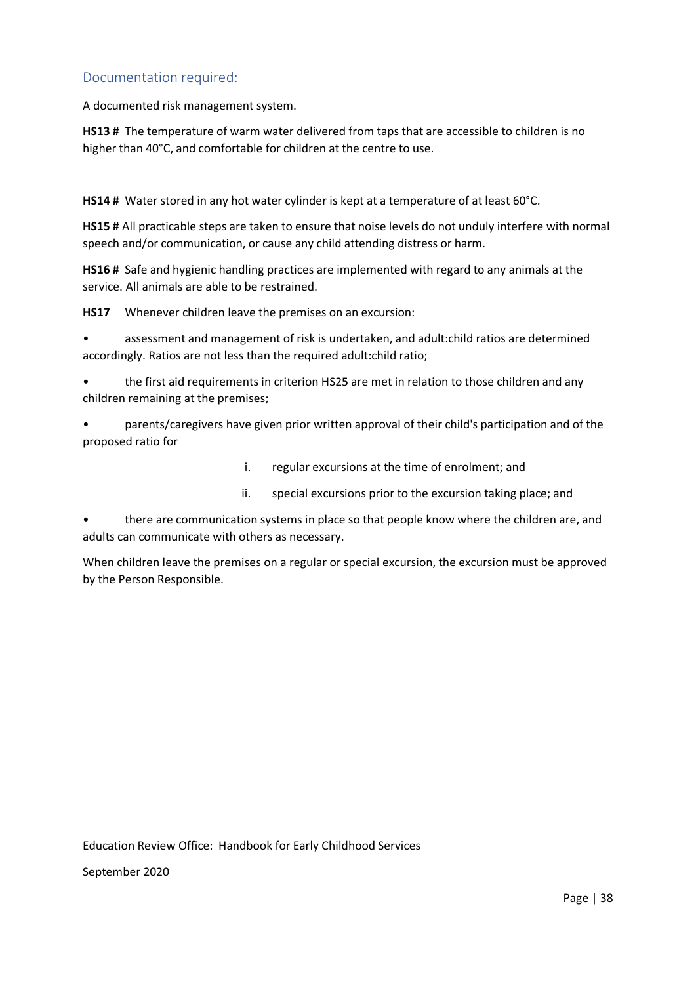A documented risk management system.

**HS13 #** The temperature of warm water delivered from taps that are accessible to children is no higher than 40°C, and comfortable for children at the centre to use.

**HS14 #** Water stored in any hot water cylinder is kept at a temperature of at least 60°C.

**HS15 #** All practicable steps are taken to ensure that noise levels do not unduly interfere with normal speech and/or communication, or cause any child attending distress or harm.

**HS16 #** Safe and hygienic handling practices are implemented with regard to any animals at the service. All animals are able to be restrained.

**HS17** Whenever children leave the premises on an excursion:

• assessment and management of risk is undertaken, and adult:child ratios are determined accordingly. Ratios are not less than the required adult:child ratio;

• the first aid requirements in criterion HS25 are met in relation to those children and any children remaining at the premises;

• parents/caregivers have given prior written approval of their child's participation and of the proposed ratio for

- i. regular excursions at the time of enrolment; and
- ii. special excursions prior to the excursion taking place; and

• there are communication systems in place so that people know where the children are, and adults can communicate with others as necessary.

When children leave the premises on a regular or special excursion, the excursion must be approved by the Person Responsible.

Education Review Office: Handbook for Early Childhood Services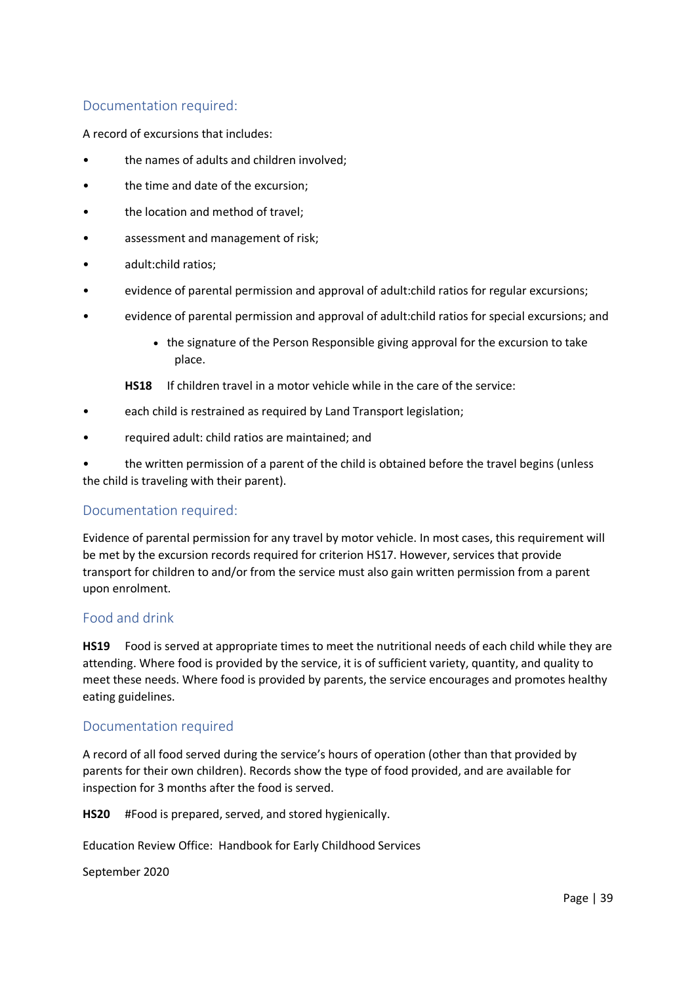A record of excursions that includes:

- the names of adults and children involved;
- the time and date of the excursion;
- the location and method of travel;
- assessment and management of risk;
- adult:child ratios;
- evidence of parental permission and approval of adult:child ratios for regular excursions;
- evidence of parental permission and approval of adult:child ratios for special excursions; and
	- the signature of the Person Responsible giving approval for the excursion to take place.
	- **HS18** If children travel in a motor vehicle while in the care of the service:
- each child is restrained as required by Land Transport legislation;
- required adult: child ratios are maintained; and

• the written permission of a parent of the child is obtained before the travel begins (unless the child is traveling with their parent).

## Documentation required:

Evidence of parental permission for any travel by motor vehicle. In most cases, this requirement will be met by the excursion records required for criterion HS17. However, services that provide transport for children to and/or from the service must also gain written permission from a parent upon enrolment.

### Food and drink

**HS19** Food is served at appropriate times to meet the nutritional needs of each child while they are attending. Where food is provided by the service, it is of sufficient variety, quantity, and quality to meet these needs. Where food is provided by parents, the service encourages and promotes healthy eating guidelines.

### Documentation required

A record of all food served during the service's hours of operation (other than that provided by parents for their own children). Records show the type of food provided, and are available for inspection for 3 months after the food is served.

**HS20** #Food is prepared, served, and stored hygienically.

Education Review Office: Handbook for Early Childhood Services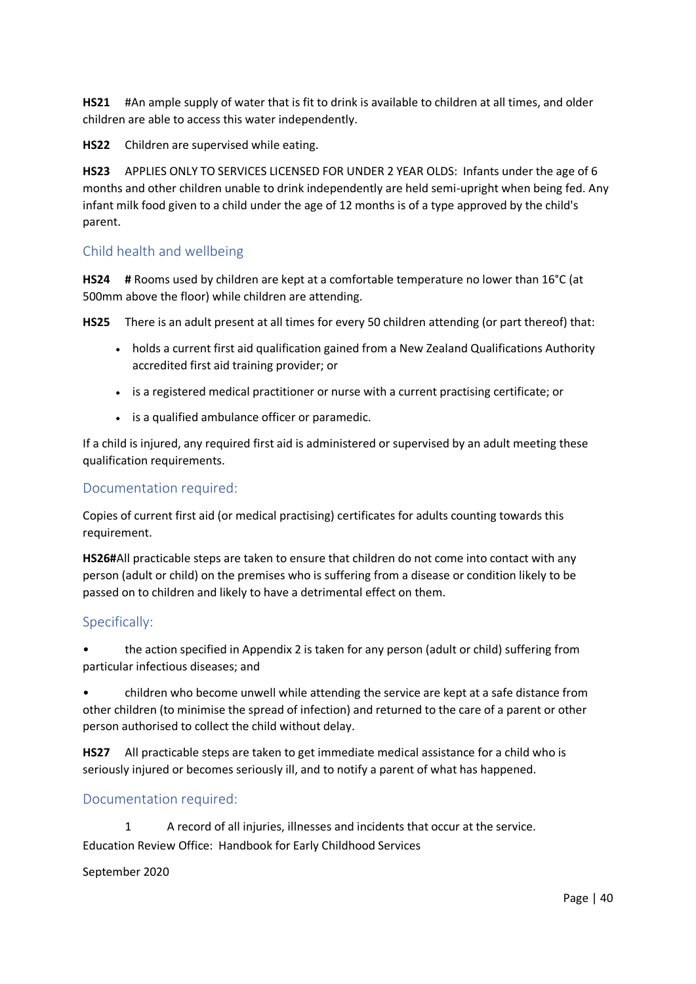**HS21** #An ample supply of water that is fit to drink is available to children at all times, and older children are able to access this water independently.

**HS22** Children are supervised while eating.

**HS23** APPLIES ONLY TO SERVICES LICENSED FOR UNDER 2 YEAR OLDS: Infants under the age of 6 months and other children unable to drink independently are held semi-upright when being fed. Any infant milk food given to a child under the age of 12 months is of a type approved by the child's parent.

# Child health and wellbeing

**HS24 #** Rooms used by children are kept at a comfortable temperature no lower than 16°C (at 500mm above the floor) while children are attending.

**HS25** There is an adult present at all times for every 50 children attending (or part thereof) that:

- holds a current first aid qualification gained from a New Zealand Qualifications Authority accredited first aid training provider; or
- is a registered medical practitioner or nurse with a current practising certificate; or
- is a qualified ambulance officer or paramedic.

If a child is injured, any required first aid is administered or supervised by an adult meeting these qualification requirements.

### Documentation required:

Copies of current first aid (or medical practising) certificates for adults counting towards this requirement.

**HS26#**All practicable steps are taken to ensure that children do not come into contact with any person (adult or child) on the premises who is suffering from a disease or condition likely to be passed on to children and likely to have a detrimental effect on them.

### Specifically:

• the action specified in Appendix 2 is taken for any person (adult or child) suffering from particular infectious diseases; and

• children who become unwell while attending the service are kept at a safe distance from other children (to minimise the spread of infection) and returned to the care of a parent or other person authorised to collect the child without delay.

**HS27** All practicable steps are taken to get immediate medical assistance for a child who is seriously injured or becomes seriously ill, and to notify a parent of what has happened.

### Documentation required:

Education Review Office: Handbook for Early Childhood Services 1 A record of all injuries, illnesses and incidents that occur at the service.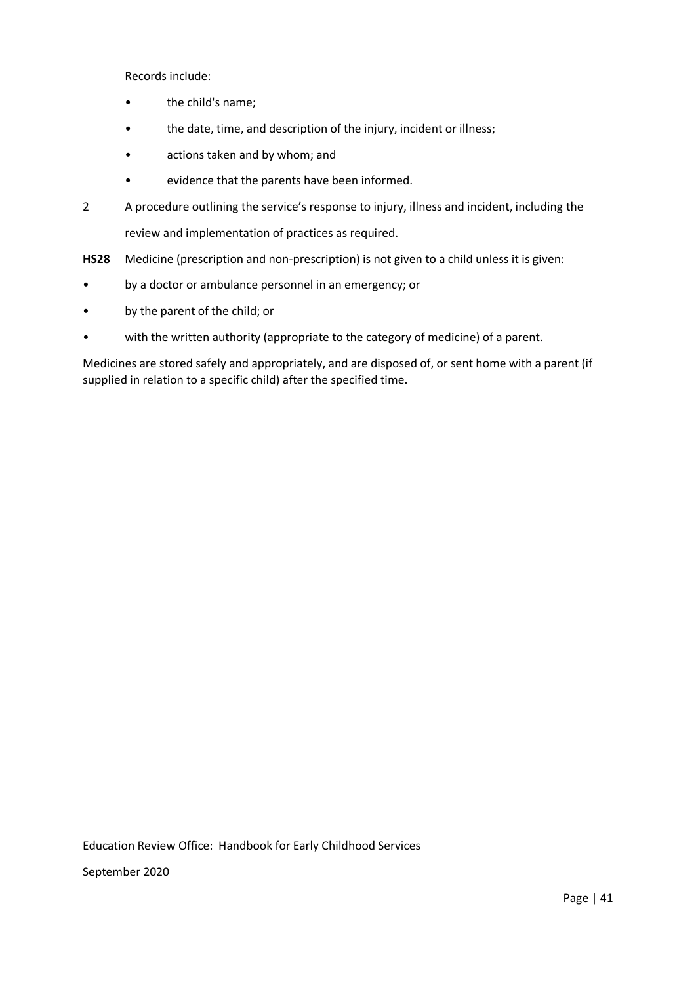Records include:

- the child's name;
- the date, time, and description of the injury, incident or illness;
- actions taken and by whom; and
- evidence that the parents have been informed.
- 2 A procedure outlining the service's response to injury, illness and incident, including the review and implementation of practices as required.

**HS28** Medicine (prescription and non-prescription) is not given to a child unless it is given:

- by a doctor or ambulance personnel in an emergency; or
- by the parent of the child; or
- with the written authority (appropriate to the category of medicine) of a parent.

Medicines are stored safely and appropriately, and are disposed of, or sent home with a parent (if supplied in relation to a specific child) after the specified time.

Education Review Office: Handbook for Early Childhood Services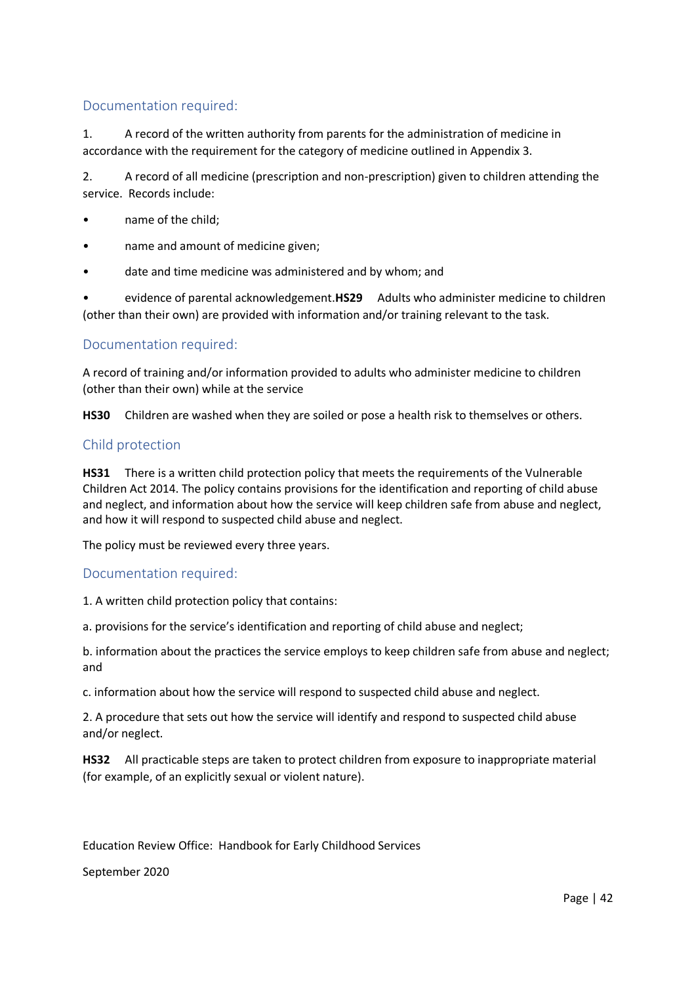1. A record of the written authority from parents for the administration of medicine in accordance with the requirement for the category of medicine outlined in Appendix 3.

2. A record of all medicine (prescription and non-prescription) given to children attending the service. Records include:

- name of the child;
- name and amount of medicine given;
- date and time medicine was administered and by whom; and

• evidence of parental acknowledgement.**HS29** Adults who administer medicine to children (other than their own) are provided with information and/or training relevant to the task.

## Documentation required:

A record of training and/or information provided to adults who administer medicine to children (other than their own) while at the service

**HS30** Children are washed when they are soiled or pose a health risk to themselves or others.

### Child protection

**HS31** There is a written child protection policy that meets the requirements of the Vulnerable Children Act 2014. The policy contains provisions for the identification and reporting of child abuse and neglect, and information about how the service will keep children safe from abuse and neglect, and how it will respond to suspected child abuse and neglect.

The policy must be reviewed every three years.

### Documentation required:

1. A written child protection policy that contains:

a. provisions for the service's identification and reporting of child abuse and neglect;

b. information about the practices the service employs to keep children safe from abuse and neglect; and

c. information about how the service will respond to suspected child abuse and neglect.

2. A procedure that sets out how the service will identify and respond to suspected child abuse and/or neglect.

**HS32** All practicable steps are taken to protect children from exposure to inappropriate material (for example, of an explicitly sexual or violent nature).

Education Review Office: Handbook for Early Childhood Services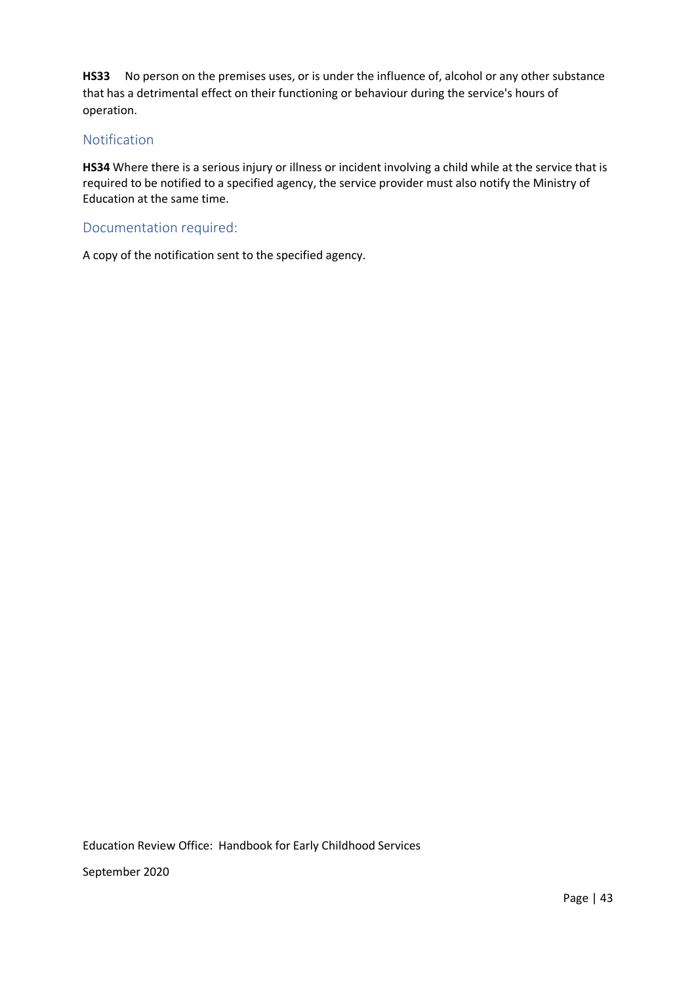**HS33** No person on the premises uses, or is under the influence of, alcohol or any other substance that has a detrimental effect on their functioning or behaviour during the service's hours of operation.

# Notification

**HS34** Where there is a serious injury or illness or incident involving a child while at the service that is required to be notified to a specified agency, the service provider must also notify the Ministry of Education at the same time.

### Documentation required:

A copy of the notification sent to the specified agency.

Education Review Office: Handbook for Early Childhood Services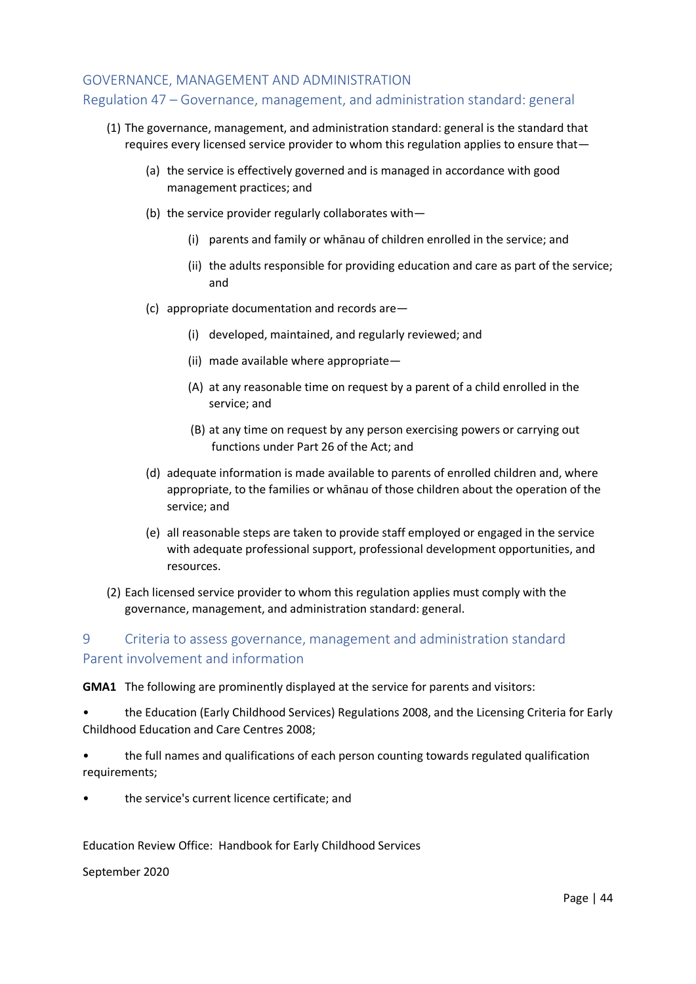### GOVERNANCE, MANAGEMENT AND ADMINISTRATION

# Regulation 47 – Governance, management, and administration standard: general

- (1) The governance, management, and administration standard: general is the standard that requires every licensed service provider to whom this regulation applies to ensure that—
	- (a) the service is effectively governed and is managed in accordance with good management practices; and
	- (b) the service provider regularly collaborates with—
		- (i) parents and family or whānau of children enrolled in the service; and
		- (ii) the adults responsible for providing education and care as part of the service; and
	- (c) appropriate documentation and records are—
		- (i) developed, maintained, and regularly reviewed; and
		- (ii) made available where appropriate—
		- (A) at any reasonable time on request by a parent of a child enrolled in the service; and
		- (B) at any time on request by any person exercising powers or carrying out functions under Part 26 of the Act; and
	- (d) adequate information is made available to parents of enrolled children and, where appropriate, to the families or whānau of those children about the operation of the service; and
	- (e) all reasonable steps are taken to provide staff employed or engaged in the service with adequate professional support, professional development opportunities, and resources.
- (2) Each licensed service provider to whom this regulation applies must comply with the governance, management, and administration standard: general.

# 9 Criteria to assess governance, management and administration standard Parent involvement and information

**GMA1** The following are prominently displayed at the service for parents and visitors:

• the Education (Early Childhood Services) Regulations 2008, and the Licensing Criteria for Early Childhood Education and Care Centres 2008;

- the full names and qualifications of each person counting towards regulated qualification requirements;
- the service's current licence certificate; and

Education Review Office: Handbook for Early Childhood Services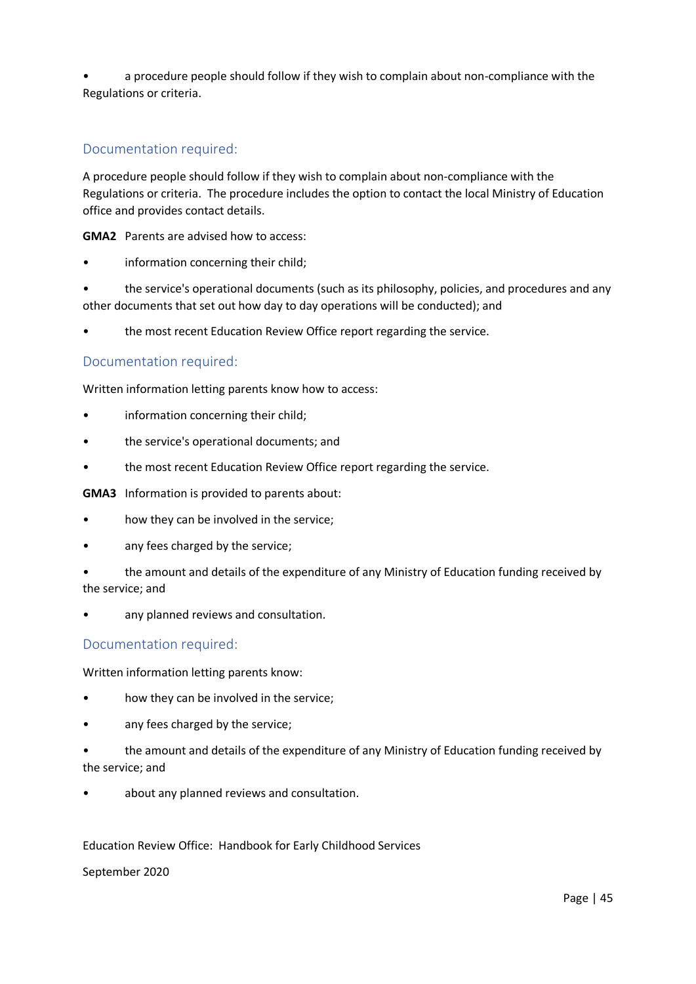• a procedure people should follow if they wish to complain about non-compliance with the Regulations or criteria.

# Documentation required:

A procedure people should follow if they wish to complain about non-compliance with the Regulations or criteria. The procedure includes the option to contact the local Ministry of Education office and provides contact details.

**GMA2** Parents are advised how to access:

• information concerning their child;

• the service's operational documents (such as its philosophy, policies, and procedures and any other documents that set out how day to day operations will be conducted); and

the most recent Education Review Office report regarding the service.

## Documentation required:

Written information letting parents know how to access:

- information concerning their child;
- the service's operational documents; and
- the most recent Education Review Office report regarding the service.

**GMA3** Information is provided to parents about:

- how they can be involved in the service;
- any fees charged by the service;
- the amount and details of the expenditure of any Ministry of Education funding received by the service; and
- any planned reviews and consultation.

## Documentation required:

Written information letting parents know:

- how they can be involved in the service;
- any fees charged by the service;
- the amount and details of the expenditure of any Ministry of Education funding received by the service; and
- about any planned reviews and consultation.

### Education Review Office: Handbook for Early Childhood Services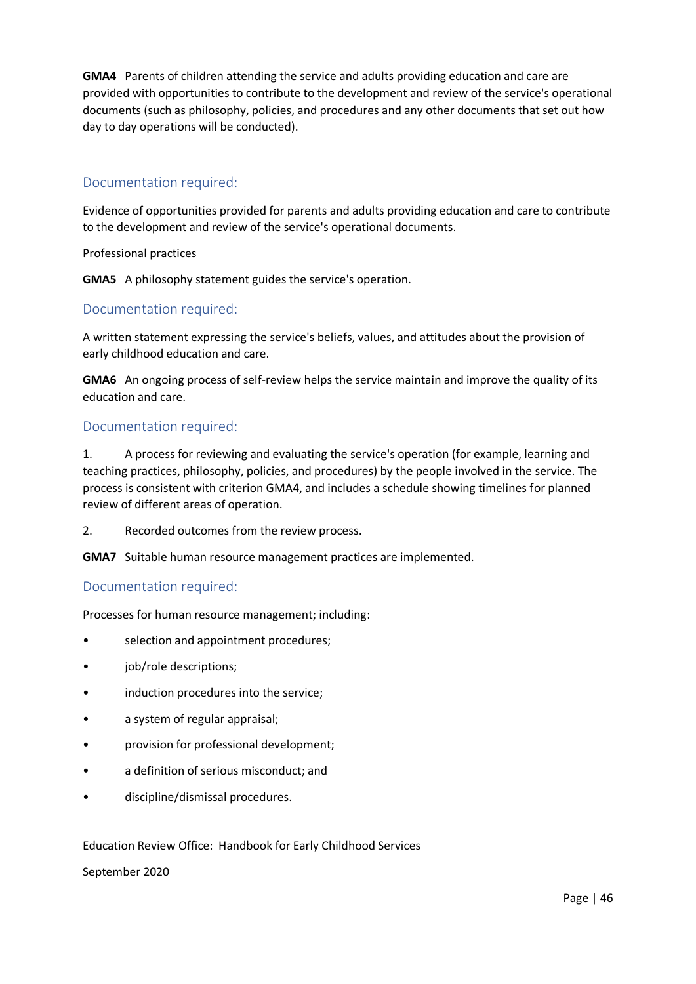**GMA4** Parents of children attending the service and adults providing education and care are provided with opportunities to contribute to the development and review of the service's operational documents (such as philosophy, policies, and procedures and any other documents that set out how day to day operations will be conducted).

# Documentation required:

Evidence of opportunities provided for parents and adults providing education and care to contribute to the development and review of the service's operational documents.

Professional practices

**GMA5** A philosophy statement guides the service's operation.

### Documentation required:

A written statement expressing the service's beliefs, values, and attitudes about the provision of early childhood education and care.

**GMA6** An ongoing process of self-review helps the service maintain and improve the quality of its education and care.

### Documentation required:

1. A process for reviewing and evaluating the service's operation (for example, learning and teaching practices, philosophy, policies, and procedures) by the people involved in the service. The process is consistent with criterion GMA4, and includes a schedule showing timelines for planned review of different areas of operation.

2. Recorded outcomes from the review process.

**GMA7** Suitable human resource management practices are implemented.

## Documentation required:

Processes for human resource management; including:

- selection and appointment procedures;
- job/role descriptions;
- induction procedures into the service;
- a system of regular appraisal;
- provision for professional development;
- a definition of serious misconduct; and
- discipline/dismissal procedures.

### Education Review Office: Handbook for Early Childhood Services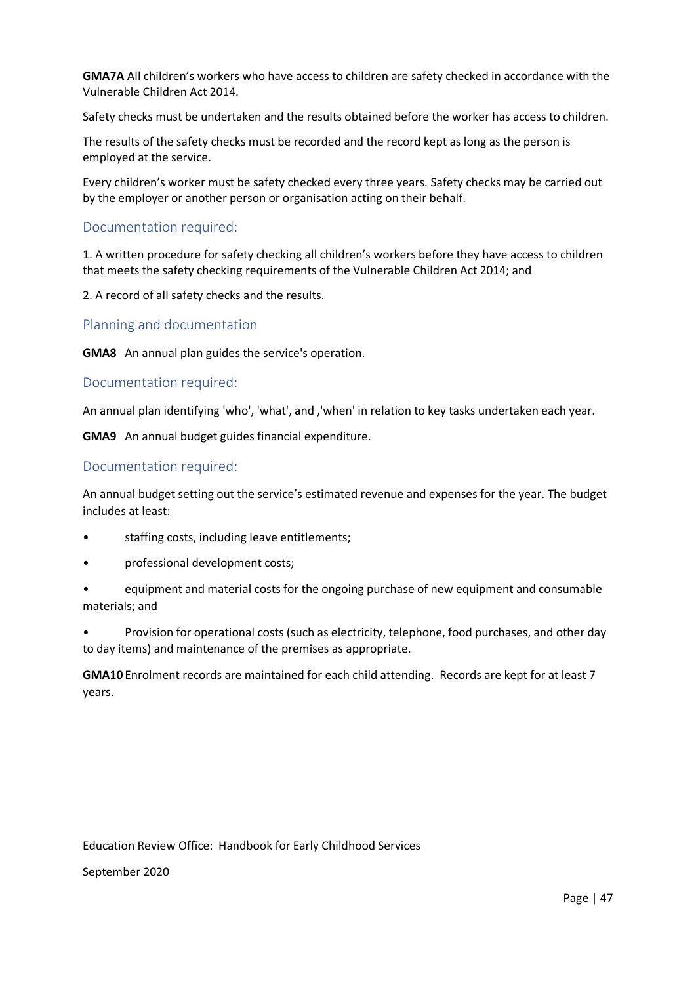**GMA7A** All children's workers who have access to children are safety checked in accordance with the Vulnerable Children Act 2014.

Safety checks must be undertaken and the results obtained before the worker has access to children.

The results of the safety checks must be recorded and the record kept as long as the person is employed at the service.

Every children's worker must be safety checked every three years. Safety checks may be carried out by the employer or another person or organisation acting on their behalf.

### Documentation required:

1. A written procedure for safety checking all children's workers before they have access to children that meets the safety checking requirements of the Vulnerable Children Act 2014; and

2. A record of all safety checks and the results.

Planning and documentation

**GMA8** An annual plan guides the service's operation.

### Documentation required:

An annual plan identifying 'who', 'what', and ,'when' in relation to key tasks undertaken each year.

**GMA9** An annual budget guides financial expenditure.

### Documentation required:

An annual budget setting out the service's estimated revenue and expenses for the year. The budget includes at least:

- staffing costs, including leave entitlements;
- professional development costs;
- equipment and material costs for the ongoing purchase of new equipment and consumable materials; and
- Provision for operational costs (such as electricity, telephone, food purchases, and other day to day items) and maintenance of the premises as appropriate.

**GMA10** Enrolment records are maintained for each child attending. Records are kept for at least 7 years.

Education Review Office: Handbook for Early Childhood Services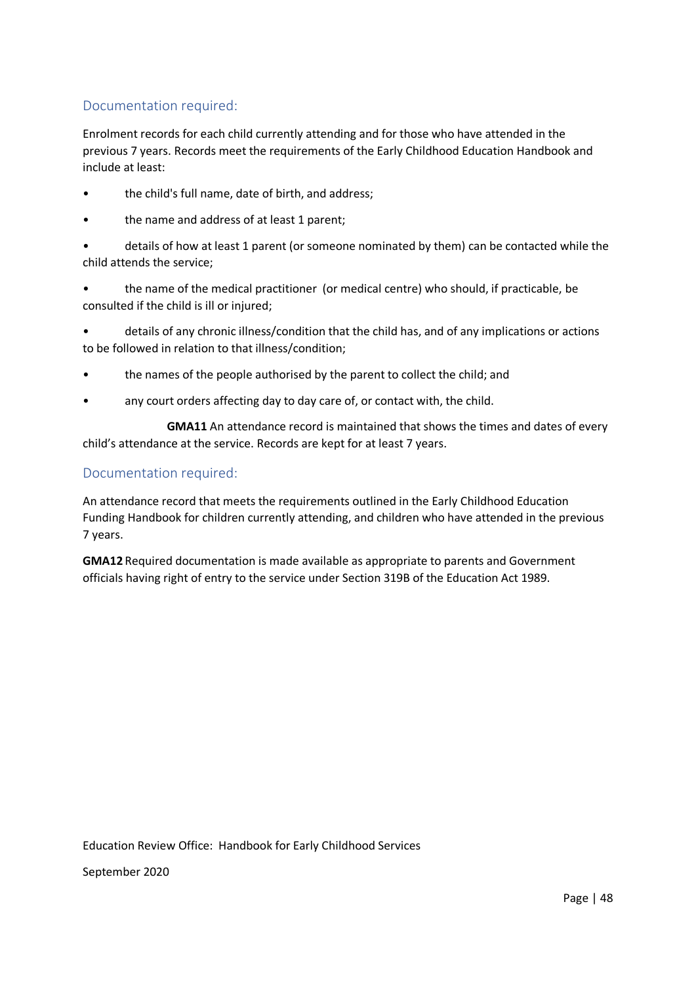Enrolment records for each child currently attending and for those who have attended in the previous 7 years. Records meet the requirements of the Early Childhood Education Handbook and include at least:

- the child's full name, date of birth, and address;
- the name and address of at least 1 parent;
- details of how at least 1 parent (or someone nominated by them) can be contacted while the child attends the service;
- the name of the medical practitioner (or medical centre) who should, if practicable, be consulted if the child is ill or injured;
- details of any chronic illness/condition that the child has, and of any implications or actions to be followed in relation to that illness/condition;
- the names of the people authorised by the parent to collect the child; and
- any court orders affecting day to day care of, or contact with, the child.

**GMA11** An attendance record is maintained that shows the times and dates of every child's attendance at the service. Records are kept for at least 7 years.

## Documentation required:

An attendance record that meets the requirements outlined in the Early Childhood Education Funding Handbook for children currently attending, and children who have attended in the previous 7 years.

**GMA12** Required documentation is made available as appropriate to parents and Government officials having right of entry to the service under Section 319B of the Education Act 1989.

Education Review Office: Handbook for Early Childhood Services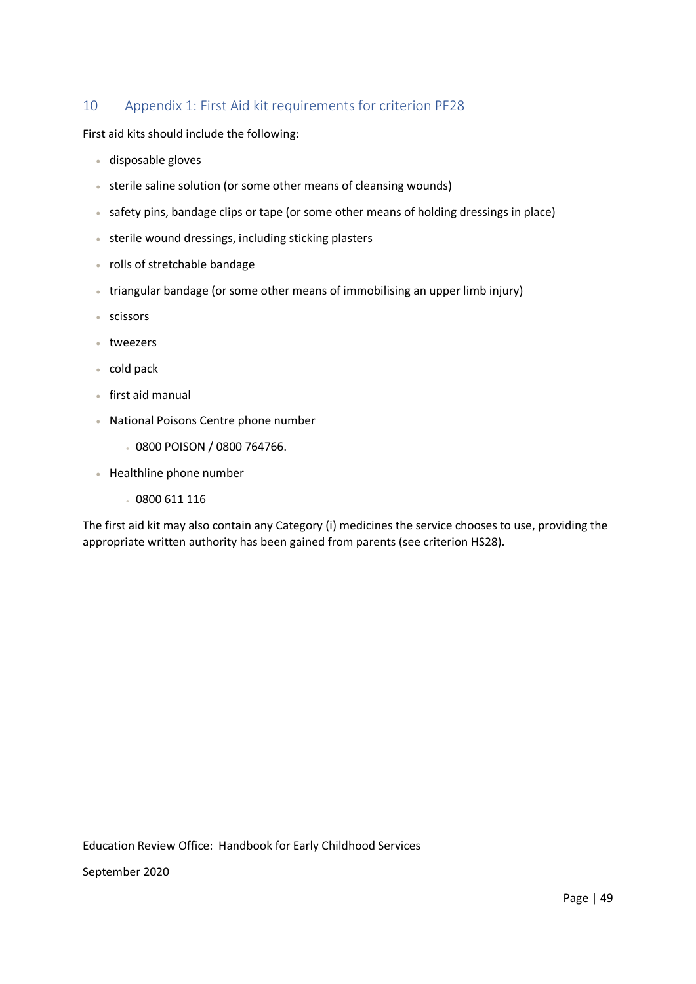# 10 Appendix 1: First Aid kit requirements for criterion PF28

First aid kits should include the following:

- disposable gloves
- sterile saline solution (or some other means of cleansing wounds)
- safety pins, bandage clips or tape (or some other means of holding dressings in place)
- sterile wound dressings, including sticking plasters
- rolls of stretchable bandage
- triangular bandage (or some other means of immobilising an upper limb injury)
- scissors
- tweezers
- cold pack
- first aid manual
- National Poisons Centre phone number
	- 0800 POISON / 0800 764766.
- Healthline phone number
	- 0800 611 116

The first aid kit may also contain any Category (i) medicines the service chooses to use, providing the appropriate written authority has been gained from parents (see criterion HS28).

Education Review Office: Handbook for Early Childhood Services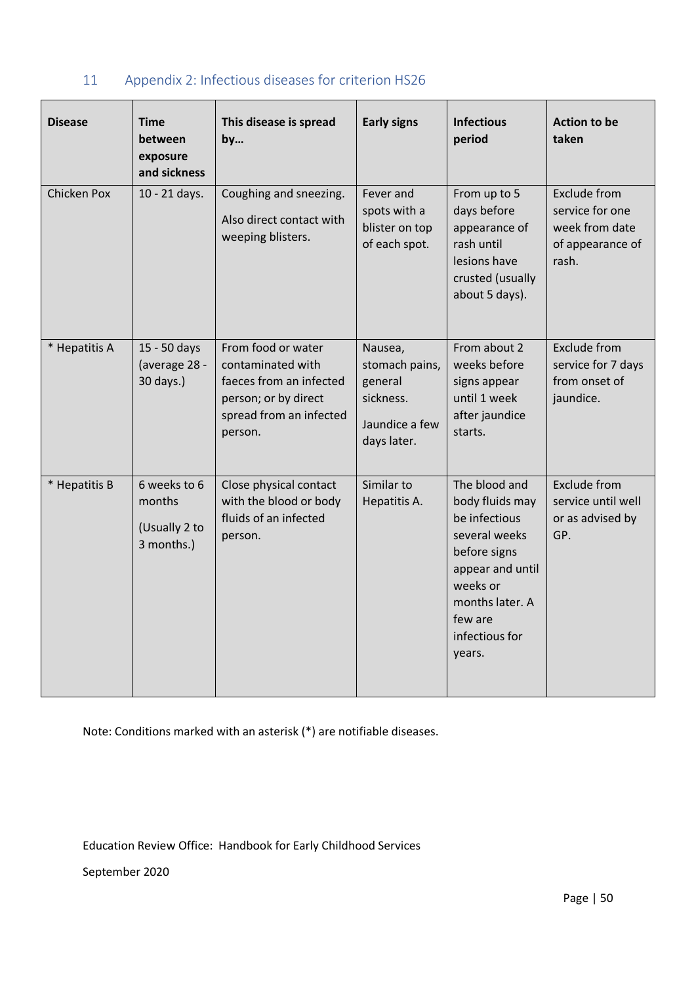| <b>Disease</b>     | <b>Time</b><br>between<br>exposure<br>and sickness    | This disease is spread<br>by                                                                                                     | <b>Early signs</b>                                                                 | <b>Infectious</b><br>period                                                                                                                                                  | <b>Action to be</b><br>taken                                                          |
|--------------------|-------------------------------------------------------|----------------------------------------------------------------------------------------------------------------------------------|------------------------------------------------------------------------------------|------------------------------------------------------------------------------------------------------------------------------------------------------------------------------|---------------------------------------------------------------------------------------|
| <b>Chicken Pox</b> | 10 - 21 days.                                         | Coughing and sneezing.<br>Also direct contact with<br>weeping blisters.                                                          | Fever and<br>spots with a<br>blister on top<br>of each spot.                       | From up to 5<br>days before<br>appearance of<br>rash until<br>lesions have<br>crusted (usually<br>about 5 days).                                                             | <b>Exclude from</b><br>service for one<br>week from date<br>of appearance of<br>rash. |
| * Hepatitis A      | 15 - 50 days<br>(average 28 -<br>30 days.)            | From food or water<br>contaminated with<br>faeces from an infected<br>person; or by direct<br>spread from an infected<br>person. | Nausea,<br>stomach pains,<br>general<br>sickness.<br>Jaundice a few<br>days later. | From about 2<br>weeks before<br>signs appear<br>until 1 week<br>after jaundice<br>starts.                                                                                    | <b>Exclude from</b><br>service for 7 days<br>from onset of<br>jaundice.               |
| * Hepatitis B      | 6 weeks to 6<br>months<br>(Usually 2 to<br>3 months.) | Close physical contact<br>with the blood or body<br>fluids of an infected<br>person.                                             | Similar to<br>Hepatitis A.                                                         | The blood and<br>body fluids may<br>be infectious<br>several weeks<br>before signs<br>appear and until<br>weeks or<br>months later. A<br>few are<br>infectious for<br>years. | <b>Exclude from</b><br>service until well<br>or as advised by<br>GP.                  |

# 11 Appendix 2: Infectious diseases for criterion HS26

Note: Conditions marked with an asterisk (\*) are notifiable diseases.

Education Review Office: Handbook for Early Childhood Services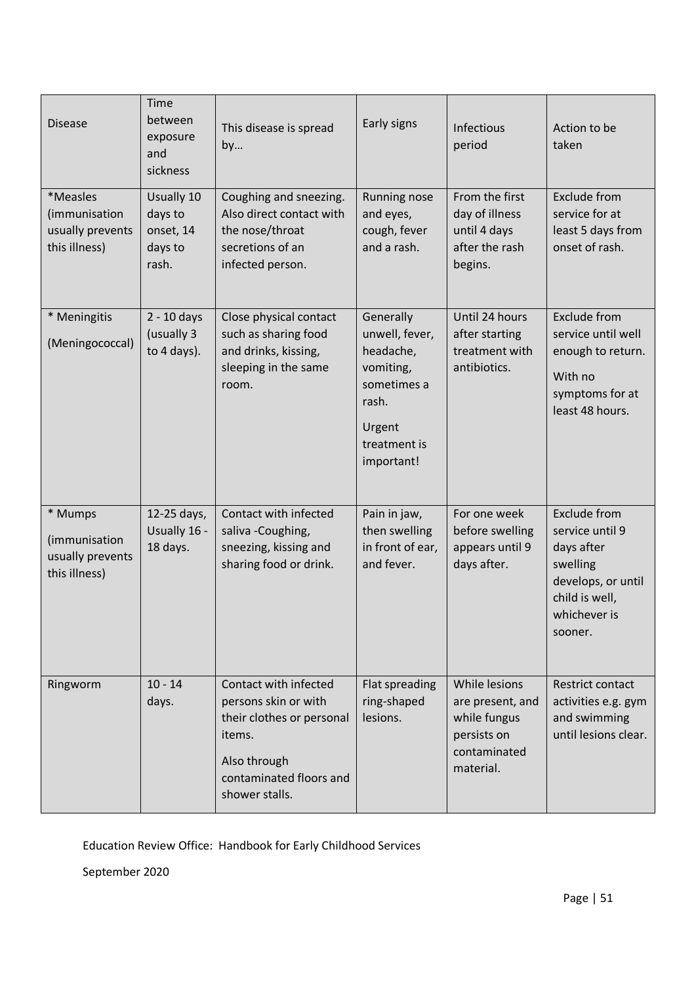| <b>Disease</b>                                                 | Time<br>between<br>exposure<br>and<br>sickness         | This disease is spread<br>by                                                                                                                      | Early signs                                                                                                           | Infectious<br>period                                                                          | Action to be<br>taken                                                                                                        |
|----------------------------------------------------------------|--------------------------------------------------------|---------------------------------------------------------------------------------------------------------------------------------------------------|-----------------------------------------------------------------------------------------------------------------------|-----------------------------------------------------------------------------------------------|------------------------------------------------------------------------------------------------------------------------------|
| *Measles<br>(immunisation<br>usually prevents<br>this illness) | Usually 10<br>days to<br>onset, 14<br>days to<br>rash. | Coughing and sneezing.<br>Also direct contact with<br>the nose/throat<br>secretions of an<br>infected person.                                     | Running nose<br>and eyes,<br>cough, fever<br>and a rash.                                                              | From the first<br>day of illness<br>until 4 days<br>after the rash<br>begins.                 | Exclude from<br>service for at<br>least 5 days from<br>onset of rash.                                                        |
| * Meningitis<br>(Meningococcal)                                | $2 - 10$ days<br>(usually 3<br>to 4 days).             | Close physical contact<br>such as sharing food<br>and drinks, kissing,<br>sleeping in the same<br>room.                                           | Generally<br>unwell, fever,<br>headache,<br>vomiting,<br>sometimes a<br>rash.<br>Urgent<br>treatment is<br>important! | Until 24 hours<br>after starting<br>treatment with<br>antibiotics.                            | <b>Exclude from</b><br>service until well<br>enough to return.<br>With no<br>symptoms for at<br>least 48 hours.              |
| * Mumps<br>(immunisation<br>usually prevents<br>this illness)  | 12-25 days,<br>Usually 16 -<br>18 days.                | Contact with infected<br>saliva -Coughing,<br>sneezing, kissing and<br>sharing food or drink.                                                     | Pain in jaw,<br>then swelling<br>in front of ear,<br>and fever.                                                       | For one week<br>before swelling<br>appears until 9<br>days after.                             | Exclude from<br>service until 9<br>days after<br>swelling<br>develops, or until<br>child is well,<br>whichever is<br>sooner. |
| Ringworm                                                       | $10 - 14$<br>days.                                     | Contact with infected<br>persons skin or with<br>their clothes or personal<br>items.<br>Also through<br>contaminated floors and<br>shower stalls. | Flat spreading<br>ring-shaped<br>lesions.                                                                             | While lesions<br>are present, and<br>while fungus<br>persists on<br>contaminated<br>material. | Restrict contact<br>activities e.g. gym<br>and swimming<br>until lesions clear.                                              |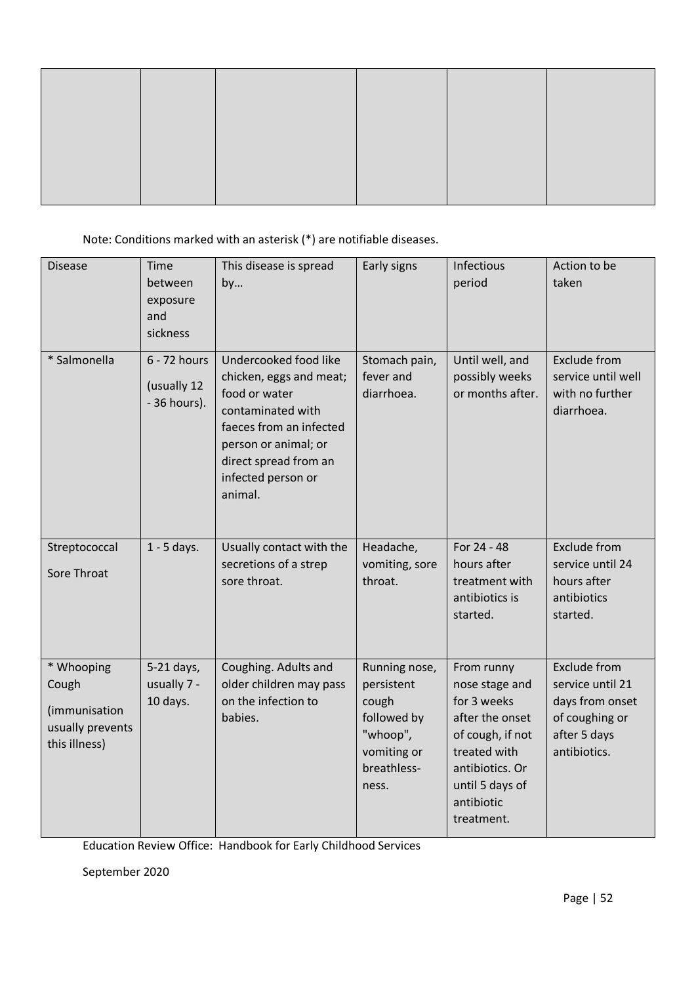Note: Conditions marked with an asterisk (\*) are notifiable diseases.

| <b>Disease</b>                                                            | Time<br>between<br>exposure<br>and<br>sickness | This disease is spread<br>by                                                                                                                                                                        | Early signs                                                                                            | Infectious<br>period                                                                                                                                                 | Action to be<br>taken                                                                                        |
|---------------------------------------------------------------------------|------------------------------------------------|-----------------------------------------------------------------------------------------------------------------------------------------------------------------------------------------------------|--------------------------------------------------------------------------------------------------------|----------------------------------------------------------------------------------------------------------------------------------------------------------------------|--------------------------------------------------------------------------------------------------------------|
| * Salmonella                                                              | 6 - 72 hours<br>(usually 12<br>- 36 hours).    | Undercooked food like<br>chicken, eggs and meat;<br>food or water<br>contaminated with<br>faeces from an infected<br>person or animal; or<br>direct spread from an<br>infected person or<br>animal. | Stomach pain,<br>fever and<br>diarrhoea.                                                               | Until well, and<br>possibly weeks<br>or months after.                                                                                                                | <b>Exclude from</b><br>service until well<br>with no further<br>diarrhoea.                                   |
| Streptococcal<br>Sore Throat                                              | $1 - 5$ days.                                  | Usually contact with the<br>secretions of a strep<br>sore throat.                                                                                                                                   | Headache,<br>vomiting, sore<br>throat.                                                                 | For 24 - 48<br>hours after<br>treatment with<br>antibiotics is<br>started.                                                                                           | <b>Exclude from</b><br>service until 24<br>hours after<br>antibiotics<br>started.                            |
| * Whooping<br>Cough<br>(immunisation<br>usually prevents<br>this illness) | 5-21 days,<br>usually 7 -<br>10 days.          | Coughing. Adults and<br>older children may pass<br>on the infection to<br>babies.                                                                                                                   | Running nose,<br>persistent<br>cough<br>followed by<br>"whoop",<br>vomiting or<br>breathless-<br>ness. | From runny<br>nose stage and<br>for 3 weeks<br>after the onset<br>of cough, if not<br>treated with<br>antibiotics. Or<br>until 5 days of<br>antibiotic<br>treatment. | <b>Exclude from</b><br>service until 21<br>days from onset<br>of coughing or<br>after 5 days<br>antibiotics. |

Education Review Office: Handbook for Early Childhood Services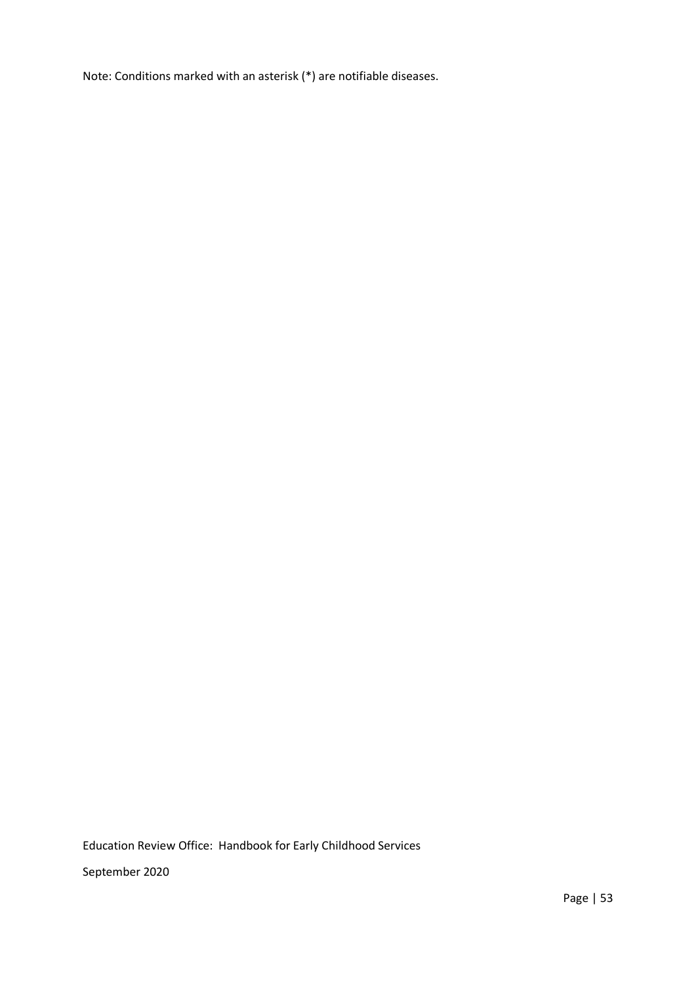Note: Conditions marked with an asterisk (\*) are notifiable diseases.

Education Review Office: Handbook for Early Childhood Services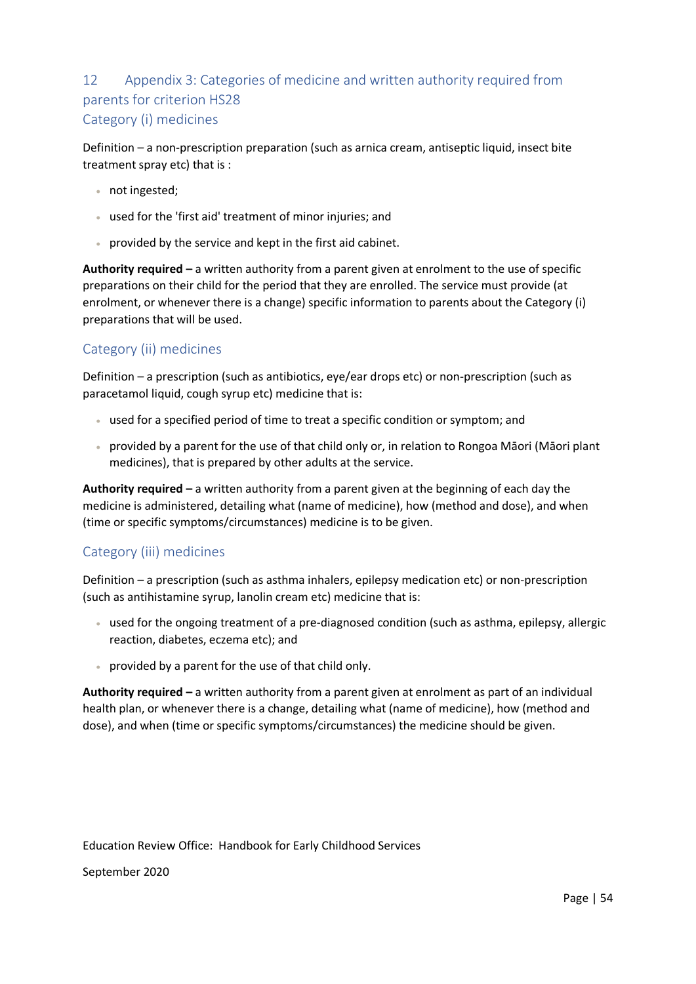# 12 Appendix 3: Categories of medicine and written authority required from parents for criterion HS28 Category (i) medicines

Definition – a non-prescription preparation (such as arnica cream, antiseptic liquid, insect bite treatment spray etc) that is :

- not ingested;
- used for the 'first aid' treatment of minor injuries; and
- provided by the service and kept in the first aid cabinet.

**Authority required –** a written authority from a parent given at enrolment to the use of specific preparations on their child for the period that they are enrolled. The service must provide (at enrolment, or whenever there is a change) specific information to parents about the Category (i) preparations that will be used.

# Category (ii) medicines

Definition – a prescription (such as antibiotics, eye/ear drops etc) or non-prescription (such as paracetamol liquid, cough syrup etc) medicine that is:

- used for a specified period of time to treat a specific condition or symptom; and
- provided by a parent for the use of that child only or, in relation to Rongoa Māori (Māori plant medicines), that is prepared by other adults at the service.

**Authority required –** a written authority from a parent given at the beginning of each day the medicine is administered, detailing what (name of medicine), how (method and dose), and when (time or specific symptoms/circumstances) medicine is to be given.

# Category (iii) medicines

Definition – a prescription (such as asthma inhalers, epilepsy medication etc) or non-prescription (such as antihistamine syrup, lanolin cream etc) medicine that is:

- used for the ongoing treatment of a pre-diagnosed condition (such as asthma, epilepsy, allergic reaction, diabetes, eczema etc); and
- provided by a parent for the use of that child only.

**Authority required –** a written authority from a parent given at enrolment as part of an individual health plan, or whenever there is a change, detailing what (name of medicine), how (method and dose), and when (time or specific symptoms/circumstances) the medicine should be given.

Education Review Office: Handbook for Early Childhood Services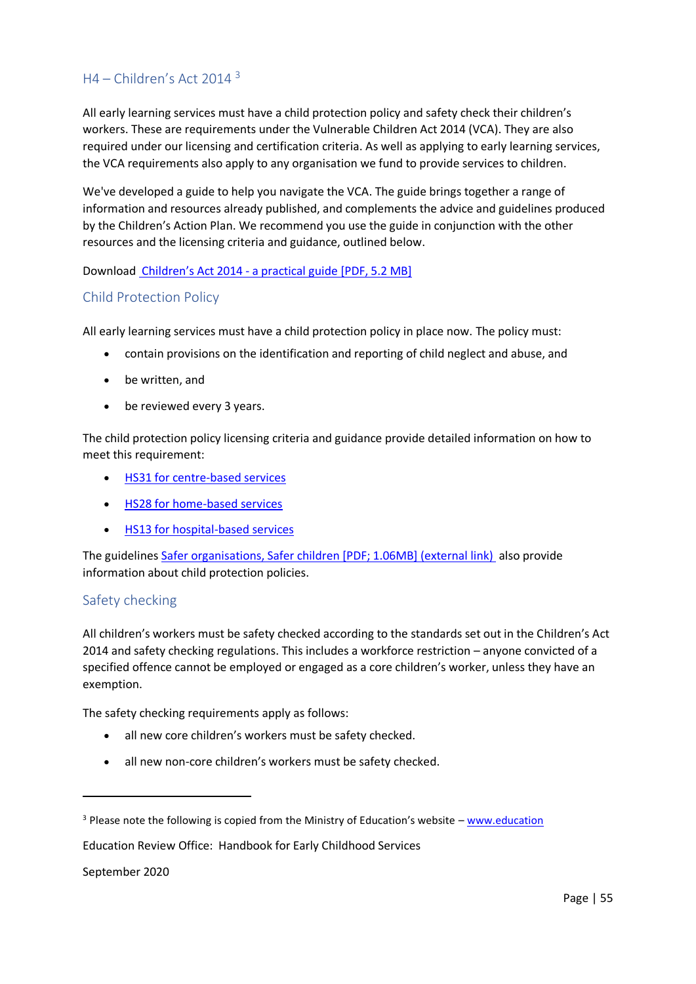# $H4 - Children's Act 2014<sup>3</sup>$

All early learning services must have a child protection policy and safety check their children's workers. These are requirements under the Vulnerable Children Act 2014 (VCA). They are also required under our licensing and certification criteria. As well as applying to early learning services, the VCA requirements also apply to any organisation we fund to provide services to children.

We've developed a guide to help you navigate the VCA. The guide brings together a range of information and resources already published, and complements the advice and guidelines produced by the Children's Action Plan. We recommend you use the guide in conjunction with the other resources and the licensing criteria and guidance, outlined below.

Download Children's Act 2014 - [a practical guide \[PDF, 5.2 MB\]](http://www.education.govt.nz/assets/Uploads/VCAPracticalGuide.pdf)

## Child Protection Policy

All early learning services must have a child protection policy in place now. The policy must:

- contain provisions on the identification and reporting of child neglect and abuse, and
- be written, and
- be reviewed every 3 years.

The child protection policy licensing criteria and guidance provide detailed information on how to meet this requirement:

- [HS31 for centre-based services](http://www.education.govt.nz/early-childhood/running-an-ece-service/the-regulatory-framework-for-ece/licensing-criteria/centre-based-ece-services/health-and-safety/child-protection/hs31-child-protection/)
- [HS28 for home-based services](http://www.education.govt.nz/early-childhood/running-an-ece-service/the-regulatory-framework-for-ece/licensing-criteria/home-based-ece-services/health-and-safety-practices/child-protection/hs28-child-protection/)
- [HS13 for hospital-based services](http://www.education.govt.nz/early-childhood/running-an-ece-service/the-regulatory-framework-for-ece/licensing-criteria/hospital-based-ece-services/health-and-safety-practices/child-protection/hs13-child-protection/)

The guidelines [Safer organisations, Safer children \[PDF; 1.06MB\] \(external link\)](https://www.mvcot.govt.nz/assets/Uploads/Safer-Organisations-safer-children.pdf) also provide information about child protection policies.

## Safety checking

All children's workers must be safety checked according to the standards set out in the Children's Act 2014 and safety checking regulations. This includes a workforce restriction – anyone convicted of a specified offence cannot be employed or engaged as a core children's worker, unless they have an exemption.

The safety checking requirements apply as follows:

- all new core children's workers must be safety checked.
- all new non-core children's workers must be safety checked.

Education Review Office: Handbook for Early Childhood Services

September 2020

**.** 

 $3$  Please note the following is copied from the Ministry of Education's website – [www.education](http://www.education/)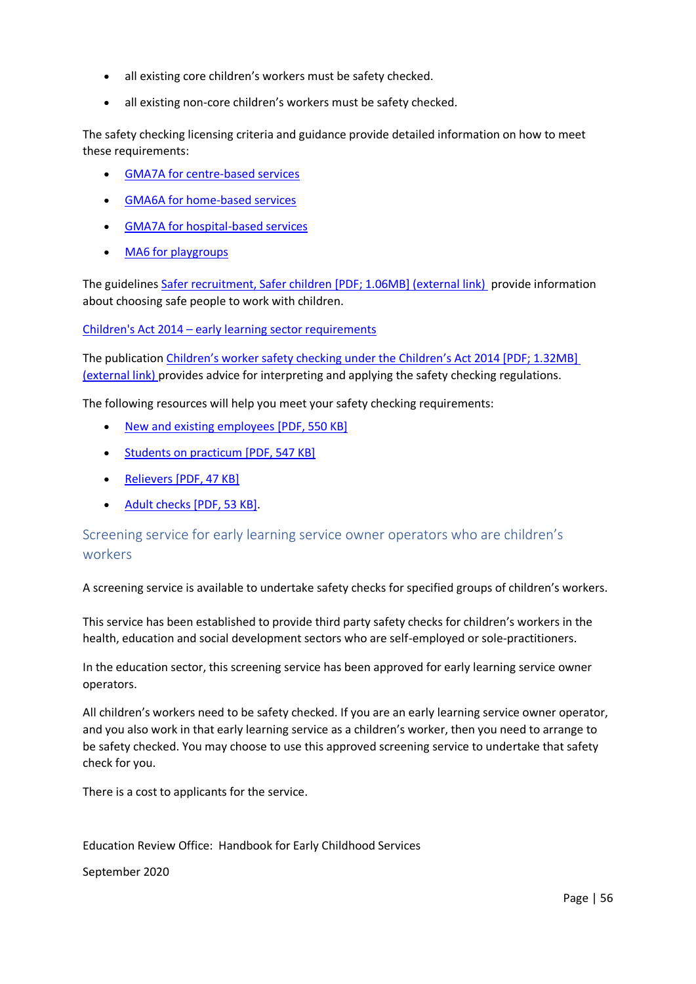- all existing core children's workers must be safety checked.
- all existing non-core children's workers must be safety checked.

The safety checking licensing criteria and guidance provide detailed information on how to meet these requirements:

- [GMA7A for centre-based services](http://www.education.govt.nz/early-childhood/running-an-ece-service/the-regulatory-framework-for-ece/licensing-criteria/centre-based-ece-services/governance-management-and-administration/professional-practices/gma7a-safety-checking/)
- [GMA6A for home-based services](http://www.education.govt.nz/early-childhood/running-an-ece-service/the-regulatory-framework-for-ece/licensing-criteria/home-based-ece-services/governance-management-and-administration/professional-practices/gma6a-safety-checking/)
- [GMA7A for hospital-based services](http://www.education.govt.nz/early-childhood/running-an-ece-service/the-regulatory-framework-for-ece/licensing-criteria/hospital-based-ece-services/governance-management-and-administration/professional-practices/gma7a-safety-checking/)
- [MA6 for playgroups](http://www.education.govt.nz/early-childhood/running-an-ece-service/the-regulatory-framework-for-ece/licensing-criteria/certification-criteria-for-playgroups/management-and-administration/management-and-administration-criteria/ma6-safety-checking/)

The guidelines [Safer recruitment, Safer children \[PDF; 1.06MB\] \(external link\)](https://www.mvcot.govt.nz/assets/Uploads/Safer-Recruitment-Safer-Children.pdf) provide information about choosing safe people to work with children.

Children's Act 2014 – [early learning sector requirements](http://www.education.govt.nz/early-childhood/licensing-and-regulations/childrens-act-2014-early-learning-sector-requirements/)

The publication [Children's worker safety checking under the Children's](https://www.mvcot.govt.nz/assets/Uploads/Documents/Childrens-Workforce-Safety-Checking-VCA.pdf) Act 2014 [PDF; 1.32MB] [\(external link\)](https://www.mvcot.govt.nz/assets/Uploads/Documents/Childrens-Workforce-Safety-Checking-VCA.pdf) provides advice for interpreting and applying the safety checking regulations.

The following resources will help you meet your safety checking requirements:

- [New and existing employees](http://www.education.govt.nz/assets/Documents/Early-Childhood/Vunerable-Children/VCANewexisting-employees.pdf) [PDF, 550 KB]
- [Students on practicum](http://www.education.govt.nz/assets/Documents/Early-Childhood/Vunerable-Children/VCAPracticum.pdf) [PDF, 547 KB]
- Relievers [\[PDF, 47 KB\]](http://www.education.govt.nz/assets/Documents/Early-Childhood/Vunerable-Children/VCARelievers.pdf)
- [Adult checks](http://www.education.govt.nz/assets/Documents/Early-Childhood/Vunerable-Children/VCAResourceAdultChecks2.pdf) [PDF, 53 KB].

Screening service for early learning service owner operators who are children's workers

A screening service is available to undertake safety checks for specified groups of children's workers.

This service has been established to provide third party safety checks for children's workers in the health, education and social development sectors who are self-employed or sole-practitioners.

In the education sector, this screening service has been approved for early learning service owner operators.

All children's workers need to be safety checked. If you are an early learning service owner operator, and you also work in that early learning service as a children's worker, then you need to arrange to be safety checked. You may choose to use this approved screening service to undertake that safety check for you.

There is a cost to applicants for the service.

Education Review Office: Handbook for Early Childhood Services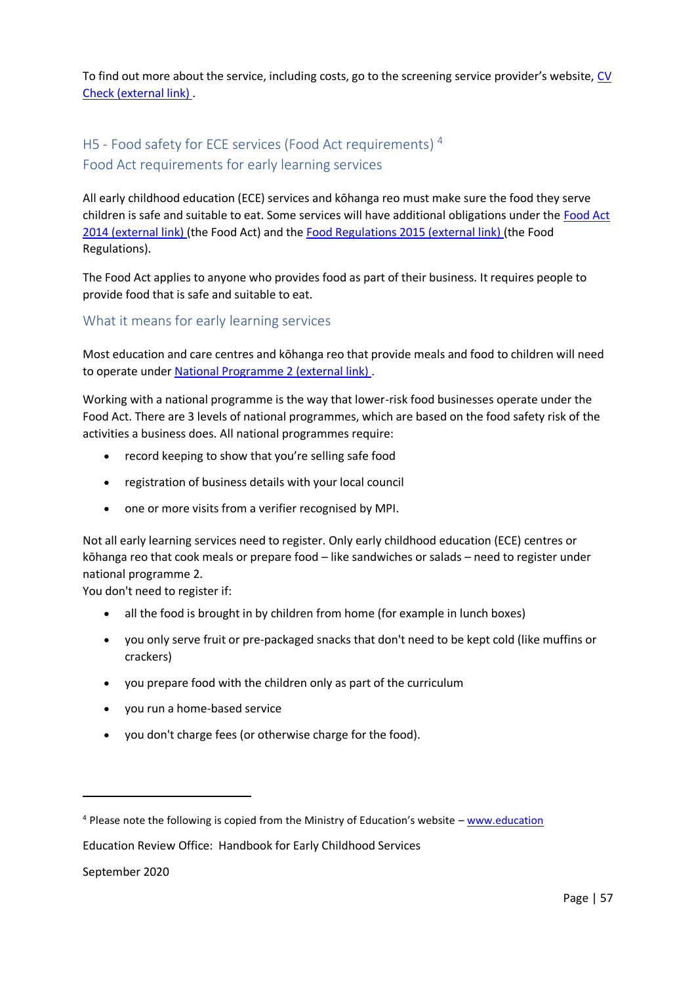To find out more about the service, including costs, go to the screening service provider's website, [CV](https://cvcheck.com/nz/childrens-worker-safety-check)  [Check \(external link\)](https://cvcheck.com/nz/childrens-worker-safety-check) .

# H5 - Food safety for ECE services (Food Act requirements)<sup>4</sup> Food Act requirements for early learning services

All early childhood education (ECE) services and kōhanga reo must make sure the food they serve children is safe and suitable to eat. Some services will have additional obligations under the [Food Act](http://www.legislation.govt.nz/act/public/2014/0032/latest/DLM2995811.html?search=ta_act_F_ac%40ainf%40anif_an%40bn%40rn_25_a)  [2014 \(external link\)](http://www.legislation.govt.nz/act/public/2014/0032/latest/DLM2995811.html?search=ta_act_F_ac%40ainf%40anif_an%40bn%40rn_25_a) (the Food Act) and the [Food Regulations 2015 \(external link\)](http://www.legislation.govt.nz/regulation/public/2015/0310/latest/DLM6684211.html?search=ts_act%40bill%40regulation%40deemedreg_food_resel_25_a&p=1) (the Food Regulations).

The Food Act applies to anyone who provides food as part of their business. It requires people to provide food that is safe and suitable to eat.

# What it means for early learning services

Most education and care centres and kōhanga reo that provide meals and food to children will need to operate under [National Programme 2 \(external link\)](http://mpi.govt.nz/food-safety/food-act-2014/national-programmes/early-childhood-educators-and-kohanga-reo/) .

Working with a national programme is the way that lower-risk food businesses operate under the Food Act. There are 3 levels of national programmes, which are based on the food safety risk of the activities a business does. All national programmes require:

- record keeping to show that you're selling safe food
- registration of business details with your local council
- one or more visits from a verifier recognised by MPI.

Not all early learning services need to register. Only early childhood education (ECE) centres or kōhanga reo that cook meals or prepare food – like sandwiches or salads – need to register under national programme 2.

You don't need to register if:

- all the food is brought in by children from home (for example in lunch boxes)
- you only serve fruit or pre-packaged snacks that don't need to be kept cold (like muffins or crackers)
- you prepare food with the children only as part of the curriculum
- you run a home-based service
- you don't charge fees (or otherwise charge for the food).

Education Review Office: Handbook for Early Childhood Services

September 2020

**.** 

 $4$  Please note the following is copied from the Ministry of Education's website – [www.education](http://www.education/)